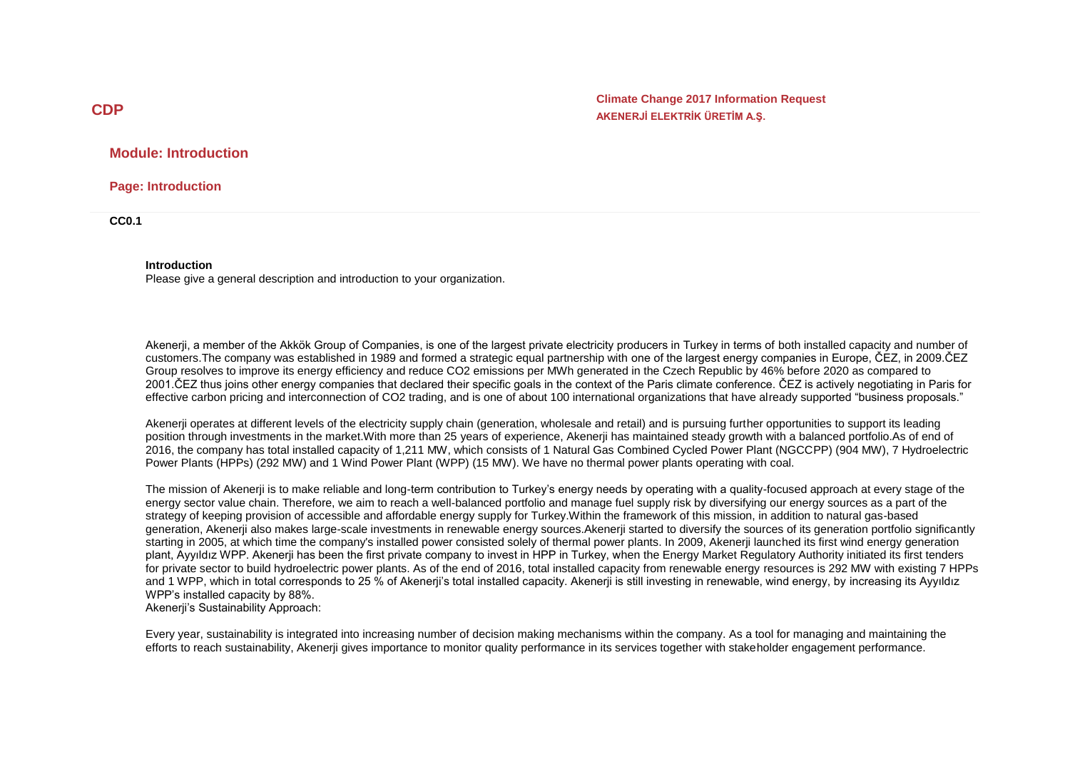**Climate Change 2017 Information Request AKENERJİ ELEKTRİK ÜRETİM A.Ş.**

## **Module: Introduction**

**Page: Introduction**

**CC0.1**

#### **Introduction**

Please give a general description and introduction to your organization.

Akenerji, a member of the Akkök Group of Companies, is one of the largest private electricity producers in Turkey in terms of both installed capacity and number of customers.The company was established in 1989 and formed a strategic equal partnership with one of the largest energy companies in Europe, ČEZ, in 2009.ČEZ Group resolves to improve its energy efficiency and reduce CO2 emissions per MWh generated in the Czech Republic by 46% before 2020 as compared to 2001.ČEZ thus joins other energy companies that declared their specific goals in the context of the Paris climate conference. ČEZ is actively negotiating in Paris for effective carbon pricing and interconnection of CO2 trading, and is one of about 100 international organizations that have already supported "business proposals."

Akenerji operates at different levels of the electricity supply chain (generation, wholesale and retail) and is pursuing further opportunities to support its leading position through investments in the market.With more than 25 years of experience, Akenerji has maintained steady growth with a balanced portfolio.As of end of 2016, the company has total installed capacity of 1,211 MW, which consists of 1 Natural Gas Combined Cycled Power Plant (NGCCPP) (904 MW), 7 Hydroelectric Power Plants (HPPs) (292 MW) and 1 Wind Power Plant (WPP) (15 MW). We have no thermal power plants operating with coal.

The mission of Akenerji is to make reliable and long-term contribution to Turkey's energy needs by operating with a quality-focused approach at every stage of the energy sector value chain. Therefore, we aim to reach a well-balanced portfolio and manage fuel supply risk by diversifying our energy sources as a part of the strategy of keeping provision of accessible and affordable energy supply for Turkey.Within the framework of this mission, in addition to natural gas-based generation, Akenerji also makes large-scale investments in renewable energy sources.Akenerji started to diversify the sources of its generation portfolio significantly starting in 2005, at which time the company's installed power consisted solely of thermal power plants. In 2009, Akenerji launched its first wind energy generation plant, Ayyıldız WPP. Akenerji has been the first private company to invest in HPP in Turkey, when the Energy Market Regulatory Authority initiated its first tenders for private sector to build hydroelectric power plants. As of the end of 2016, total installed capacity from renewable energy resources is 292 MW with existing 7 HPPs and 1 WPP, which in total corresponds to 25 % of Akenerji's total installed capacity. Akenerji is still investing in renewable, wind energy, by increasing its Ayyıldız WPP's installed capacity by 88%.

Akenerji's Sustainability Approach:

Every year, sustainability is integrated into increasing number of decision making mechanisms within the company. As a tool for managing and maintaining the efforts to reach sustainability, Akenerji gives importance to monitor quality performance in its services together with stakeholder engagement performance.

# **CDP**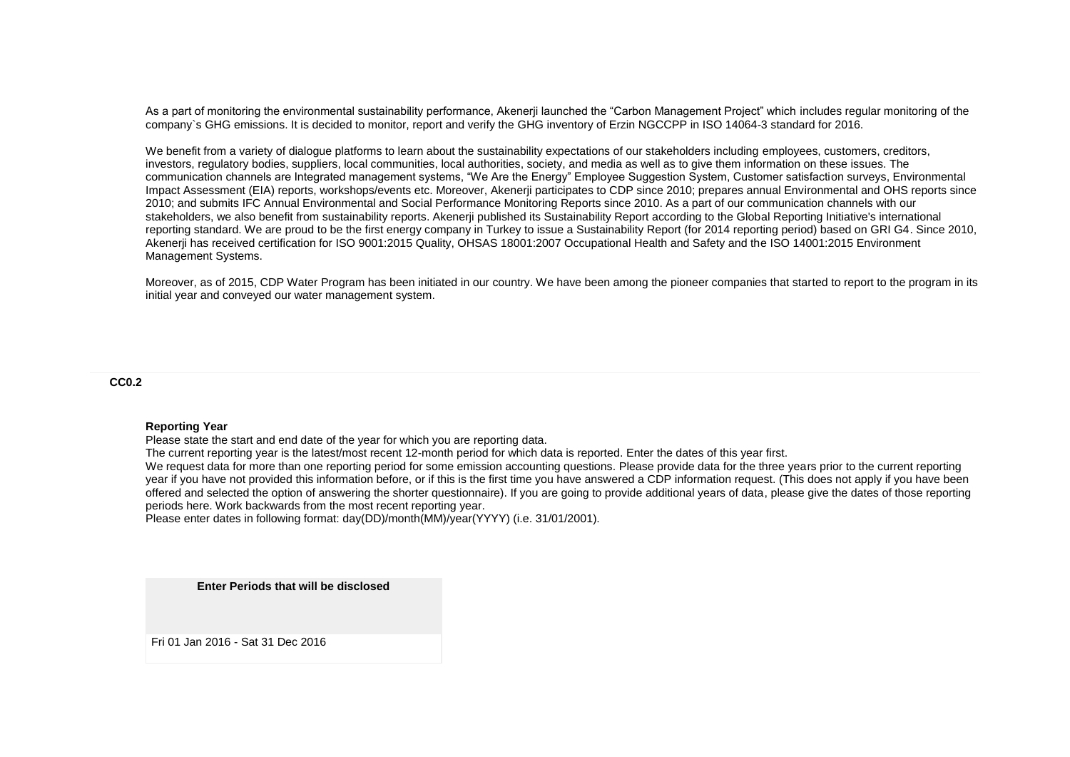As a part of monitoring the environmental sustainability performance, Akenerji launched the "Carbon Management Project" which includes regular monitoring of the company`s GHG emissions. It is decided to monitor, report and verify the GHG inventory of Erzin NGCCPP in ISO 14064-3 standard for 2016.

We benefit from a variety of dialogue platforms to learn about the sustainability expectations of our stakeholders including employees, customers, creditors, investors, regulatory bodies, suppliers, local communities, local authorities, society, and media as well as to give them information on these issues. The communication channels are Integrated management systems, "We Are the Energy" Employee Suggestion System, Customer satisfaction surveys, Environmental Impact Assessment (EIA) reports, workshops/events etc. Moreover, Akenerji participates to CDP since 2010; prepares annual Environmental and OHS reports since 2010; and submits IFC Annual Environmental and Social Performance Monitoring Reports since 2010. As a part of our communication channels with our stakeholders, we also benefit from sustainability reports. Akenerii published its Sustainability Report according to the Global Reporting Initiative's international reporting standard. We are proud to be the first energy company in Turkey to issue a Sustainability Report (for 2014 reporting period) based on GRI G4. Since 2010, Akenerji has received certification for ISO 9001:2015 Quality, OHSAS 18001:2007 Occupational Health and Safety and the ISO 14001:2015 Environment Management Systems.

Moreover, as of 2015, CDP Water Program has been initiated in our country. We have been among the pioneer companies that started to report to the program in its initial year and conveyed our water management system.

#### **CC0.2**

#### **Reporting Year**

Please state the start and end date of the year for which you are reporting data.

The current reporting year is the latest/most recent 12-month period for which data is reported. Enter the dates of this year first.

We request data for more than one reporting period for some emission accounting questions. Please provide data for the three years prior to the current reporting year if you have not provided this information before, or if this is the first time you have answered a CDP information request. (This does not apply if you have been offered and selected the option of answering the shorter questionnaire). If you are going to provide additional years of data, please give the dates of those reporting periods here. Work backwards from the most recent reporting year.

Please enter dates in following format: day(DD)/month(MM)/year(YYYY) (i.e. 31/01/2001).

**Enter Periods that will be disclosed**

Fri 01 Jan 2016 - Sat 31 Dec 2016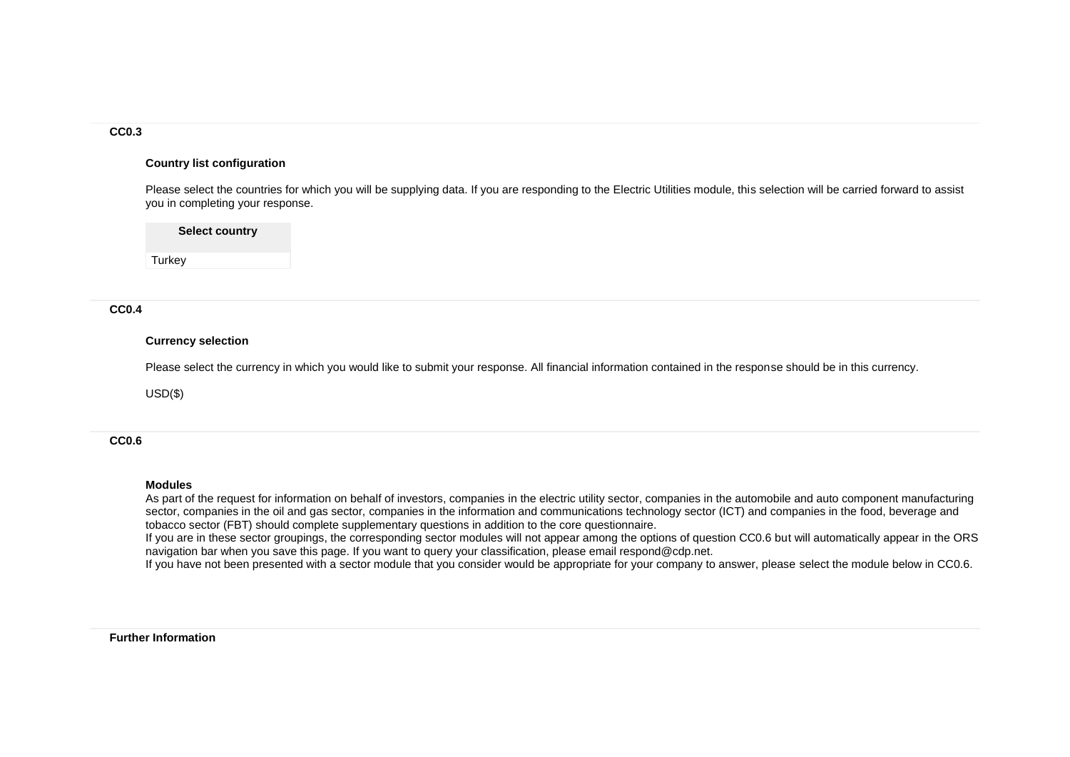## **CC0.3**

#### **Country list configuration**

Please select the countries for which you will be supplying data. If you are responding to the Electric Utilities module, this selection will be carried forward to assist you in completing your response.

**Select country**

**Turkey** 

### **CC0.4**

#### **Currency selection**

Please select the currency in which you would like to submit your response. All financial information contained in the response should be in this currency.

USD(\$)

**CC0.6**

#### **Modules**

As part of the request for information on behalf of investors, companies in the electric utility sector, companies in the automobile and auto component manufacturing sector, companies in the oil and gas sector, companies in the information and communications technology sector (ICT) and companies in the food, beverage and tobacco sector (FBT) should complete supplementary questions in addition to the core questionnaire.

If you are in these sector groupings, the corresponding sector modules will not appear among the options of question CC0.6 but will automatically appear in the ORS navigation bar when you save this page. If you want to query your classification, please email respond@cdp.net.

If you have not been presented with a sector module that you consider would be appropriate for your company to answer, please select the module below in CC0.6.

#### **Further Information**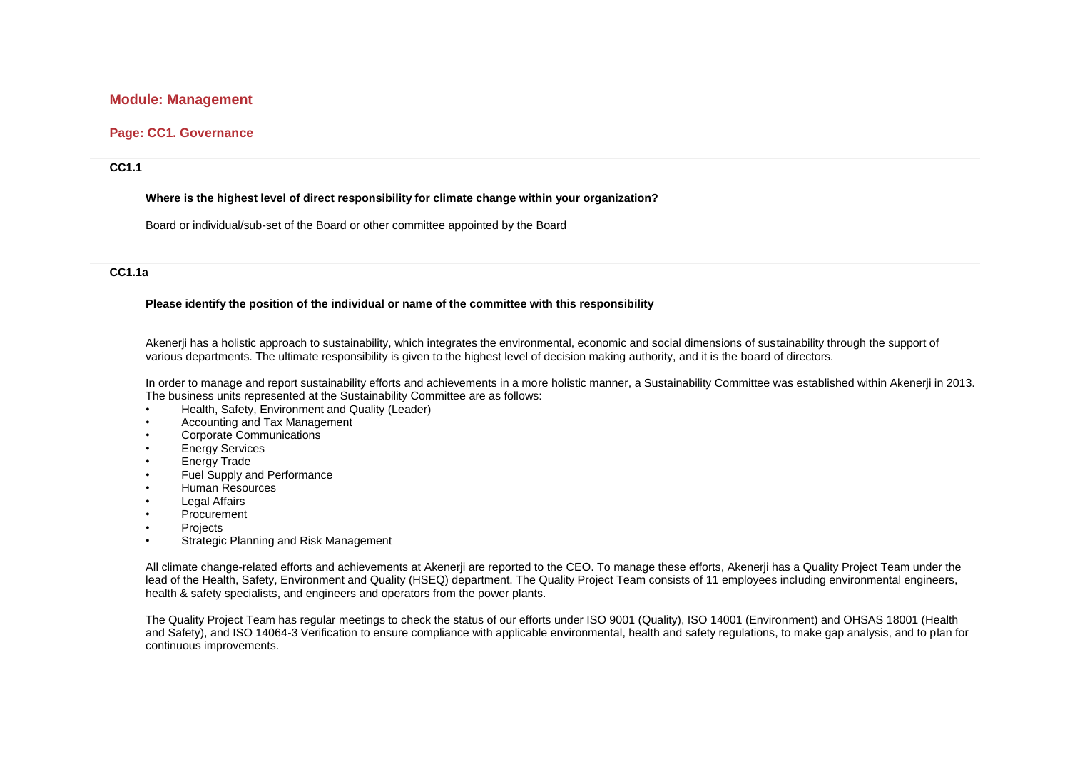# **Module: Management**

# **Page: CC1. Governance**

#### **CC1.1**

#### **Where is the highest level of direct responsibility for climate change within your organization?**

Board or individual/sub-set of the Board or other committee appointed by the Board

## **CC1.1a**

#### **Please identify the position of the individual or name of the committee with this responsibility**

Akenerji has a holistic approach to sustainability, which integrates the environmental, economic and social dimensions of sustainability through the support of various departments. The ultimate responsibility is given to the highest level of decision making authority, and it is the board of directors.

In order to manage and report sustainability efforts and achievements in a more holistic manner, a Sustainability Committee was established within Akenerji in 2013. The business units represented at the Sustainability Committee are as follows:

- Health, Safety, Environment and Quality (Leader)
- Accounting and Tax Management
- Corporate Communications
- Energy Services
- Energy Trade
- Fuel Supply and Performance
- Human Resources
- Legal Affairs
- Procurement
- Projects
- Strategic Planning and Risk Management

All climate change-related efforts and achievements at Akenerji are reported to the CEO. To manage these efforts, Akenerji has a Quality Project Team under the lead of the Health, Safety, Environment and Quality (HSEQ) department. The Quality Project Team consists of 11 employees including environmental engineers, health & safety specialists, and engineers and operators from the power plants.

The Quality Project Team has regular meetings to check the status of our efforts under ISO 9001 (Quality), ISO 14001 (Environment) and OHSAS 18001 (Health and Safety), and ISO 14064-3 Verification to ensure compliance with applicable environmental, health and safety regulations, to make gap analysis, and to plan for continuous improvements.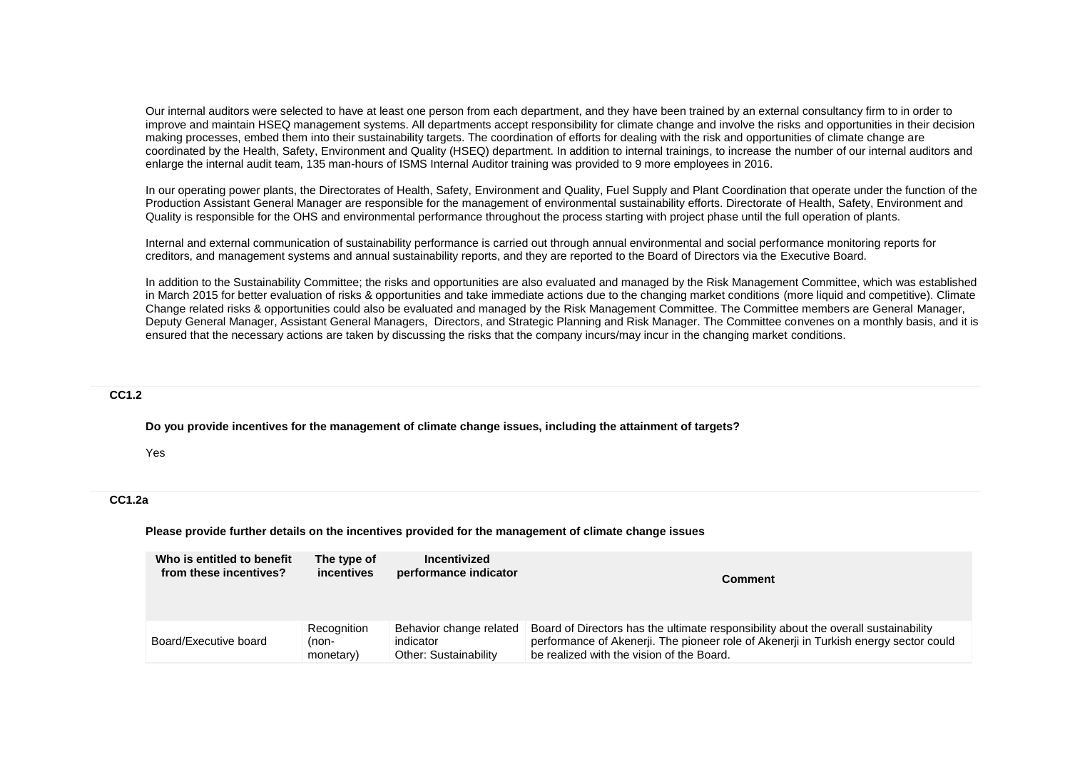Our internal auditors were selected to have at least one person from each department, and they have been trained by an external consultancy firm to in order to improve and maintain HSEQ management systems. All departments accept responsibility for climate change and involve the risks and opportunities in their decision making processes, embed them into their sustainability targets. The coordination of efforts for dealing with the risk and opportunities of climate change are coordinated by the Health, Safety, Environment and Quality (HSEQ) department. In addition to internal trainings, to increase the number of our internal auditors and enlarge the internal audit team, 135 man-hours of ISMS Internal Auditor training was provided to 9 more employees in 2016.

In our operating power plants, the Directorates of Health, Safety, Environment and Quality, Fuel Supply and Plant Coordination that operate under the function of the Production Assistant General Manager are responsible for the management of environmental sustainability efforts. Directorate of Health, Safety, Environment and Quality is responsible for the OHS and environmental performance throughout the process starting with project phase until the full operation of plants.

Internal and external communication of sustainability performance is carried out through annual environmental and social performance monitoring reports for creditors, and management systems and annual sustainability reports, and they are reported to the Board of Directors via the Executive Board.

In addition to the Sustainability Committee; the risks and opportunities are also evaluated and managed by the Risk Management Committee, which was established in March 2015 for better evaluation of risks & opportunities and take immediate actions due to the changing market conditions (more liquid and competitive). Climate Change related risks & opportunities could also be evaluated and managed by the Risk Management Committee. The Committee members are General Manager, Deputy General Manager, Assistant General Managers, Directors, and Strategic Planning and Risk Manager. The Committee convenes on a monthly basis, and it is ensured that the necessary actions are taken by discussing the risks that the company incurs/may incur in the changing market conditions.

### **CC1.2**

**Do you provide incentives for the management of climate change issues, including the attainment of targets?**

#### Yes

### **CC1.2a**

**Please provide further details on the incentives provided for the management of climate change issues**

| Who is entitled to benefit | The type of | Incentivized            | <b>Comment</b>                                                                       |
|----------------------------|-------------|-------------------------|--------------------------------------------------------------------------------------|
| from these incentives?     | incentives  | performance indicator   |                                                                                      |
| Board/Executive board      | Recognition | Behavior change related | Board of Directors has the ultimate responsibility about the overall sustainability  |
|                            | (non-       | indicator               | performance of Akenerji. The pioneer role of Akenerji in Turkish energy sector could |
|                            | monetary)   | Other: Sustainability   | be realized with the vision of the Board.                                            |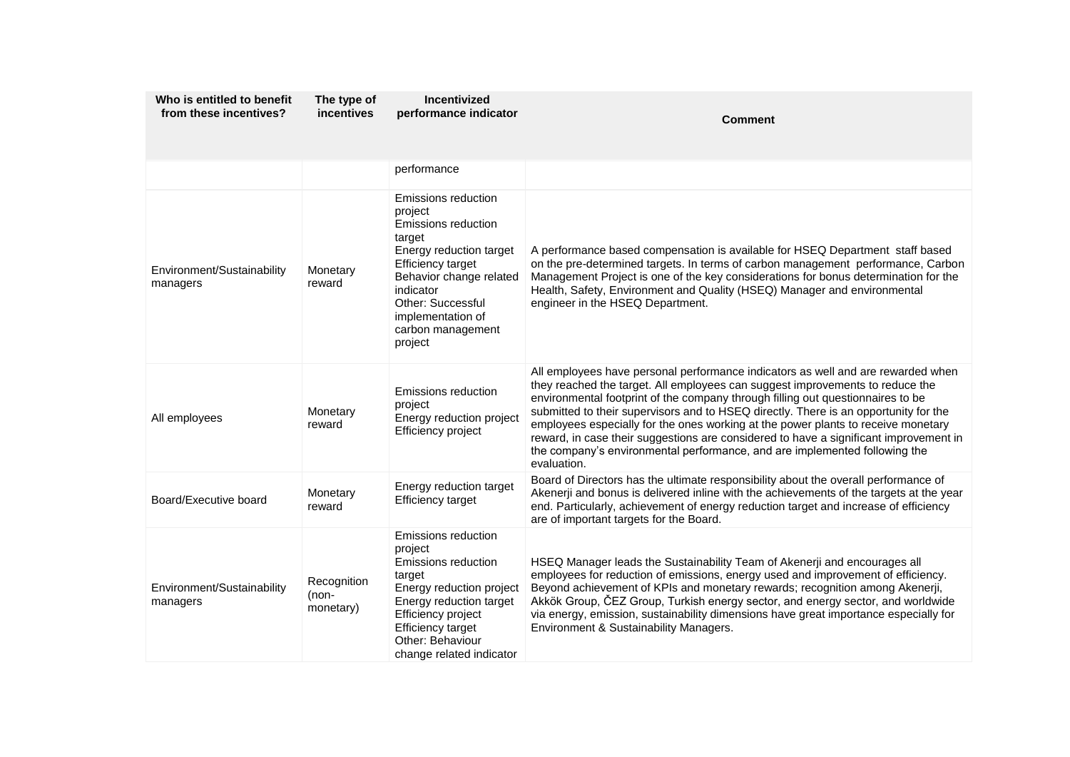| Who is entitled to benefit<br>from these incentives? | The type of<br>incentives         | Incentivized<br>performance indicator                                                                                                                                                                                                    | <b>Comment</b>                                                                                                                                                                                                                                                                                                                                                                                                                                                                                                                                                                                                          |
|------------------------------------------------------|-----------------------------------|------------------------------------------------------------------------------------------------------------------------------------------------------------------------------------------------------------------------------------------|-------------------------------------------------------------------------------------------------------------------------------------------------------------------------------------------------------------------------------------------------------------------------------------------------------------------------------------------------------------------------------------------------------------------------------------------------------------------------------------------------------------------------------------------------------------------------------------------------------------------------|
|                                                      |                                   | performance                                                                                                                                                                                                                              |                                                                                                                                                                                                                                                                                                                                                                                                                                                                                                                                                                                                                         |
| Environment/Sustainability<br>managers               | Monetary<br>reward                | Emissions reduction<br>project<br>Emissions reduction<br>target<br>Energy reduction target<br>Efficiency target<br>Behavior change related<br>indicator<br><b>Other: Successful</b><br>implementation of<br>carbon management<br>project | A performance based compensation is available for HSEQ Department staff based<br>on the pre-determined targets. In terms of carbon management performance, Carbon<br>Management Project is one of the key considerations for bonus determination for the<br>Health, Safety, Environment and Quality (HSEQ) Manager and environmental<br>engineer in the HSEQ Department.                                                                                                                                                                                                                                                |
| All employees                                        | Monetary<br>reward                | Emissions reduction<br>project<br>Energy reduction project<br>Efficiency project                                                                                                                                                         | All employees have personal performance indicators as well and are rewarded when<br>they reached the target. All employees can suggest improvements to reduce the<br>environmental footprint of the company through filling out questionnaires to be<br>submitted to their supervisors and to HSEQ directly. There is an opportunity for the<br>employees especially for the ones working at the power plants to receive monetary<br>reward, in case their suggestions are considered to have a significant improvement in<br>the company's environmental performance, and are implemented following the<br>evaluation. |
| Board/Executive board                                | Monetary<br>reward                | Energy reduction target<br><b>Efficiency target</b>                                                                                                                                                                                      | Board of Directors has the ultimate responsibility about the overall performance of<br>Akenerji and bonus is delivered inline with the achievements of the targets at the year<br>end. Particularly, achievement of energy reduction target and increase of efficiency<br>are of important targets for the Board.                                                                                                                                                                                                                                                                                                       |
| Environment/Sustainability<br>managers               | Recognition<br>(non-<br>monetary) | Emissions reduction<br>project<br>Emissions reduction<br>target<br>Energy reduction project<br>Energy reduction target<br>Efficiency project<br>Efficiency target<br>Other: Behaviour<br>change related indicator                        | HSEQ Manager leads the Sustainability Team of Akenerji and encourages all<br>employees for reduction of emissions, energy used and improvement of efficiency.<br>Beyond achievement of KPIs and monetary rewards; recognition among Akenerji,<br>Akkök Group, ČEZ Group, Turkish energy sector, and energy sector, and worldwide<br>via energy, emission, sustainability dimensions have great importance especially for<br>Environment & Sustainability Managers.                                                                                                                                                      |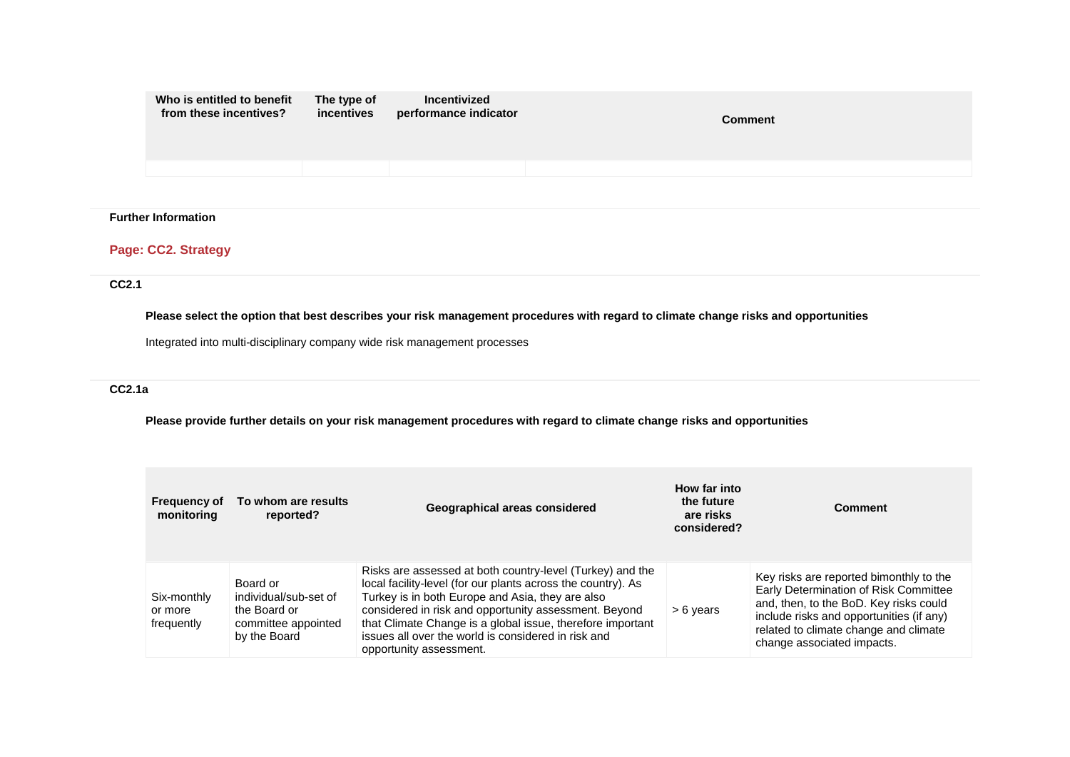| Who is entitled to benefit<br>from these incentives? | The type of<br>incentives | Incentivized<br>performance indicator | <b>Comment</b> |
|------------------------------------------------------|---------------------------|---------------------------------------|----------------|
|                                                      |                           |                                       |                |

# **Further Information**

# **Page: CC2. Strategy**

## **CC2.1**

# **Please select the option that best describes your risk management procedures with regard to climate change risks and opportunities**

Integrated into multi-disciplinary company wide risk management processes

# **CC2.1a**

**Please provide further details on your risk management procedures with regard to climate change risks and opportunities**

| <b>Frequency of</b><br>monitoring    | To whom are results<br>reported?                                                         | Geographical areas considered                                                                                                                                                                                                                                                                                                                                                          | How far into<br>the future<br>are risks<br>considered? | <b>Comment</b>                                                                                                                                                                                                                                |
|--------------------------------------|------------------------------------------------------------------------------------------|----------------------------------------------------------------------------------------------------------------------------------------------------------------------------------------------------------------------------------------------------------------------------------------------------------------------------------------------------------------------------------------|--------------------------------------------------------|-----------------------------------------------------------------------------------------------------------------------------------------------------------------------------------------------------------------------------------------------|
| Six-monthly<br>or more<br>frequently | Board or<br>individual/sub-set of<br>the Board or<br>committee appointed<br>by the Board | Risks are assessed at both country-level (Turkey) and the<br>local facility-level (for our plants across the country). As<br>Turkey is in both Europe and Asia, they are also<br>considered in risk and opportunity assessment. Beyond<br>that Climate Change is a global issue, therefore important<br>issues all over the world is considered in risk and<br>opportunity assessment. | $> 6$ years                                            | Key risks are reported bimonthly to the<br>Early Determination of Risk Committee<br>and, then, to the BoD. Key risks could<br>include risks and opportunities (if any)<br>related to climate change and climate<br>change associated impacts. |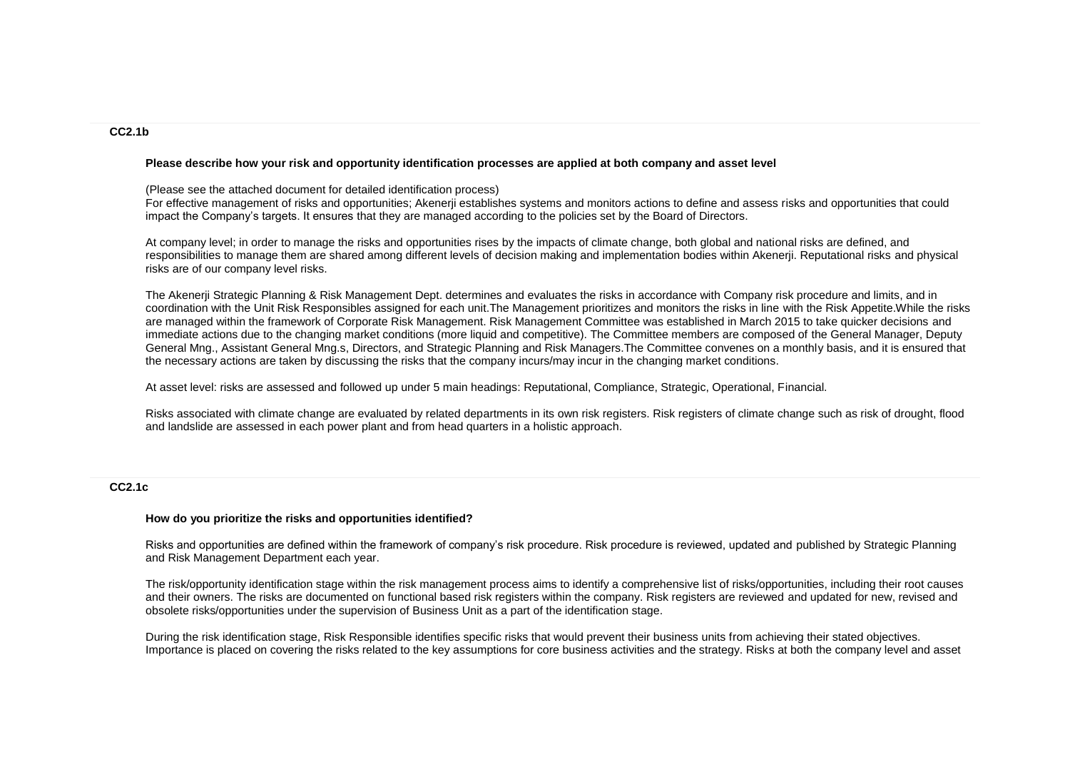#### **CC2.1b**

#### **Please describe how your risk and opportunity identification processes are applied at both company and asset level**

#### (Please see the attached document for detailed identification process)

For effective management of risks and opportunities; Akenerji establishes systems and monitors actions to define and assess risks and opportunities that could impact the Company's targets. It ensures that they are managed according to the policies set by the Board of Directors.

At company level; in order to manage the risks and opportunities rises by the impacts of climate change, both global and national risks are defined, and responsibilities to manage them are shared among different levels of decision making and implementation bodies within Akenerji. Reputational risks and physical risks are of our company level risks.

The Akenerji Strategic Planning & Risk Management Dept. determines and evaluates the risks in accordance with Company risk procedure and limits, and in coordination with the Unit Risk Responsibles assigned for each unit.The Management prioritizes and monitors the risks in line with the Risk Appetite.While the risks are managed within the framework of Corporate Risk Management. Risk Management Committee was established in March 2015 to take quicker decisions and immediate actions due to the changing market conditions (more liquid and competitive). The Committee members are composed of the General Manager, Deputy General Mng., Assistant General Mng.s, Directors, and Strategic Planning and Risk Managers.The Committee convenes on a monthly basis, and it is ensured that the necessary actions are taken by discussing the risks that the company incurs/may incur in the changing market conditions.

At asset level: risks are assessed and followed up under 5 main headings: Reputational, Compliance, Strategic, Operational, Financial.

Risks associated with climate change are evaluated by related departments in its own risk registers. Risk registers of climate change such as risk of drought, flood and landslide are assessed in each power plant and from head quarters in a holistic approach.

#### **CC2.1c**

#### **How do you prioritize the risks and opportunities identified?**

Risks and opportunities are defined within the framework of company's risk procedure. Risk procedure is reviewed, updated and published by Strategic Planning and Risk Management Department each year.

The risk/opportunity identification stage within the risk management process aims to identify a comprehensive list of risks/opportunities, including their root causes and their owners. The risks are documented on functional based risk registers within the company. Risk registers are reviewed and updated for new, revised and obsolete risks/opportunities under the supervision of Business Unit as a part of the identification stage.

During the risk identification stage, Risk Responsible identifies specific risks that would prevent their business units from achieving their stated objectives. Importance is placed on covering the risks related to the key assumptions for core business activities and the strategy. Risks at both the company level and asset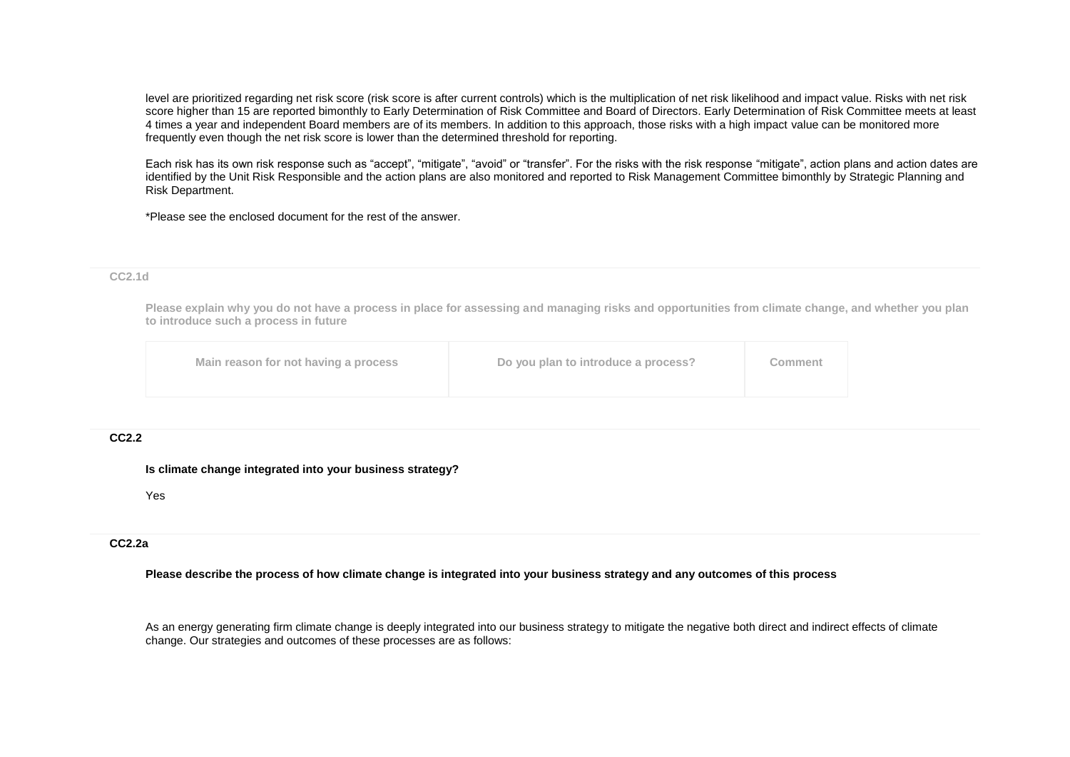level are prioritized regarding net risk score (risk score is after current controls) which is the multiplication of net risk likelihood and impact value. Risks with net risk score higher than 15 are reported bimonthly to Early Determination of Risk Committee and Board of Directors. Early Determination of Risk Committee meets at least 4 times a year and independent Board members are of its members. In addition to this approach, those risks with a high impact value can be monitored more frequently even though the net risk score is lower than the determined threshold for reporting.

Each risk has its own risk response such as "accept", "mitigate", "avoid" or "transfer". For the risks with the risk response "mitigate", action plans and action dates are identified by the Unit Risk Responsible and the action plans are also monitored and reported to Risk Management Committee bimonthly by Strategic Planning and Risk Department.

\*Please see the enclosed document for the rest of the answer.

#### **CC2.1d**

**Please explain why you do not have a process in place for assessing and managing risks and opportunities from climate change, and whether you plan to introduce such a process in future**

|  | Main reason for not having a process | Do you plan to introduce a process? | Comment |
|--|--------------------------------------|-------------------------------------|---------|
|--|--------------------------------------|-------------------------------------|---------|

#### **CC2.2**

#### **Is climate change integrated into your business strategy?**

Yes

## **CC2.2a**

#### **Please describe the process of how climate change is integrated into your business strategy and any outcomes of this process**

As an energy generating firm climate change is deeply integrated into our business strategy to mitigate the negative both direct and indirect effects of climate change. Our strategies and outcomes of these processes are as follows: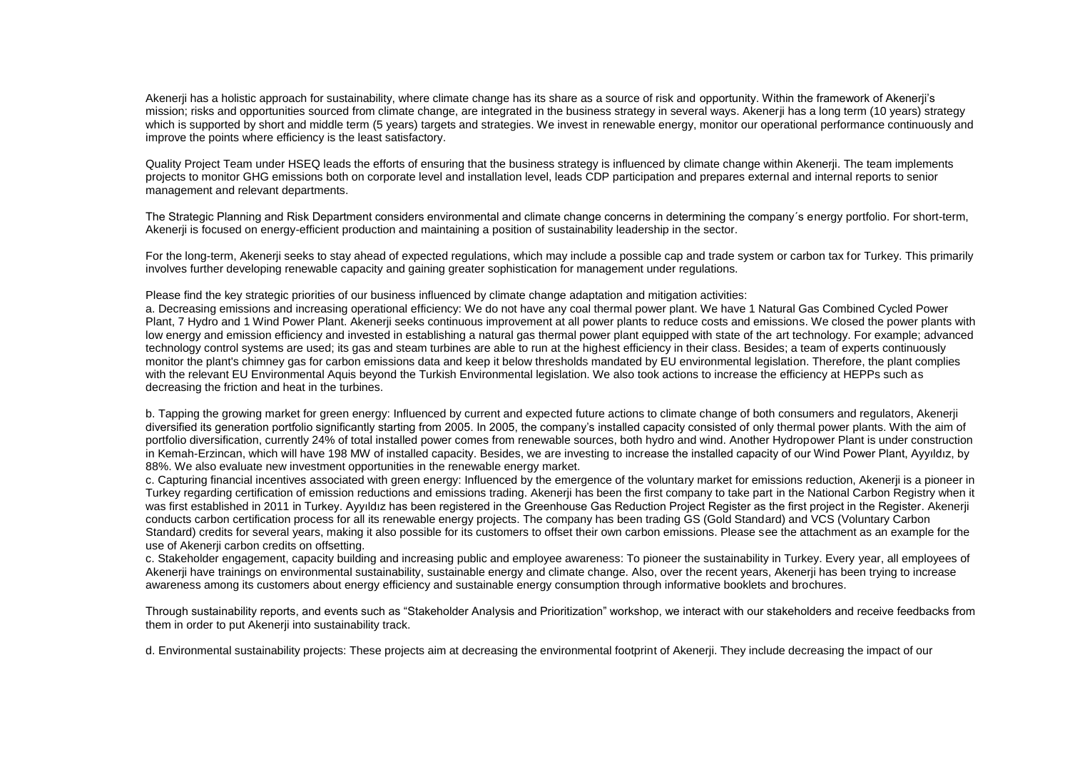Akenerji has a holistic approach for sustainability, where climate change has its share as a source of risk and opportunity. Within the framework of Akenerji's mission; risks and opportunities sourced from climate change, are integrated in the business strategy in several ways. Akenerji has a long term (10 years) strategy which is supported by short and middle term (5 years) targets and strategies. We invest in renewable energy, monitor our operational performance continuously and improve the points where efficiency is the least satisfactory.

Quality Project Team under HSEQ leads the efforts of ensuring that the business strategy is influenced by climate change within Akenerji. The team implements projects to monitor GHG emissions both on corporate level and installation level, leads CDP participation and prepares external and internal reports to senior management and relevant departments.

The Strategic Planning and Risk Department considers environmental and climate change concerns in determining the company´s energy portfolio. For short-term, Akenerji is focused on energy-efficient production and maintaining a position of sustainability leadership in the sector.

For the long-term, Akenerji seeks to stay ahead of expected regulations, which may include a possible cap and trade system or carbon tax for Turkey. This primarily involves further developing renewable capacity and gaining greater sophistication for management under regulations.

Please find the key strategic priorities of our business influenced by climate change adaptation and mitigation activities:

a. Decreasing emissions and increasing operational efficiency: We do not have any coal thermal power plant. We have 1 Natural Gas Combined Cycled Power Plant, 7 Hydro and 1 Wind Power Plant. Akenerji seeks continuous improvement at all power plants to reduce costs and emissions. We closed the power plants with low energy and emission efficiency and invested in establishing a natural gas thermal power plant equipped with state of the art technology. For example; advanced technology control systems are used; its gas and steam turbines are able to run at the highest efficiency in their class. Besides; a team of experts continuously monitor the plant's chimney gas for carbon emissions data and keep it below thresholds mandated by EU environmental legislation. Therefore, the plant complies with the relevant EU Environmental Aquis beyond the Turkish Environmental legislation. We also took actions to increase the efficiency at HEPPs such as decreasing the friction and heat in the turbines.

b. Tapping the growing market for green energy: Influenced by current and expected future actions to climate change of both consumers and regulators, Akenerji diversified its generation portfolio significantly starting from 2005. In 2005, the company's installed capacity consisted of only thermal power plants. With the aim of portfolio diversification, currently 24% of total installed power comes from renewable sources, both hydro and wind. Another Hydropower Plant is under construction in Kemah-Erzincan, which will have 198 MW of installed capacity. Besides, we are investing to increase the installed capacity of our Wind Power Plant, Ayyıldız, by 88%. We also evaluate new investment opportunities in the renewable energy market.

c. Capturing financial incentives associated with green energy: Influenced by the emergence of the voluntary market for emissions reduction, Akenerji is a pioneer in Turkey regarding certification of emission reductions and emissions trading. Akenerji has been the first company to take part in the National Carbon Registry when it was first established in 2011 in Turkev. Avvildiz has been registered in the Greenhouse Gas Reduction Project Register as the first project in the Register. Akenerji conducts carbon certification process for all its renewable energy projects. The company has been trading GS (Gold Standard) and VCS (Voluntary Carbon Standard) credits for several years, making it also possible for its customers to offset their own carbon emissions. Please see the attachment as an example for the use of Akenerji carbon credits on offsetting.

c. Stakeholder engagement, capacity building and increasing public and employee awareness: To pioneer the sustainability in Turkey. Every year, all employees of Akenerji have trainings on environmental sustainability, sustainable energy and climate change. Also, over the recent years, Akenerji has been trying to increase awareness among its customers about energy efficiency and sustainable energy consumption through informative booklets and brochures.

Through sustainability reports, and events such as "Stakeholder Analysis and Prioritization" workshop, we interact with our stakeholders and receive feedbacks from them in order to put Akenerji into sustainability track.

d. Environmental sustainability projects: These projects aim at decreasing the environmental footprint of Akenerji. They include decreasing the impact of our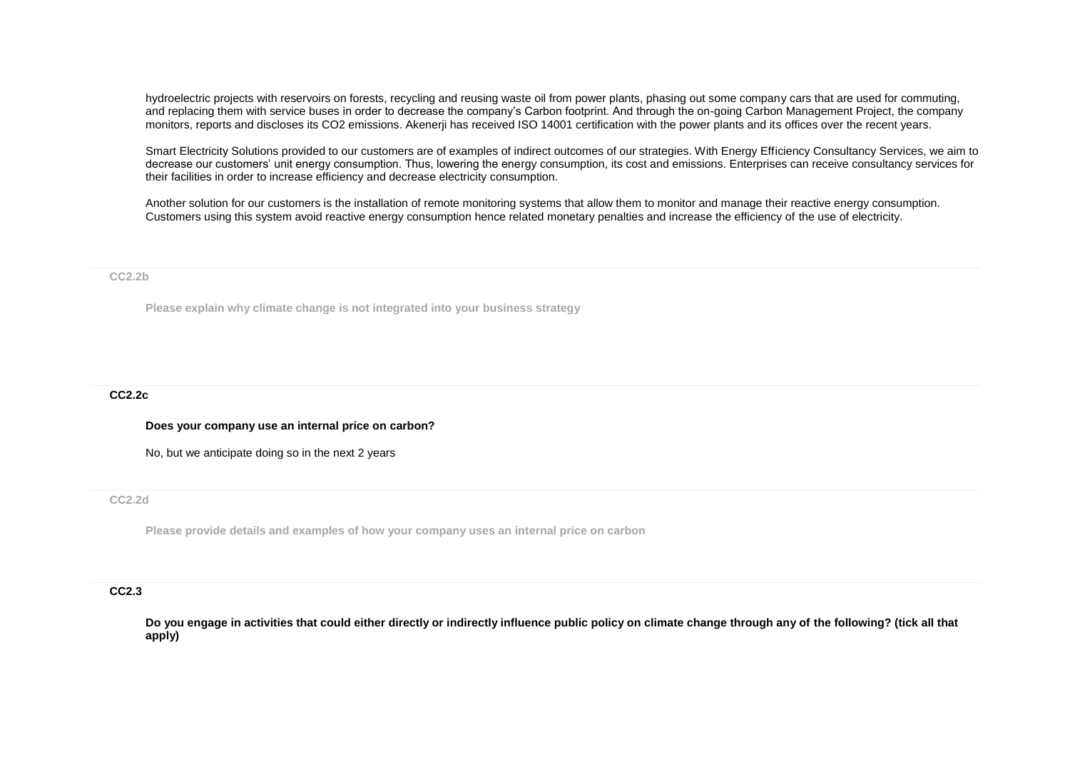hydroelectric projects with reservoirs on forests, recycling and reusing waste oil from power plants, phasing out some company cars that are used for commuting, and replacing them with service buses in order to decrease the company's Carbon footprint. And through the on-going Carbon Management Project, the company monitors, reports and discloses its CO2 emissions. Akenerji has received ISO 14001 certification with the power plants and its offices over the recent years.

Smart Electricity Solutions provided to our customers are of examples of indirect outcomes of our strategies. With Energy Efficiency Consultancy Services, we aim to decrease our customers' unit energy consumption. Thus, lowering the energy consumption, its cost and emissions. Enterprises can receive consultancy services for their facilities in order to increase efficiency and decrease electricity consumption.

Another solution for our customers is the installation of remote monitoring systems that allow them to monitor and manage their reactive energy consumption. Customers using this system avoid reactive energy consumption hence related monetary penalties and increase the efficiency of the use of electricity.

#### **CC2.2b**

**Please explain why climate change is not integrated into your business strategy**

## **CC2.2c**

#### **Does your company use an internal price on carbon?**

No, but we anticipate doing so in the next 2 years

### **CC2.2d**

**Please provide details and examples of how your company uses an internal price on carbon**

#### **CC2.3**

**Do you engage in activities that could either directly or indirectly influence public policy on climate change through any of the following? (tick all that apply)**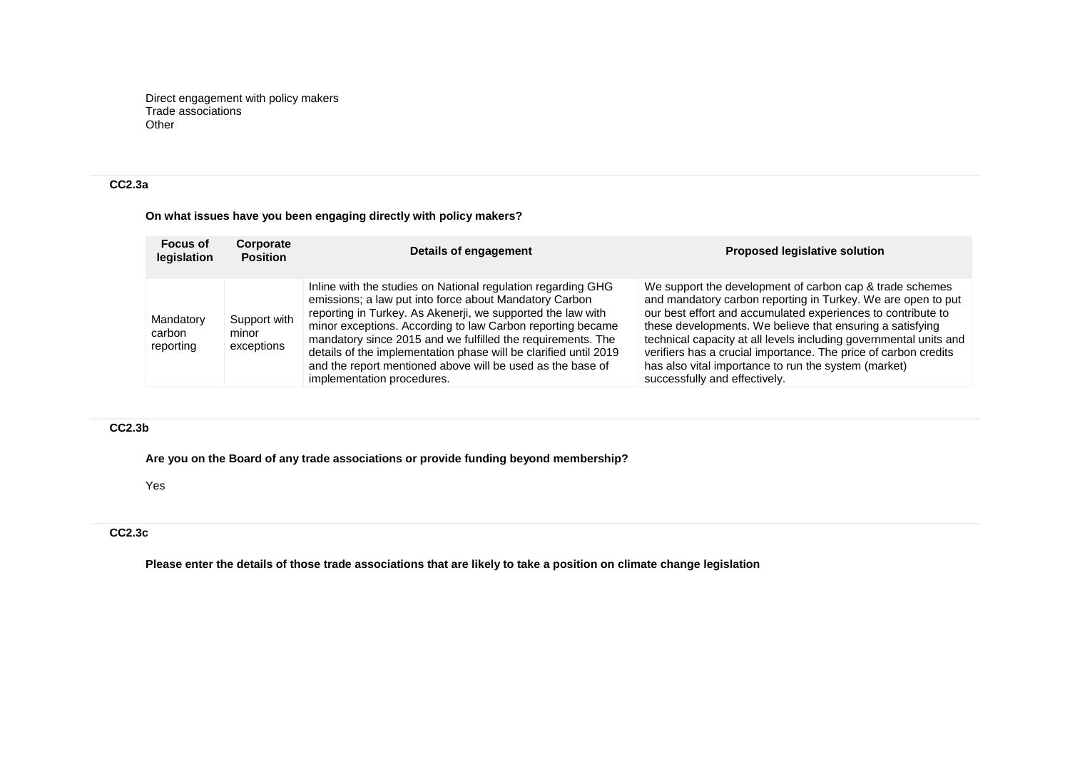Direct engagement with policy makers Trade associations Other

# **CC2.3a**

# **On what issues have you been engaging directly with policy makers?**

| <b>Focus of</b><br>legislation   | Corporate<br><b>Position</b>        | Details of engagement                                                                                                                                                                                                                                                                                                                                                                                                                                                              | <b>Proposed legislative solution</b>                                                                                                                                                                                                                                                                                                                                                                                                                                                   |
|----------------------------------|-------------------------------------|------------------------------------------------------------------------------------------------------------------------------------------------------------------------------------------------------------------------------------------------------------------------------------------------------------------------------------------------------------------------------------------------------------------------------------------------------------------------------------|----------------------------------------------------------------------------------------------------------------------------------------------------------------------------------------------------------------------------------------------------------------------------------------------------------------------------------------------------------------------------------------------------------------------------------------------------------------------------------------|
| Mandatory<br>carbon<br>reporting | Support with<br>minor<br>exceptions | Inline with the studies on National regulation regarding GHG<br>emissions; a law put into force about Mandatory Carbon<br>reporting in Turkey. As Akenerji, we supported the law with<br>minor exceptions. According to law Carbon reporting became<br>mandatory since 2015 and we fulfilled the requirements. The<br>details of the implementation phase will be clarified until 2019<br>and the report mentioned above will be used as the base of<br>implementation procedures. | We support the development of carbon cap & trade schemes<br>and mandatory carbon reporting in Turkey. We are open to put<br>our best effort and accumulated experiences to contribute to<br>these developments. We believe that ensuring a satisfying<br>technical capacity at all levels including governmental units and<br>verifiers has a crucial importance. The price of carbon credits<br>has also vital importance to run the system (market)<br>successfully and effectively. |

## **CC2.3b**

**Are you on the Board of any trade associations or provide funding beyond membership?**

Yes

# **CC2.3c**

**Please enter the details of those trade associations that are likely to take a position on climate change legislation**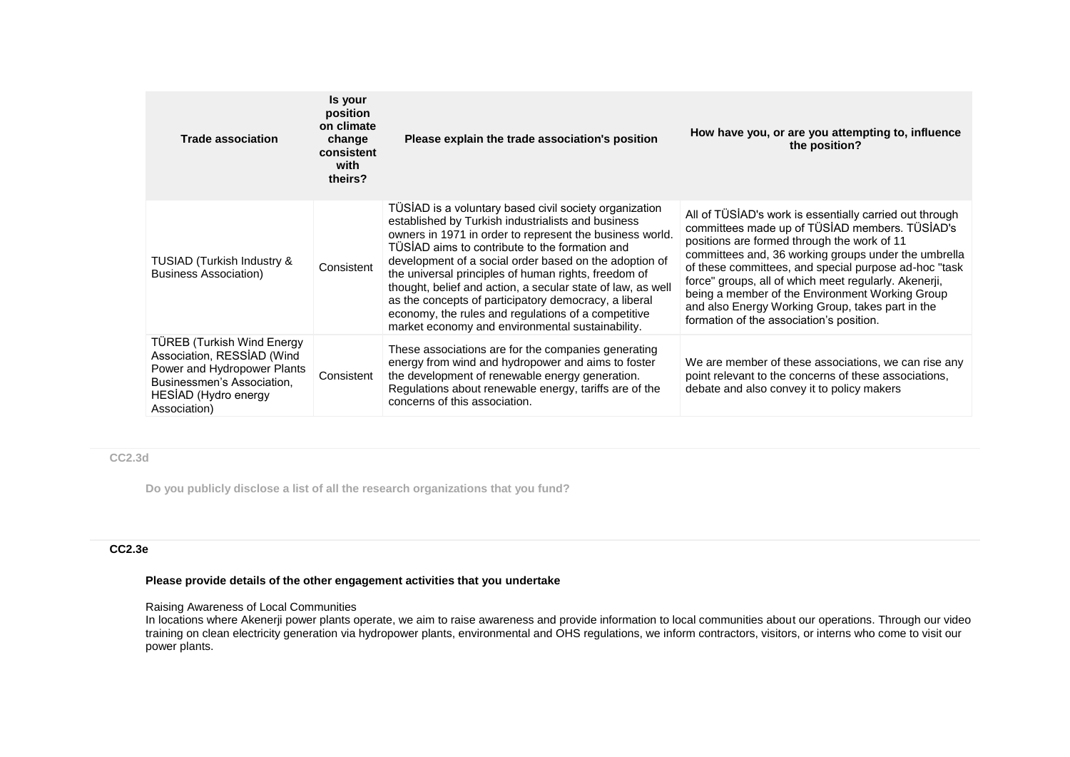| <b>Trade association</b>                                                                                                                                             | Is your<br>position<br>on climate<br>change<br>consistent<br>with<br>theirs? | Please explain the trade association's position                                                                                                                                                                                                                                                                                                                                                                                                                                                                                                                                 | How have you, or are you attempting to, influence<br>the position?                                                                                                                                                                                                                                                                                                                                                                                                                    |
|----------------------------------------------------------------------------------------------------------------------------------------------------------------------|------------------------------------------------------------------------------|---------------------------------------------------------------------------------------------------------------------------------------------------------------------------------------------------------------------------------------------------------------------------------------------------------------------------------------------------------------------------------------------------------------------------------------------------------------------------------------------------------------------------------------------------------------------------------|---------------------------------------------------------------------------------------------------------------------------------------------------------------------------------------------------------------------------------------------------------------------------------------------------------------------------------------------------------------------------------------------------------------------------------------------------------------------------------------|
| TUSIAD (Turkish Industry &<br><b>Business Association)</b>                                                                                                           | Consistent                                                                   | TÜSİAD is a voluntary based civil society organization<br>established by Turkish industrialists and business<br>owners in 1971 in order to represent the business world.<br>TÜSIAD aims to contribute to the formation and<br>development of a social order based on the adoption of<br>the universal principles of human rights, freedom of<br>thought, belief and action, a secular state of law, as well<br>as the concepts of participatory democracy, a liberal<br>economy, the rules and regulations of a competitive<br>market economy and environmental sustainability. | All of TÜSİAD's work is essentially carried out through<br>committees made up of TÜSİAD members. TÜSİAD's<br>positions are formed through the work of 11<br>committees and, 36 working groups under the umbrella<br>of these committees, and special purpose ad-hoc "task<br>force" groups, all of which meet regularly. Akenerji,<br>being a member of the Environment Working Group<br>and also Energy Working Group, takes part in the<br>formation of the association's position. |
| <b>TÜREB (Turkish Wind Energy</b><br>Association, RESSIAD (Wind<br>Power and Hydropower Plants<br>Businessmen's Association,<br>HESIAD (Hydro energy<br>Association) | Consistent                                                                   | These associations are for the companies generating<br>energy from wind and hydropower and aims to foster<br>the development of renewable energy generation.<br>Regulations about renewable energy, tariffs are of the<br>concerns of this association.                                                                                                                                                                                                                                                                                                                         | We are member of these associations, we can rise any<br>point relevant to the concerns of these associations,<br>debate and also convey it to policy makers                                                                                                                                                                                                                                                                                                                           |

**CC2.3d**

**Do you publicly disclose a list of all the research organizations that you fund?**

## **CC2.3e**

# **Please provide details of the other engagement activities that you undertake**

# Raising Awareness of Local Communities

In locations where Akenerji power plants operate, we aim to raise awareness and provide information to local communities about our operations. Through our video training on clean electricity generation via hydropower plants, environmental and OHS regulations, we inform contractors, visitors, or interns who come to visit our power plants.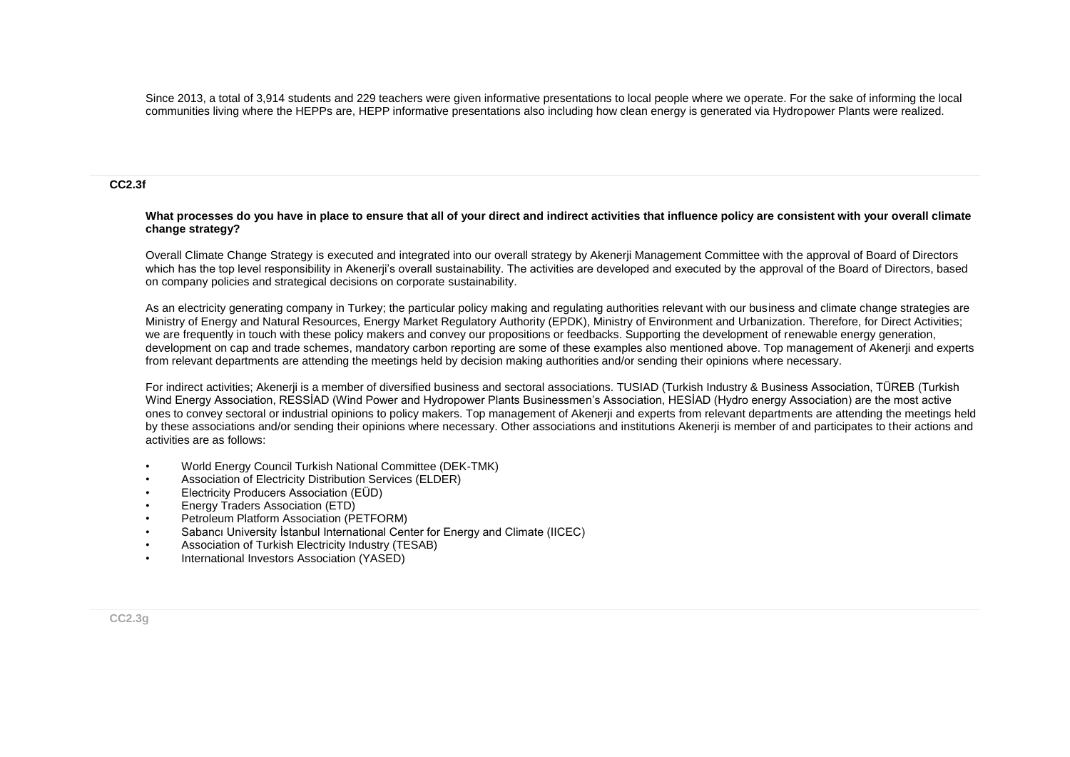Since 2013, a total of 3,914 students and 229 teachers were given informative presentations to local people where we operate. For the sake of informing the local communities living where the HEPPs are, HEPP informative presentations also including how clean energy is generated via Hydropower Plants were realized.

#### **CC2.3f**

#### **What processes do you have in place to ensure that all of your direct and indirect activities that influence policy are consistent with your overall climate change strategy?**

Overall Climate Change Strategy is executed and integrated into our overall strategy by Akenerji Management Committee with the approval of Board of Directors which has the top level responsibility in Akenerii's overall sustainability. The activities are developed and executed by the approval of the Board of Directors, based on company policies and strategical decisions on corporate sustainability.

As an electricity generating company in Turkey; the particular policy making and regulating authorities relevant with our business and climate change strategies are Ministry of Energy and Natural Resources, Energy Market Regulatory Authority (EPDK), Ministry of Environment and Urbanization. Therefore, for Direct Activities; we are frequently in touch with these policy makers and convey our propositions or feedbacks. Supporting the development of renewable energy generation, development on cap and trade schemes, mandatory carbon reporting are some of these examples also mentioned above. Top management of Akenerji and experts from relevant departments are attending the meetings held by decision making authorities and/or sending their opinions where necessary.

For indirect activities; Akenerji is a member of diversified business and sectoral associations. TUSIAD (Turkish Industry & Business Association, TÜREB (Turkish Wind Energy Association, RESSİAD (Wind Power and Hydropower Plants Businessmen's Association, HESİAD (Hydro energy Association) are the most active ones to convey sectoral or industrial opinions to policy makers. Top management of Akenerji and experts from relevant departments are attending the meetings held by these associations and/or sending their opinions where necessary. Other associations and institutions Akenerji is member of and participates to their actions and activities are as follows:

- World Energy Council Turkish National Committee (DEK-TMK)
- Association of Electricity Distribution Services (ELDER)
- Electricity Producers Association (EÜD)
- Energy Traders Association (ETD)
- Petroleum Platform Association (PETFORM)
- Sabancı University İstanbul International Center for Energy and Climate (IICEC)
- Association of Turkish Electricity Industry (TESAB)
- International Investors Association (YASED)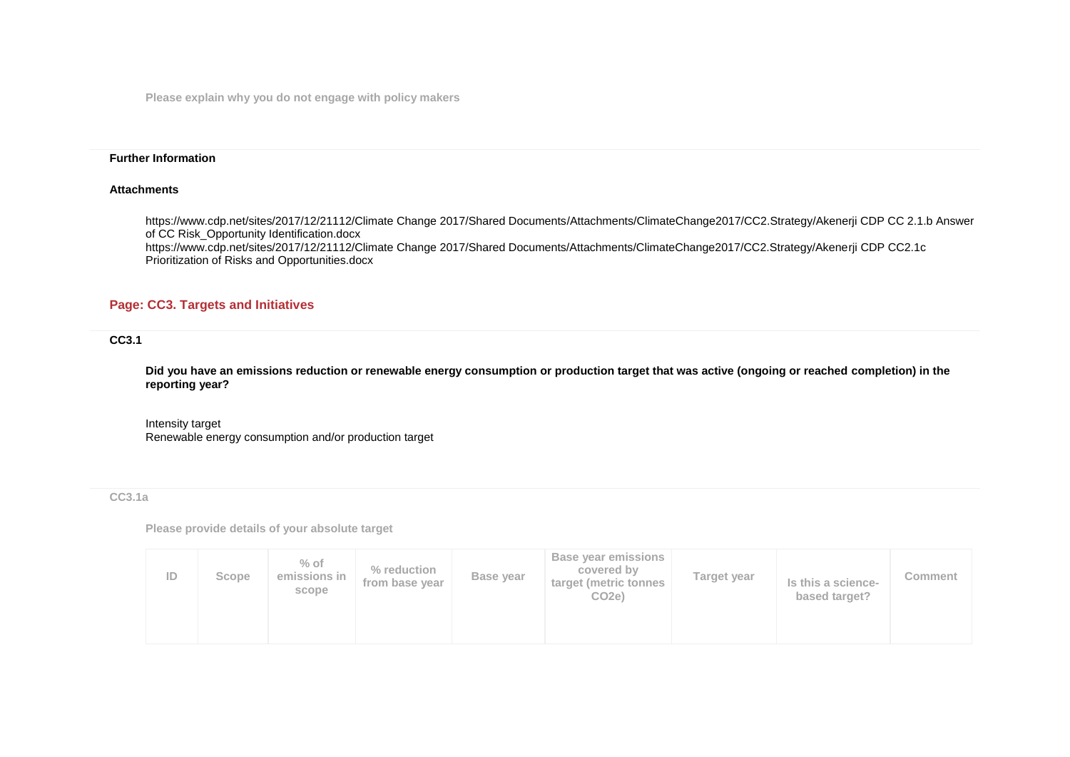**Please explain why you do not engage with policy makers**

### **Further Information**

#### **Attachments**

https://www.cdp.net/sites/2017/12/21112/Climate Change 2017/Shared Documents/Attachments/ClimateChange2017/CC2.Strategy/Akenerji CDP CC 2.1.b Answer of CC Risk\_Opportunity Identification.docx https://www.cdp.net/sites/2017/12/21112/Climate Change 2017/Shared Documents/Attachments/ClimateChange2017/CC2.Strategy/Akenerji CDP CC2.1c Prioritization of Risks and Opportunities.docx

## **Page: CC3. Targets and Initiatives**

### **CC3.1**

**Did you have an emissions reduction or renewable energy consumption or production target that was active (ongoing or reached completion) in the reporting year?**

Intensity target Renewable energy consumption and/or production target

#### **CC3.1a**

**Please provide details of your absolute target**

| ID | Scope | $%$ of<br>emissions in<br>scope | % reduction<br>from base year | Base year | <b>Base year emissions</b><br>covered by<br>target (metric tonnes<br>CO <sub>2e</sub> ) | Target year | Is this a science-<br>based target? | Comment |
|----|-------|---------------------------------|-------------------------------|-----------|-----------------------------------------------------------------------------------------|-------------|-------------------------------------|---------|
|----|-------|---------------------------------|-------------------------------|-----------|-----------------------------------------------------------------------------------------|-------------|-------------------------------------|---------|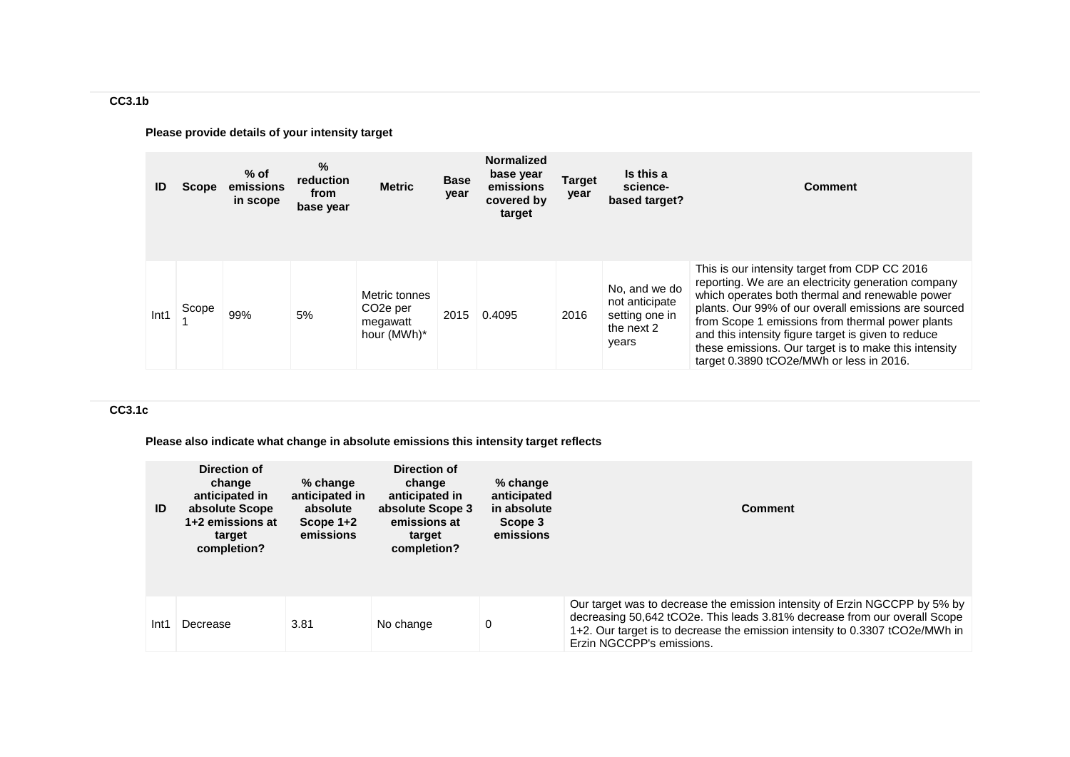**Please provide details of your intensity target**

| ID   | <b>Scope</b> | $%$ of<br>emissions<br>in scope | %<br>reduction<br>from<br>base year | <b>Metric</b>                                                     | <b>Base</b><br>year | <b>Normalized</b><br>base year<br>emissions<br>covered by<br>target | <b>Target</b><br>year | Is this a<br>science-<br>based target?                                   | <b>Comment</b>                                                                                                                                                                                                                                                                                                                                                                                                                  |
|------|--------------|---------------------------------|-------------------------------------|-------------------------------------------------------------------|---------------------|---------------------------------------------------------------------|-----------------------|--------------------------------------------------------------------------|---------------------------------------------------------------------------------------------------------------------------------------------------------------------------------------------------------------------------------------------------------------------------------------------------------------------------------------------------------------------------------------------------------------------------------|
| Int1 | Scope        | 99%                             | 5%                                  | Metric tonnes<br>CO <sub>2</sub> e per<br>megawatt<br>hour (MWh)* | 2015                | 0.4095                                                              | 2016                  | No, and we do<br>not anticipate<br>setting one in<br>the next 2<br>years | This is our intensity target from CDP CC 2016<br>reporting. We are an electricity generation company<br>which operates both thermal and renewable power<br>plants. Our 99% of our overall emissions are sourced<br>from Scope 1 emissions from thermal power plants<br>and this intensity figure target is given to reduce<br>these emissions. Our target is to make this intensity<br>target 0.3890 tCO2e/MWh or less in 2016. |

# **CC3.1c**

**Please also indicate what change in absolute emissions this intensity target reflects**

| ID               | Direction of<br>change<br>anticipated in<br>absolute Scope<br>1+2 emissions at<br>target<br>completion? | % change<br>anticipated in<br>absolute<br>Scope $1+2$<br>emissions | Direction of<br>change<br>anticipated in<br>absolute Scope 3<br>emissions at<br>target<br>completion? | $%$ change<br>anticipated<br>in absolute<br>Scope 3<br>emissions | <b>Comment</b>                                                                                                                                                                                                                                                       |
|------------------|---------------------------------------------------------------------------------------------------------|--------------------------------------------------------------------|-------------------------------------------------------------------------------------------------------|------------------------------------------------------------------|----------------------------------------------------------------------------------------------------------------------------------------------------------------------------------------------------------------------------------------------------------------------|
| Int <sub>1</sub> | Decrease                                                                                                | 3.81                                                               | No change                                                                                             | 0                                                                | Our target was to decrease the emission intensity of Erzin NGCCPP by 5% by<br>decreasing 50,642 tCO2e. This leads 3.81% decrease from our overall Scope<br>1+2. Our target is to decrease the emission intensity to 0.3307 tCO2e/MWh in<br>Erzin NGCCPP's emissions. |

**CC3.1b**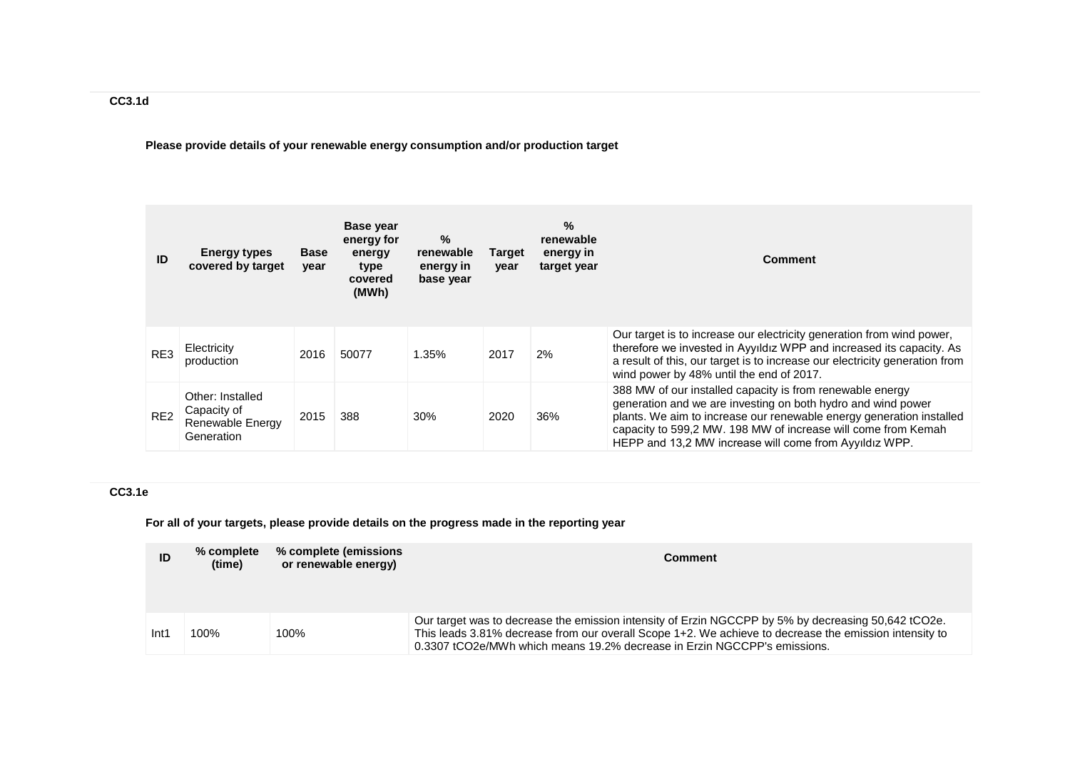**Please provide details of your renewable energy consumption and/or production target**

| ID              | <b>Energy types</b><br>covered by target                          | <b>Base</b><br>year | Base year<br>energy for<br>energy<br>type<br>covered<br>(MWh) | %<br>renewable<br>energy in<br>base year | <b>Target</b><br>year | %<br>renewable<br>energy in<br>target year | <b>Comment</b>                                                                                                                                                                                                                                                                                                               |
|-----------------|-------------------------------------------------------------------|---------------------|---------------------------------------------------------------|------------------------------------------|-----------------------|--------------------------------------------|------------------------------------------------------------------------------------------------------------------------------------------------------------------------------------------------------------------------------------------------------------------------------------------------------------------------------|
| RE3             | Electricity<br>production                                         | 2016                | 50077                                                         | 1.35%                                    | 2017                  | 2%                                         | Our target is to increase our electricity generation from wind power,<br>therefore we invested in Ayyıldız WPP and increased its capacity. As<br>a result of this, our target is to increase our electricity generation from<br>wind power by 48% until the end of 2017.                                                     |
| RE <sub>2</sub> | Other: Installed<br>Capacity of<br>Renewable Energy<br>Generation | 2015                | 388                                                           | 30%                                      | 2020                  | 36%                                        | 388 MW of our installed capacity is from renewable energy<br>generation and we are investing on both hydro and wind power<br>plants. We aim to increase our renewable energy generation installed<br>capacity to 599,2 MW. 198 MW of increase will come from Kemah<br>HEPP and 13.2 MW increase will come from Ayyildiz WPP. |

# **CC3.1e**

**For all of your targets, please provide details on the progress made in the reporting year**

| ID   | % complete<br>(time) | % complete (emissions<br>or renewable energy) | <b>Comment</b>                                                                                                                                                                                                                                                                            |
|------|----------------------|-----------------------------------------------|-------------------------------------------------------------------------------------------------------------------------------------------------------------------------------------------------------------------------------------------------------------------------------------------|
| Int1 | 100%                 | 100%                                          | Our target was to decrease the emission intensity of Erzin NGCCPP by 5% by decreasing 50,642 tCO2e.<br>This leads 3.81% decrease from our overall Scope 1+2. We achieve to decrease the emission intensity to<br>0.3307 tCO2e/MWh which means 19.2% decrease in Erzin NGCCPP's emissions. |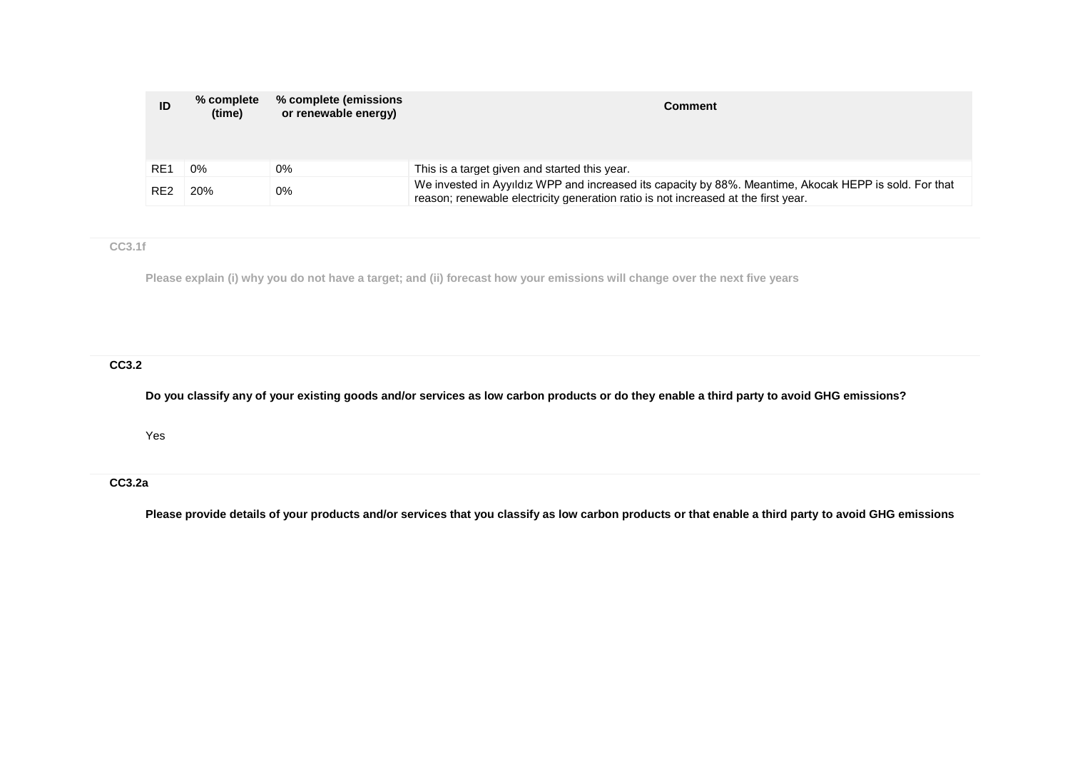| ID              | % complete<br>(time) | % complete (emissions)<br>or renewable energy) | <b>Comment</b>                                                                                                                                                                               |
|-----------------|----------------------|------------------------------------------------|----------------------------------------------------------------------------------------------------------------------------------------------------------------------------------------------|
| RE <sub>1</sub> | $0\%$                | 0%                                             | This is a target given and started this year.                                                                                                                                                |
| RE <sub>2</sub> | 20%                  | 0%                                             | We invested in Ayyıldız WPP and increased its capacity by 88%. Meantime, Akocak HEPP is sold. For that<br>reason; renewable electricity generation ratio is not increased at the first year. |

**CC3.1f**

**Please explain (i) why you do not have a target; and (ii) forecast how your emissions will change over the next five years**

**CC3.2**

**Do you classify any of your existing goods and/or services as low carbon products or do they enable a third party to avoid GHG emissions?**

Yes

# **CC3.2a**

**Please provide details of your products and/or services that you classify as low carbon products or that enable a third party to avoid GHG emissions**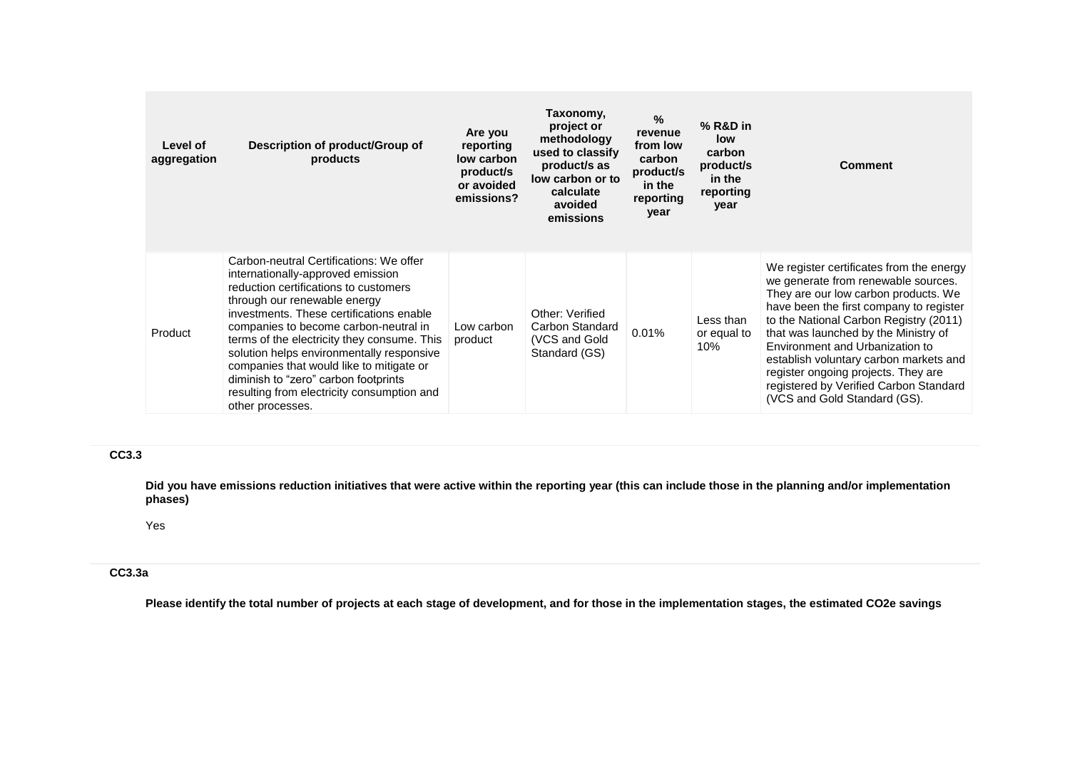| Level of<br>aggregation | Description of product/Group of<br>products                                                                                                                                                                                                                                                                                                                                                                                                                                                  | Are you<br>reporting<br>low carbon<br>product/s<br>or avoided<br>emissions? | Taxonomy,<br>project or<br>methodology<br>used to classify<br>product/s as<br>low carbon or to<br>calculate<br>avoided<br>emissions | $\%$<br>revenue<br>from low<br>carbon<br>product/s<br>in the<br>reporting<br>year | $%$ R&D in<br>low<br>carbon<br>product/s<br>in the<br>reporting<br>year | <b>Comment</b>                                                                                                                                                                                                                                                                                                                                                                                                                                     |
|-------------------------|----------------------------------------------------------------------------------------------------------------------------------------------------------------------------------------------------------------------------------------------------------------------------------------------------------------------------------------------------------------------------------------------------------------------------------------------------------------------------------------------|-----------------------------------------------------------------------------|-------------------------------------------------------------------------------------------------------------------------------------|-----------------------------------------------------------------------------------|-------------------------------------------------------------------------|----------------------------------------------------------------------------------------------------------------------------------------------------------------------------------------------------------------------------------------------------------------------------------------------------------------------------------------------------------------------------------------------------------------------------------------------------|
| Product                 | Carbon-neutral Certifications: We offer<br>internationally-approved emission<br>reduction certifications to customers<br>through our renewable energy<br>investments. These certifications enable<br>companies to become carbon-neutral in<br>terms of the electricity they consume. This<br>solution helps environmentally responsive<br>companies that would like to mitigate or<br>diminish to "zero" carbon footprints<br>resulting from electricity consumption and<br>other processes. | Low carbon<br>product                                                       | Other: Verified<br>Carbon Standard<br>(VCS and Gold<br>Standard (GS)                                                                | 0.01%                                                                             | Less than<br>or equal to<br>10%                                         | We register certificates from the energy<br>we generate from renewable sources.<br>They are our low carbon products. We<br>have been the first company to register<br>to the National Carbon Registry (2011)<br>that was launched by the Ministry of<br>Environment and Urbanization to<br>establish voluntary carbon markets and<br>register ongoing projects. They are<br>registered by Verified Carbon Standard<br>(VCS and Gold Standard (GS). |

### **CC3.3**

**Did you have emissions reduction initiatives that were active within the reporting year (this can include those in the planning and/or implementation phases)**

## Yes

# **CC3.3a**

**Please identify the total number of projects at each stage of development, and for those in the implementation stages, the estimated CO2e savings**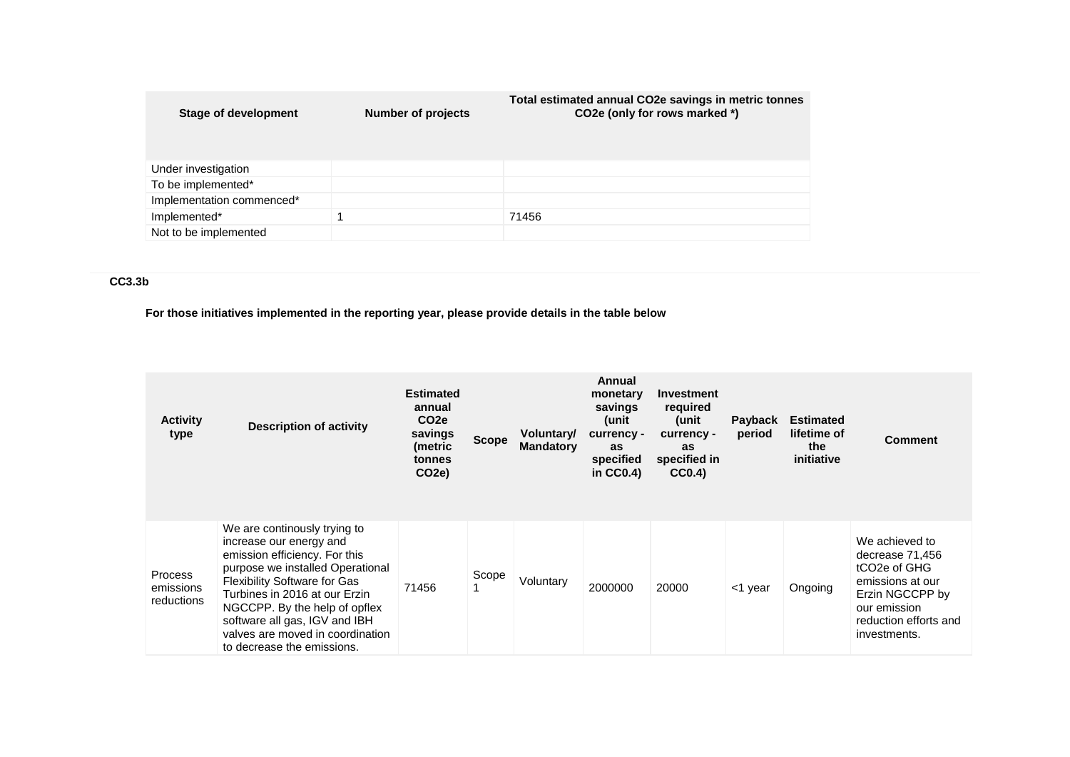| <b>Stage of development</b> | Number of projects | Total estimated annual CO2e savings in metric tonnes<br>CO2e (only for rows marked *) |
|-----------------------------|--------------------|---------------------------------------------------------------------------------------|
| Under investigation         |                    |                                                                                       |
| To be implemented*          |                    |                                                                                       |
| Implementation commenced*   |                    |                                                                                       |
| Implemented*                |                    | 71456                                                                                 |
| Not to be implemented       |                    |                                                                                       |

# **CC3.3b**

**For those initiatives implemented in the reporting year, please provide details in the table below**

| <b>Activity</b><br>type                   | <b>Description of activity</b>                                                                                                                                                                                                                                                                                                           | <b>Estimated</b><br>annual<br>CO <sub>2e</sub><br>savings<br>(metric<br>tonnes<br>CO <sub>2</sub> e) | <b>Scope</b> | Voluntary/<br><b>Mandatory</b> | Annual<br>monetary<br>savings<br>unit)<br>currency -<br>as<br>specified<br>in $CC0.4$ ) | <b>Investment</b><br>required<br>unit)<br>currency -<br>as<br>specified in<br>CC0.4) | Payback<br>period | <b>Estimated</b><br>lifetime of<br>the<br>initiative | <b>Comment</b>                                                                                                                                                             |
|-------------------------------------------|------------------------------------------------------------------------------------------------------------------------------------------------------------------------------------------------------------------------------------------------------------------------------------------------------------------------------------------|------------------------------------------------------------------------------------------------------|--------------|--------------------------------|-----------------------------------------------------------------------------------------|--------------------------------------------------------------------------------------|-------------------|------------------------------------------------------|----------------------------------------------------------------------------------------------------------------------------------------------------------------------------|
| <b>Process</b><br>emissions<br>reductions | We are continously trying to<br>increase our energy and<br>emission efficiency. For this<br>purpose we installed Operational<br><b>Flexibility Software for Gas</b><br>Turbines in 2016 at our Erzin<br>NGCCPP. By the help of opflex<br>software all gas, IGV and IBH<br>valves are moved in coordination<br>to decrease the emissions. | 71456                                                                                                | Scope        | Voluntary                      | 2000000                                                                                 | 20000                                                                                | <1 year           | Ongoing                                              | We achieved to<br>decrease 71,456<br>tCO <sub>2</sub> e of GH <sub>G</sub><br>emissions at our<br>Erzin NGCCPP by<br>our emission<br>reduction efforts and<br>investments. |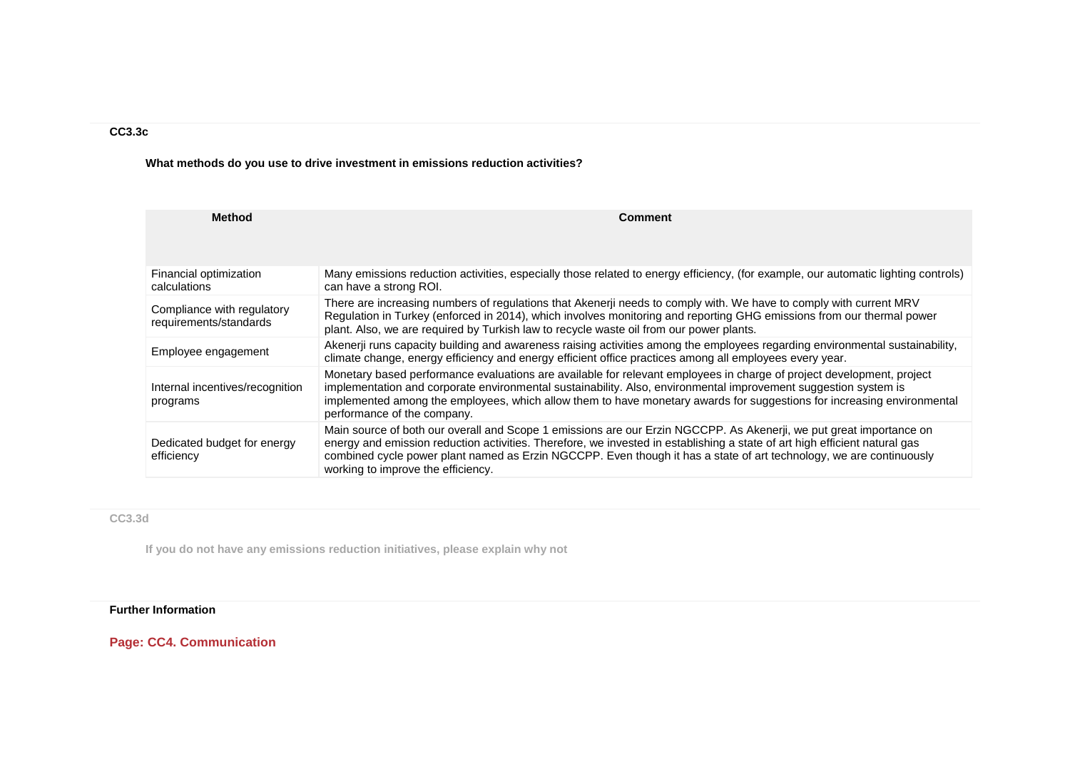# **CC3.3c**

**What methods do you use to drive investment in emissions reduction activities?**

| <b>Method</b>                                        | <b>Comment</b>                                                                                                                                                                                                                                                                                                                                                                                                 |
|------------------------------------------------------|----------------------------------------------------------------------------------------------------------------------------------------------------------------------------------------------------------------------------------------------------------------------------------------------------------------------------------------------------------------------------------------------------------------|
| Financial optimization<br>calculations               | Many emissions reduction activities, especially those related to energy efficiency, (for example, our automatic lighting controls)<br>can have a strong ROI.                                                                                                                                                                                                                                                   |
| Compliance with regulatory<br>requirements/standards | There are increasing numbers of regulations that Akenerji needs to comply with. We have to comply with current MRV<br>Regulation in Turkey (enforced in 2014), which involves monitoring and reporting GHG emissions from our thermal power<br>plant. Also, we are required by Turkish law to recycle waste oil from our power plants.                                                                         |
| Employee engagement                                  | Akenerji runs capacity building and awareness raising activities among the employees regarding environmental sustainability,<br>climate change, energy efficiency and energy efficient office practices among all employees every year.                                                                                                                                                                        |
| Internal incentives/recognition<br>programs          | Monetary based performance evaluations are available for relevant employees in charge of project development, project<br>implementation and corporate environmental sustainability. Also, environmental improvement suggestion system is<br>implemented among the employees, which allow them to have monetary awards for suggestions for increasing environmental<br>performance of the company.              |
| Dedicated budget for energy<br>efficiency            | Main source of both our overall and Scope 1 emissions are our Erzin NGCCPP. As Akenerji, we put great importance on<br>energy and emission reduction activities. Therefore, we invested in establishing a state of art high efficient natural gas<br>combined cycle power plant named as Erzin NGCCPP. Even though it has a state of art technology, we are continuously<br>working to improve the efficiency. |

# **CC3.3d**

**If you do not have any emissions reduction initiatives, please explain why not**

# **Further Information**

**Page: CC4. Communication**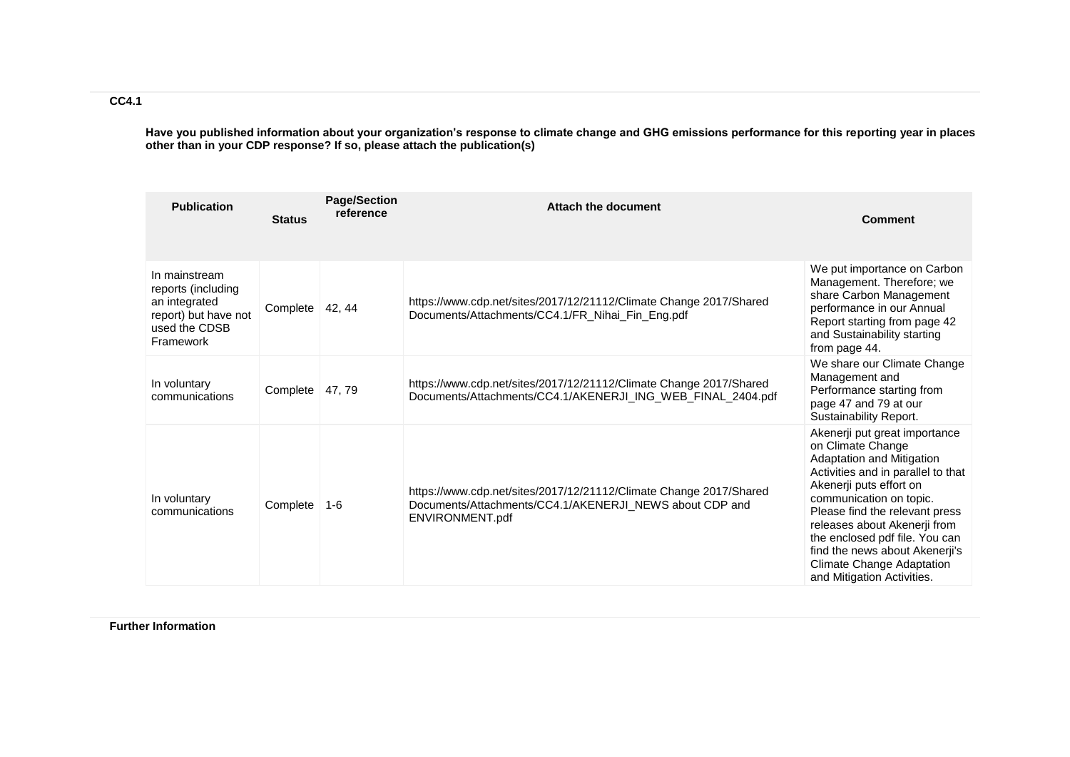**Have you published information about your organization's response to climate change and GHG emissions performance for this reporting year in places other than in your CDP response? If so, please attach the publication(s)**

| <b>Publication</b>                                                                                         | <b>Status</b> | <b>Page/Section</b><br>reference | <b>Attach the document</b>                                                                                                                       | <b>Comment</b>                                                                                                                                                                                                                                                                                                                                                                      |
|------------------------------------------------------------------------------------------------------------|---------------|----------------------------------|--------------------------------------------------------------------------------------------------------------------------------------------------|-------------------------------------------------------------------------------------------------------------------------------------------------------------------------------------------------------------------------------------------------------------------------------------------------------------------------------------------------------------------------------------|
| In mainstream<br>reports (including<br>an integrated<br>report) but have not<br>used the CDSB<br>Framework | Complete      | 42, 44                           | https://www.cdp.net/sites/2017/12/21112/Climate Change 2017/Shared<br>Documents/Attachments/CC4.1/FR_Nihai_Fin_Eng.pdf                           | We put importance on Carbon<br>Management. Therefore; we<br>share Carbon Management<br>performance in our Annual<br>Report starting from page 42<br>and Sustainability starting<br>from page 44.                                                                                                                                                                                    |
| In voluntary<br>communications                                                                             | Complete      | 47, 79                           | https://www.cdp.net/sites/2017/12/21112/Climate Change 2017/Shared<br>Documents/Attachments/CC4.1/AKENERJI_ING_WEB_FINAL_2404.pdf                | We share our Climate Change<br>Management and<br>Performance starting from<br>page 47 and 79 at our<br>Sustainability Report.                                                                                                                                                                                                                                                       |
| In voluntary<br>communications                                                                             | Complete      | 1-6                              | https://www.cdp.net/sites/2017/12/21112/Climate Change 2017/Shared<br>Documents/Attachments/CC4.1/AKENERJI_NEWS about CDP and<br>ENVIRONMENT.pdf | Akenerji put great importance<br>on Climate Change<br>Adaptation and Mitigation<br>Activities and in parallel to that<br>Akenerji puts effort on<br>communication on topic.<br>Please find the relevant press<br>releases about Akenerji from<br>the enclosed pdf file. You can<br>find the news about Akenerji's<br><b>Climate Change Adaptation</b><br>and Mitigation Activities. |

**Further Information**

**CC4.1**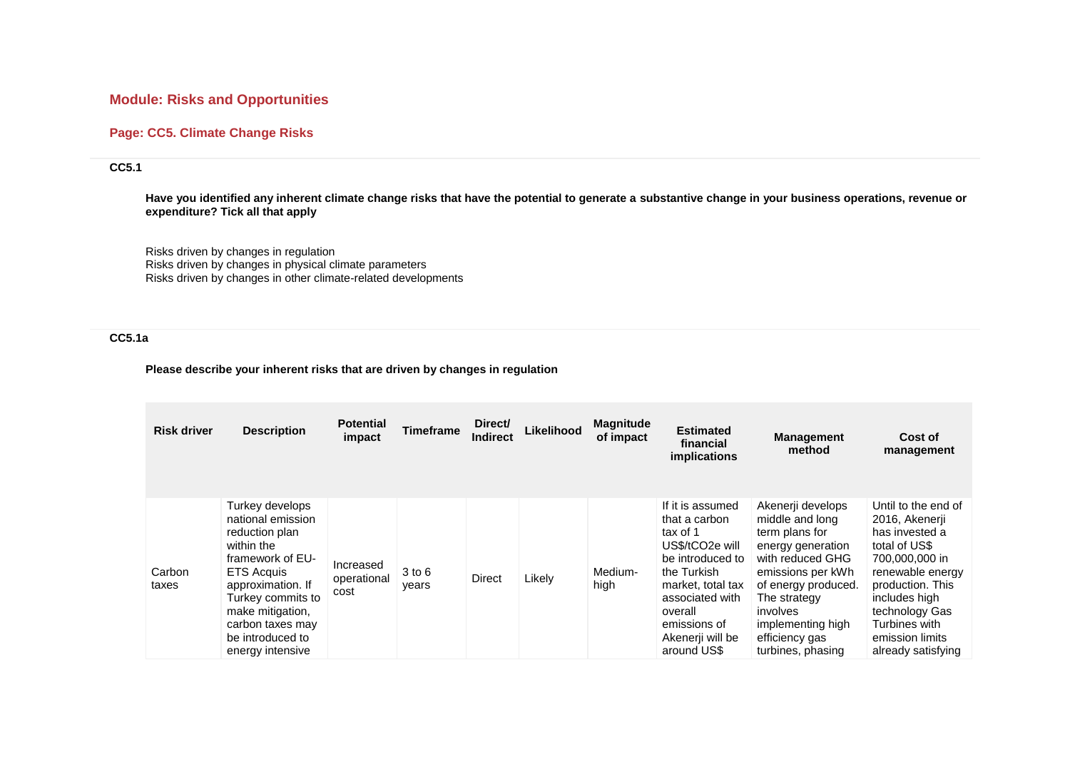# **Module: Risks and Opportunities**

## **Page: CC5. Climate Change Risks**

# **CC5.1**

**Have you identified any inherent climate change risks that have the potential to generate a substantive change in your business operations, revenue or expenditure? Tick all that apply**

Risks driven by changes in regulation Risks driven by changes in physical climate parameters Risks driven by changes in other climate-related developments

# **CC5.1a**

### **Please describe your inherent risks that are driven by changes in regulation**

| <b>Risk driver</b> | <b>Description</b>                                                                                                                                                                                                                      | <b>Potential</b><br>impact       | <b>Timeframe</b> | Direct/<br><b>Indirect</b> | Likelihood | <b>Magnitude</b><br>of impact | <b>Estimated</b><br>financial<br>implications                                                                                                                                                             | <b>Management</b><br>method                                                                                                                                                                                                         | Cost of<br>management                                                                                                                                                                                                           |
|--------------------|-----------------------------------------------------------------------------------------------------------------------------------------------------------------------------------------------------------------------------------------|----------------------------------|------------------|----------------------------|------------|-------------------------------|-----------------------------------------------------------------------------------------------------------------------------------------------------------------------------------------------------------|-------------------------------------------------------------------------------------------------------------------------------------------------------------------------------------------------------------------------------------|---------------------------------------------------------------------------------------------------------------------------------------------------------------------------------------------------------------------------------|
| Carbon<br>taxes    | Turkey develops<br>national emission<br>reduction plan<br>within the<br>framework of EU-<br><b>ETS Acquis</b><br>approximation. If<br>Turkey commits to<br>make mitigation,<br>carbon taxes may<br>be introduced to<br>energy intensive | Increased<br>operational<br>cost | 3 to 6<br>years  | <b>Direct</b>              | Likely     | Medium-<br>high               | If it is assumed<br>that a carbon<br>tax of 1<br>US\$/tCO2e will<br>be introduced to<br>the Turkish<br>market, total tax<br>associated with<br>overall<br>emissions of<br>Akenerji will be<br>around US\$ | Akenerji develops<br>middle and long<br>term plans for<br>energy generation<br>with reduced GHG<br>emissions per kWh<br>of energy produced.<br>The strategy<br>involves<br>implementing high<br>efficiency gas<br>turbines, phasing | Until to the end of<br>2016, Akenerji<br>has invested a<br>total of US\$<br>700,000,000 in<br>renewable energy<br>production. This<br>includes high<br>technology Gas<br>Turbines with<br>emission limits<br>already satisfying |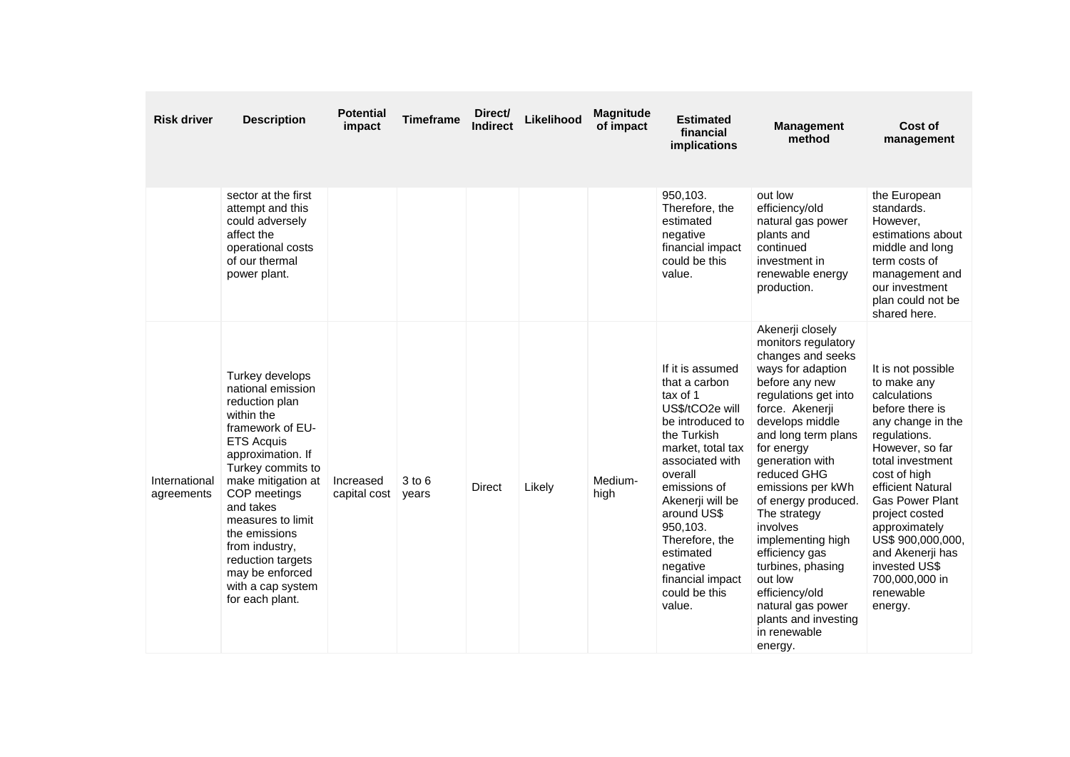| <b>Risk driver</b>          | <b>Description</b>                                                                                                                                                                                                                                                                                                                                 | <b>Potential</b><br>impact | <b>Timeframe</b>    | Direct/<br><b>Indirect</b> | Likelihood | <b>Magnitude</b><br>of impact | <b>Estimated</b><br>financial<br>implications                                                                                                                                                                                                                                                                   | <b>Management</b><br>method                                                                                                                                                                                                                                                                                                                                                                                                                                                       | Cost of<br>management                                                                                                                                                                                                                                                                                                                                  |
|-----------------------------|----------------------------------------------------------------------------------------------------------------------------------------------------------------------------------------------------------------------------------------------------------------------------------------------------------------------------------------------------|----------------------------|---------------------|----------------------------|------------|-------------------------------|-----------------------------------------------------------------------------------------------------------------------------------------------------------------------------------------------------------------------------------------------------------------------------------------------------------------|-----------------------------------------------------------------------------------------------------------------------------------------------------------------------------------------------------------------------------------------------------------------------------------------------------------------------------------------------------------------------------------------------------------------------------------------------------------------------------------|--------------------------------------------------------------------------------------------------------------------------------------------------------------------------------------------------------------------------------------------------------------------------------------------------------------------------------------------------------|
|                             | sector at the first<br>attempt and this<br>could adversely<br>affect the<br>operational costs<br>of our thermal<br>power plant.                                                                                                                                                                                                                    |                            |                     |                            |            |                               | 950,103.<br>Therefore, the<br>estimated<br>negative<br>financial impact<br>could be this<br>value.                                                                                                                                                                                                              | out low<br>efficiency/old<br>natural gas power<br>plants and<br>continued<br>investment in<br>renewable energy<br>production.                                                                                                                                                                                                                                                                                                                                                     | the European<br>standards.<br>However.<br>estimations about<br>middle and long<br>term costs of<br>management and<br>our investment<br>plan could not be<br>shared here.                                                                                                                                                                               |
| International<br>agreements | Turkey develops<br>national emission<br>reduction plan<br>within the<br>framework of EU-<br><b>ETS Acquis</b><br>approximation. If<br>Turkey commits to<br>make mitigation at<br>COP meetings<br>and takes<br>measures to limit<br>the emissions<br>from industry,<br>reduction targets<br>may be enforced<br>with a cap system<br>for each plant. | Increased<br>capital cost  | $3$ to $6$<br>years | <b>Direct</b>              | Likely     | Medium-<br>high               | If it is assumed<br>that a carbon<br>tax of 1<br>US\$/tCO2e will<br>be introduced to<br>the Turkish<br>market, total tax<br>associated with<br>overall<br>emissions of<br>Akenerji will be<br>around US\$<br>950,103.<br>Therefore, the<br>estimated<br>negative<br>financial impact<br>could be this<br>value. | Akenerji closely<br>monitors regulatory<br>changes and seeks<br>ways for adaption<br>before any new<br>regulations get into<br>force. Akenerji<br>develops middle<br>and long term plans<br>for energy<br>generation with<br>reduced GHG<br>emissions per kWh<br>of energy produced.<br>The strategy<br>involves<br>implementing high<br>efficiency gas<br>turbines, phasing<br>out low<br>efficiency/old<br>natural gas power<br>plants and investing<br>in renewable<br>energy. | It is not possible<br>to make any<br>calculations<br>before there is<br>any change in the<br>regulations.<br>However, so far<br>total investment<br>cost of high<br>efficient Natural<br><b>Gas Power Plant</b><br>project costed<br>approximately<br>US\$ 900,000,000,<br>and Akenerji has<br>invested US\$<br>700,000,000 in<br>renewable<br>energy. |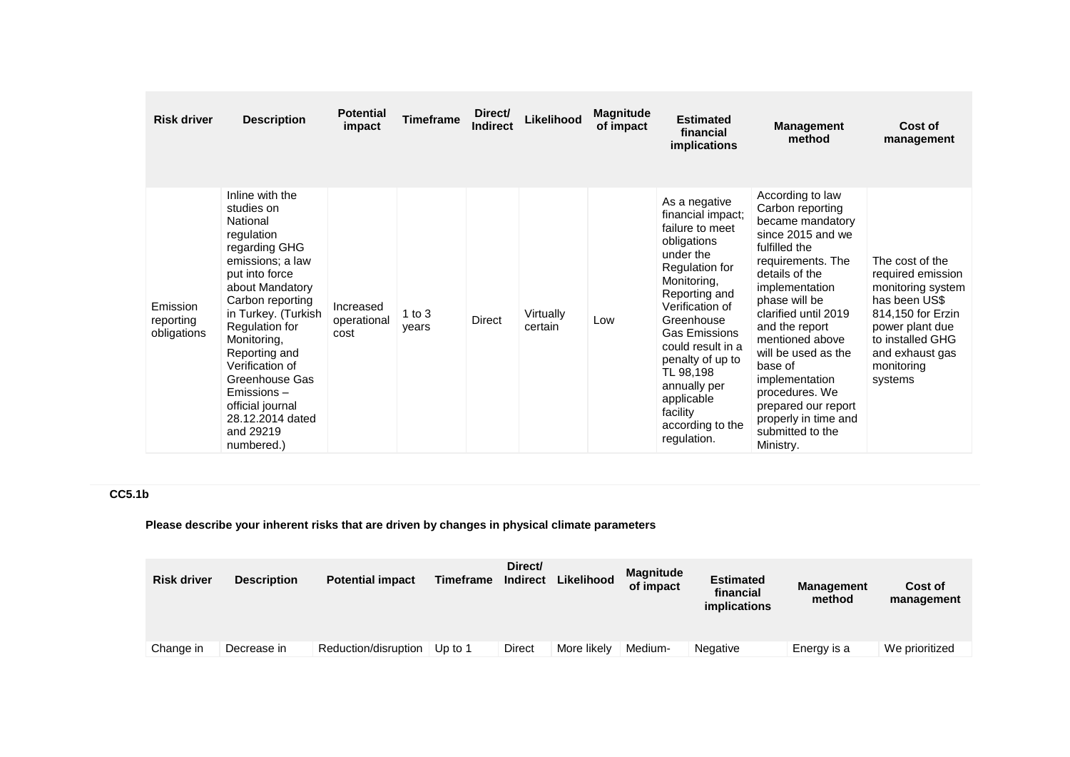| <b>Risk driver</b>                   | <b>Description</b>                                                                                                                                                                                                                                                                                                                                   | <b>Potential</b><br>impact       | <b>Timeframe</b>  | Direct/<br><b>Indirect</b> | Likelihood           | <b>Magnitude</b><br>of impact | <b>Estimated</b><br>financial<br>implications                                                                                                                                                                                                                                                                                   | <b>Management</b><br>method                                                                                                                                                                                                                                                                                                                                                                 | Cost of<br>management                                                                                                                                                              |
|--------------------------------------|------------------------------------------------------------------------------------------------------------------------------------------------------------------------------------------------------------------------------------------------------------------------------------------------------------------------------------------------------|----------------------------------|-------------------|----------------------------|----------------------|-------------------------------|---------------------------------------------------------------------------------------------------------------------------------------------------------------------------------------------------------------------------------------------------------------------------------------------------------------------------------|---------------------------------------------------------------------------------------------------------------------------------------------------------------------------------------------------------------------------------------------------------------------------------------------------------------------------------------------------------------------------------------------|------------------------------------------------------------------------------------------------------------------------------------------------------------------------------------|
| Emission<br>reporting<br>obligations | Inline with the<br>studies on<br>National<br>regulation<br>regarding GHG<br>emissions; a law<br>put into force<br>about Mandatory<br>Carbon reporting<br>in Turkey. (Turkish<br>Regulation for<br>Monitoring,<br>Reporting and<br>Verification of<br>Greenhouse Gas<br>Emissions-<br>official journal<br>28.12.2014 dated<br>and 29219<br>numbered.) | Increased<br>operational<br>cost | 1 to $3$<br>years | Direct                     | Virtually<br>certain | Low                           | As a negative<br>financial impact;<br>failure to meet<br>obligations<br>under the<br>Regulation for<br>Monitoring,<br>Reporting and<br>Verification of<br>Greenhouse<br><b>Gas Emissions</b><br>could result in a<br>penalty of up to<br>TL 98,198<br>annually per<br>applicable<br>facility<br>according to the<br>regulation. | According to law<br>Carbon reporting<br>became mandatory<br>since 2015 and we<br>fulfilled the<br>requirements. The<br>details of the<br>implementation<br>phase will be<br>clarified until 2019<br>and the report<br>mentioned above<br>will be used as the<br>base of<br>implementation<br>procedures. We<br>prepared our report<br>properly in time and<br>submitted to the<br>Ministry. | The cost of the<br>required emission<br>monitoring system<br>has been US\$<br>814,150 for Erzin<br>power plant due<br>to installed GHG<br>and exhaust gas<br>monitoring<br>systems |

# **CC5.1b**

# **Please describe your inherent risks that are driven by changes in physical climate parameters**

| <b>Risk driver</b> | <b>Description</b> | <b>Potential impact</b> | Timeframe | Direct/<br><b>Indirect</b> | Likelihood  | <b>Magnitude</b><br>of impact | <b>Estimated</b><br>financial<br><i>implications</i> | <b>Management</b><br>method | Cost of<br>management |
|--------------------|--------------------|-------------------------|-----------|----------------------------|-------------|-------------------------------|------------------------------------------------------|-----------------------------|-----------------------|
| Change in          | Decrease in        | Reduction/disruption    | Up to 1   | Direct                     | More likely | Medium-                       | Negative                                             | Energy is a                 | We prioritized        |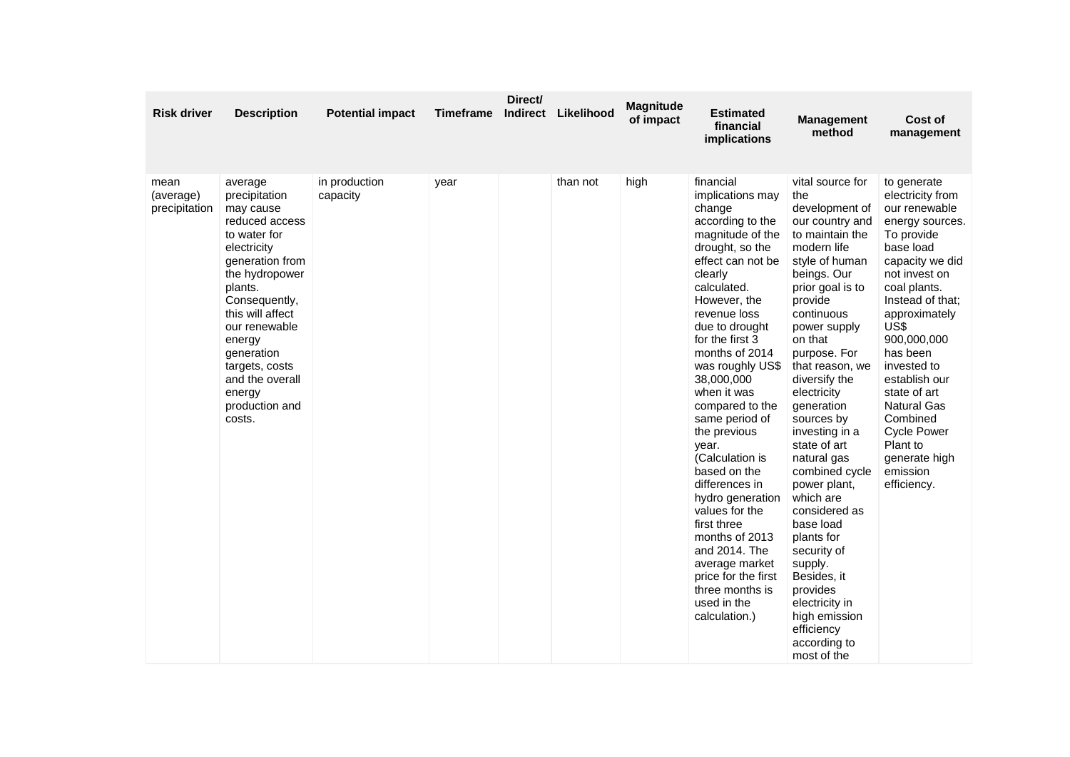| <b>Risk driver</b>                 | <b>Description</b>                                                                                                                                                                                                                                                                              | <b>Potential impact</b>   | <b>Timeframe</b> | Direct/ | Indirect Likelihood | <b>Magnitude</b><br>of impact | <b>Estimated</b><br>financial<br>implications                                                                                                                                                                                                                                                                                                                                                                                                                                                                                                                                                    | <b>Management</b><br>method                                                                                                                                                                                                                                                                                                                                                                                                                                                                                                                                                             | Cost of<br>management                                                                                                                                                                                                                                                                                                                                                                      |
|------------------------------------|-------------------------------------------------------------------------------------------------------------------------------------------------------------------------------------------------------------------------------------------------------------------------------------------------|---------------------------|------------------|---------|---------------------|-------------------------------|--------------------------------------------------------------------------------------------------------------------------------------------------------------------------------------------------------------------------------------------------------------------------------------------------------------------------------------------------------------------------------------------------------------------------------------------------------------------------------------------------------------------------------------------------------------------------------------------------|-----------------------------------------------------------------------------------------------------------------------------------------------------------------------------------------------------------------------------------------------------------------------------------------------------------------------------------------------------------------------------------------------------------------------------------------------------------------------------------------------------------------------------------------------------------------------------------------|--------------------------------------------------------------------------------------------------------------------------------------------------------------------------------------------------------------------------------------------------------------------------------------------------------------------------------------------------------------------------------------------|
| mean<br>(average)<br>precipitation | average<br>precipitation<br>may cause<br>reduced access<br>to water for<br>electricity<br>generation from<br>the hydropower<br>plants.<br>Consequently,<br>this will affect<br>our renewable<br>energy<br>generation<br>targets, costs<br>and the overall<br>energy<br>production and<br>costs. | in production<br>capacity | year             |         | than not            | high                          | financial<br>implications may<br>change<br>according to the<br>magnitude of the<br>drought, so the<br>effect can not be<br>clearly<br>calculated.<br>However, the<br>revenue loss<br>due to drought<br>for the first 3<br>months of 2014<br>was roughly US\$<br>38,000,000<br>when it was<br>compared to the<br>same period of<br>the previous<br>year.<br>(Calculation is<br>based on the<br>differences in<br>hydro generation<br>values for the<br>first three<br>months of 2013<br>and 2014. The<br>average market<br>price for the first<br>three months is<br>used in the<br>calculation.) | vital source for<br>the<br>development of<br>our country and<br>to maintain the<br>modern life<br>style of human<br>beings. Our<br>prior goal is to<br>provide<br>continuous<br>power supply<br>on that<br>purpose. For<br>that reason, we<br>diversify the<br>electricity<br>generation<br>sources by<br>investing in a<br>state of art<br>natural gas<br>combined cycle<br>power plant,<br>which are<br>considered as<br>base load<br>plants for<br>security of<br>supply.<br>Besides, it<br>provides<br>electricity in<br>high emission<br>efficiency<br>according to<br>most of the | to generate<br>electricity from<br>our renewable<br>energy sources.<br>To provide<br>base load<br>capacity we did<br>not invest on<br>coal plants.<br>Instead of that;<br>approximately<br>US\$<br>900,000,000<br>has been<br>invested to<br>establish our<br>state of art<br><b>Natural Gas</b><br>Combined<br><b>Cycle Power</b><br>Plant to<br>generate high<br>emission<br>efficiency. |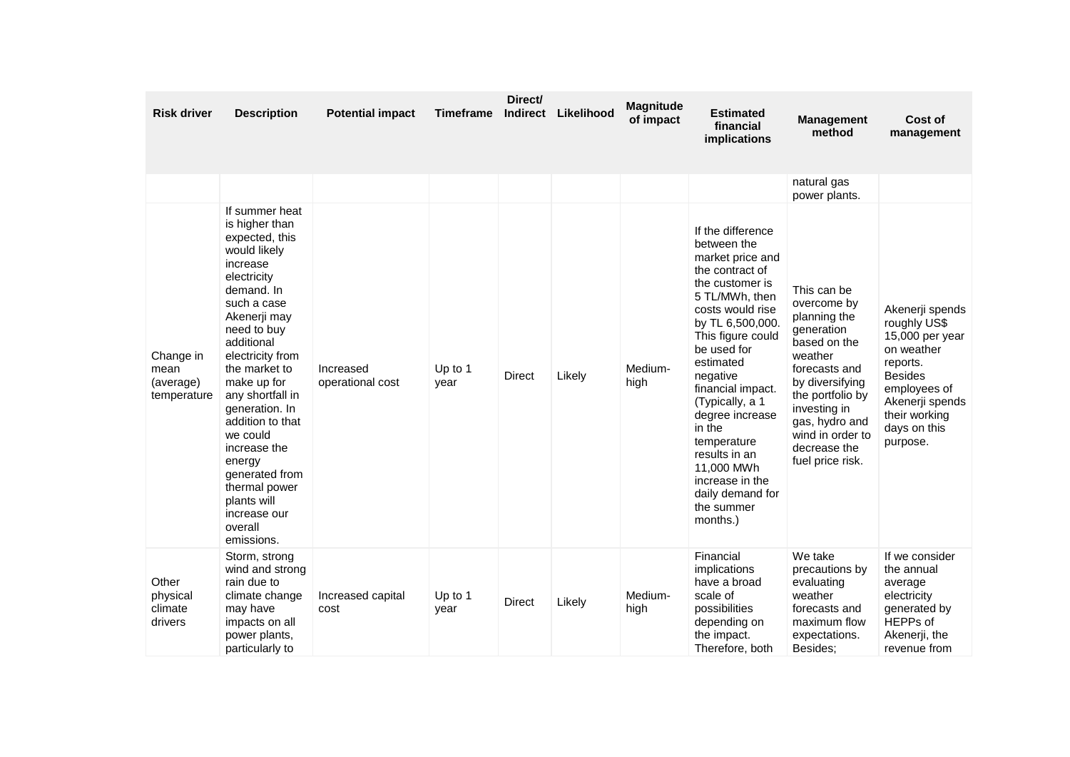| <b>Risk driver</b>                            | <b>Description</b>                                                                                                                                                                                                                                                                                                                                                                                                     | <b>Potential impact</b>       | <b>Timeframe</b>  | Direct/<br><b>Indirect</b> | Likelihood | <b>Magnitude</b><br>of impact | <b>Estimated</b><br>financial<br>implications                                                                                                                                                                                                                                                                                                                                                         | <b>Management</b><br>method                                                                                                                                                                                                           | Cost of<br>management                                                                                                                                                          |
|-----------------------------------------------|------------------------------------------------------------------------------------------------------------------------------------------------------------------------------------------------------------------------------------------------------------------------------------------------------------------------------------------------------------------------------------------------------------------------|-------------------------------|-------------------|----------------------------|------------|-------------------------------|-------------------------------------------------------------------------------------------------------------------------------------------------------------------------------------------------------------------------------------------------------------------------------------------------------------------------------------------------------------------------------------------------------|---------------------------------------------------------------------------------------------------------------------------------------------------------------------------------------------------------------------------------------|--------------------------------------------------------------------------------------------------------------------------------------------------------------------------------|
|                                               |                                                                                                                                                                                                                                                                                                                                                                                                                        |                               |                   |                            |            |                               |                                                                                                                                                                                                                                                                                                                                                                                                       | natural gas<br>power plants.                                                                                                                                                                                                          |                                                                                                                                                                                |
| Change in<br>mean<br>(average)<br>temperature | If summer heat<br>is higher than<br>expected, this<br>would likely<br>increase<br>electricity<br>demand. In<br>such a case<br>Akenerji may<br>need to buy<br>additional<br>electricity from<br>the market to<br>make up for<br>any shortfall in<br>generation. In<br>addition to that<br>we could<br>increase the<br>energy<br>generated from<br>thermal power<br>plants will<br>increase our<br>overall<br>emissions. | Increased<br>operational cost | Up to 1<br>year   | Direct                     | Likely     | Medium-<br>high               | If the difference<br>between the<br>market price and<br>the contract of<br>the customer is<br>5 TL/MWh, then<br>costs would rise<br>by TL 6,500,000.<br>This figure could<br>be used for<br>estimated<br>negative<br>financial impact.<br>(Typically, a 1<br>degree increase<br>in the<br>temperature<br>results in an<br>11,000 MWh<br>increase in the<br>daily demand for<br>the summer<br>months.) | This can be<br>overcome by<br>planning the<br>generation<br>based on the<br>weather<br>forecasts and<br>by diversifying<br>the portfolio by<br>investing in<br>gas, hydro and<br>wind in order to<br>decrease the<br>fuel price risk. | Akenerji spends<br>roughly US\$<br>15,000 per year<br>on weather<br>reports.<br><b>Besides</b><br>employees of<br>Akenerji spends<br>their working<br>days on this<br>purpose. |
| Other<br>physical<br>climate<br>drivers       | Storm, strong<br>wind and strong<br>rain due to<br>climate change<br>may have<br>impacts on all<br>power plants,<br>particularly to                                                                                                                                                                                                                                                                                    | Increased capital<br>cost     | Up to $1$<br>year | <b>Direct</b>              | Likely     | Medium-<br>high               | Financial<br>implications<br>have a broad<br>scale of<br>possibilities<br>depending on<br>the impact.<br>Therefore, both                                                                                                                                                                                                                                                                              | We take<br>precautions by<br>evaluating<br>weather<br>forecasts and<br>maximum flow<br>expectations.<br>Besides;                                                                                                                      | If we consider<br>the annual<br>average<br>electricity<br>generated by<br>HEPPs of<br>Akenerji, the<br>revenue from                                                            |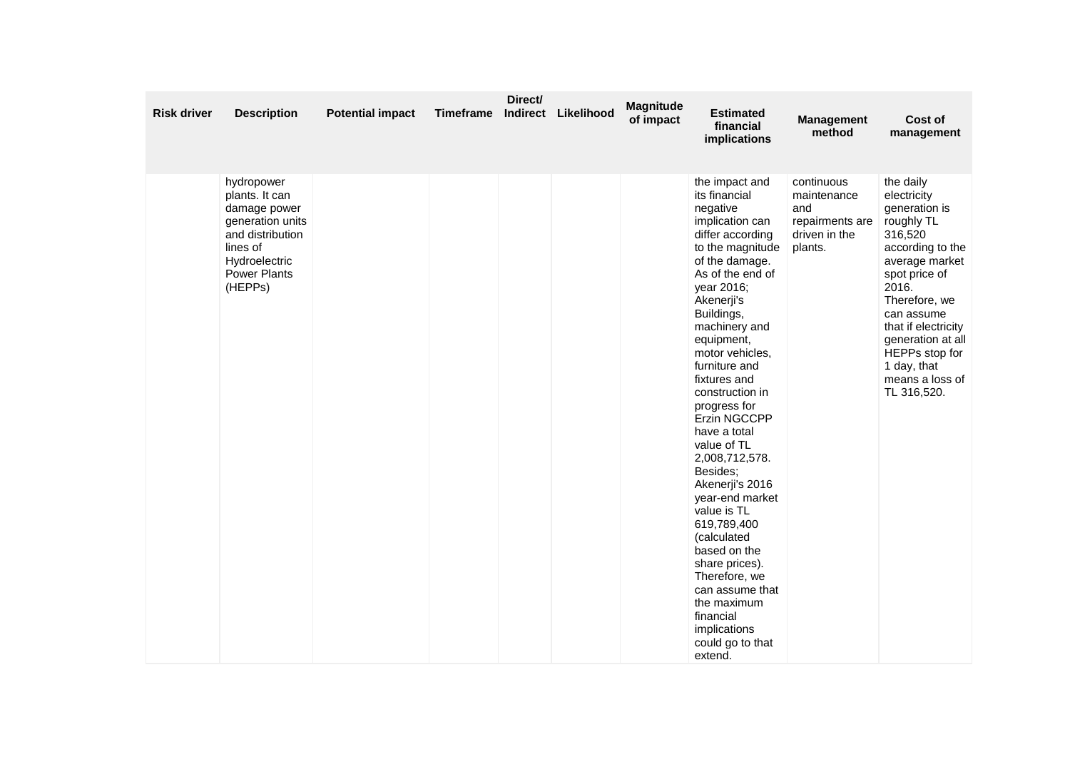| <b>Risk driver</b> | <b>Description</b>                                                                                                                           | <b>Potential impact</b> | <b>Timeframe</b> | Direct/ | Indirect Likelihood | Magnitude<br>of impact | <b>Estimated</b><br>financial<br>implications                                                                                                                                                                                                                                                                                                                                                                                                                                                                                                                                                                                 | <b>Management</b><br>method                                                     | Cost of<br>management                                                                                                                                                                                                                                                            |
|--------------------|----------------------------------------------------------------------------------------------------------------------------------------------|-------------------------|------------------|---------|---------------------|------------------------|-------------------------------------------------------------------------------------------------------------------------------------------------------------------------------------------------------------------------------------------------------------------------------------------------------------------------------------------------------------------------------------------------------------------------------------------------------------------------------------------------------------------------------------------------------------------------------------------------------------------------------|---------------------------------------------------------------------------------|----------------------------------------------------------------------------------------------------------------------------------------------------------------------------------------------------------------------------------------------------------------------------------|
|                    | hydropower<br>plants. It can<br>damage power<br>generation units<br>and distribution<br>lines of<br>Hydroelectric<br>Power Plants<br>(HEPPs) |                         |                  |         |                     |                        | the impact and<br>its financial<br>negative<br>implication can<br>differ according<br>to the magnitude<br>of the damage.<br>As of the end of<br>year 2016;<br>Akenerji's<br>Buildings,<br>machinery and<br>equipment,<br>motor vehicles,<br>furniture and<br>fixtures and<br>construction in<br>progress for<br>Erzin NGCCPP<br>have a total<br>value of TL<br>2,008,712,578.<br>Besides;<br>Akenerji's 2016<br>year-end market<br>value is TL<br>619,789,400<br>(calculated<br>based on the<br>share prices).<br>Therefore, we<br>can assume that<br>the maximum<br>financial<br>implications<br>could go to that<br>extend. | continuous<br>maintenance<br>and<br>repairments are<br>driven in the<br>plants. | the daily<br>electricity<br>generation is<br>roughly TL<br>316,520<br>according to the<br>average market<br>spot price of<br>2016.<br>Therefore, we<br>can assume<br>that if electricity<br>generation at all<br>HEPPs stop for<br>1 day, that<br>means a loss of<br>TL 316,520. |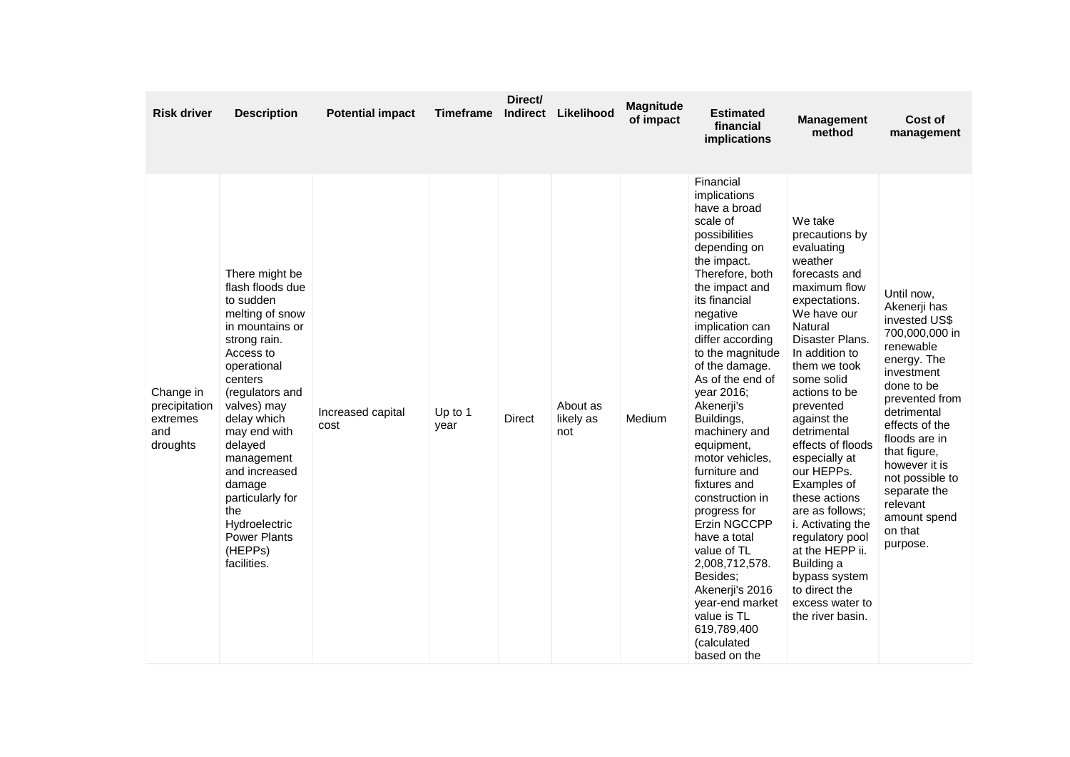| <b>Risk driver</b>                                        | <b>Description</b>                                                                                                                                                                                                                                                                                                                                             | <b>Potential impact</b>   | Timeframe       | Direct/<br>Indirect | Likelihood                   | <b>Magnitude</b><br>of impact | <b>Estimated</b><br>financial<br>implications                                                                                                                                                                                                                                                                                                                                                                                                                                                                                                                                                                                   | <b>Management</b><br>method                                                                                                                                                                                                                                                                                                                                                                                                                                                                                            | Cost of<br>management                                                                                                                                                                                                                                                                                            |
|-----------------------------------------------------------|----------------------------------------------------------------------------------------------------------------------------------------------------------------------------------------------------------------------------------------------------------------------------------------------------------------------------------------------------------------|---------------------------|-----------------|---------------------|------------------------------|-------------------------------|---------------------------------------------------------------------------------------------------------------------------------------------------------------------------------------------------------------------------------------------------------------------------------------------------------------------------------------------------------------------------------------------------------------------------------------------------------------------------------------------------------------------------------------------------------------------------------------------------------------------------------|------------------------------------------------------------------------------------------------------------------------------------------------------------------------------------------------------------------------------------------------------------------------------------------------------------------------------------------------------------------------------------------------------------------------------------------------------------------------------------------------------------------------|------------------------------------------------------------------------------------------------------------------------------------------------------------------------------------------------------------------------------------------------------------------------------------------------------------------|
| Change in<br>precipitation<br>extremes<br>and<br>droughts | There might be<br>flash floods due<br>to sudden<br>melting of snow<br>in mountains or<br>strong rain.<br>Access to<br>operational<br>centers<br>(regulators and<br>valves) may<br>delay which<br>may end with<br>delayed<br>management<br>and increased<br>damage<br>particularly for<br>the<br>Hydroelectric<br><b>Power Plants</b><br>(HEPPs)<br>facilities. | Increased capital<br>cost | Up to 1<br>year | Direct              | About as<br>likely as<br>not | Medium                        | Financial<br>implications<br>have a broad<br>scale of<br>possibilities<br>depending on<br>the impact.<br>Therefore, both<br>the impact and<br>its financial<br>negative<br>implication can<br>differ according<br>to the magnitude<br>of the damage.<br>As of the end of<br>year 2016;<br>Akenerji's<br>Buildings,<br>machinery and<br>equipment,<br>motor vehicles,<br>furniture and<br>fixtures and<br>construction in<br>progress for<br><b>Erzin NGCCPP</b><br>have a total<br>value of TL<br>2,008,712,578.<br>Besides;<br>Akenerji's 2016<br>year-end market<br>value is TL<br>619,789,400<br>(calculated<br>based on the | We take<br>precautions by<br>evaluating<br>weather<br>forecasts and<br>maximum flow<br>expectations.<br>We have our<br>Natural<br>Disaster Plans.<br>In addition to<br>them we took<br>some solid<br>actions to be<br>prevented<br>against the<br>detrimental<br>effects of floods<br>especially at<br>our HEPPs.<br>Examples of<br>these actions<br>are as follows;<br>i. Activating the<br>regulatory pool<br>at the HEPP ii.<br>Building a<br>bypass system<br>to direct the<br>excess water to<br>the river basin. | Until now,<br>Akenerji has<br>invested US\$<br>700,000,000 in<br>renewable<br>energy. The<br>investment<br>done to be<br>prevented from<br>detrimental<br>effects of the<br>floods are in<br>that figure,<br>however it is<br>not possible to<br>separate the<br>relevant<br>amount spend<br>on that<br>purpose. |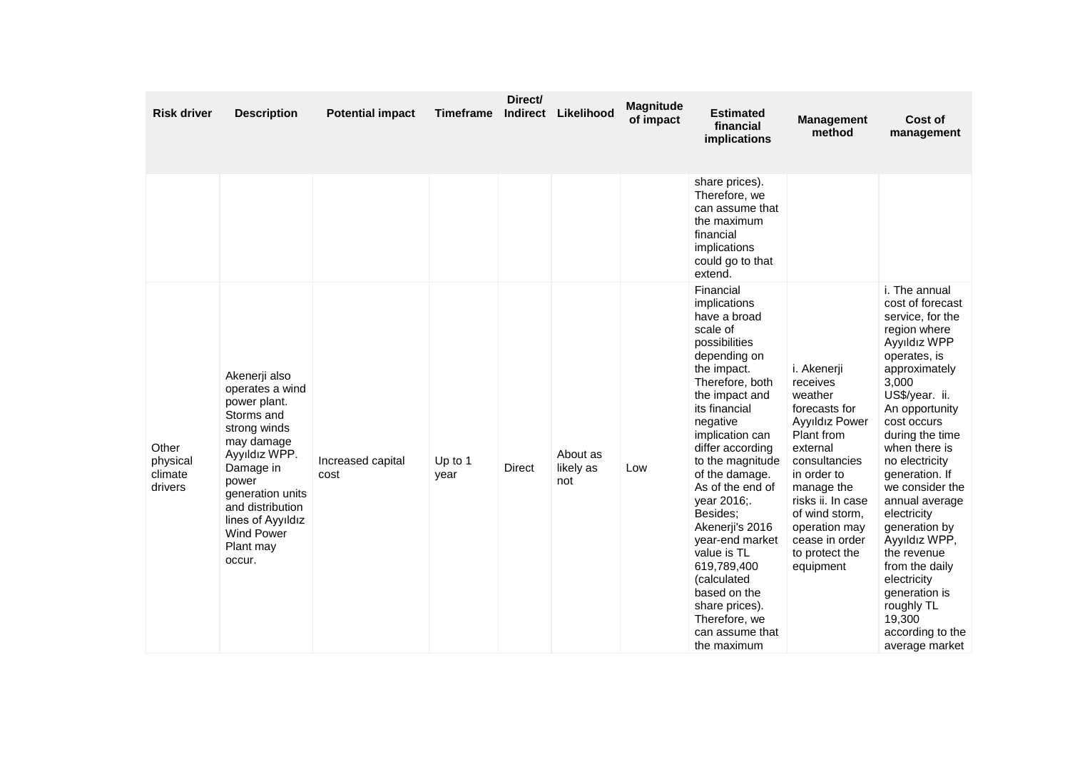| <b>Risk driver</b>                      | <b>Description</b>                                                                                                                                                                                                                           | <b>Potential impact</b>   | <b>Timeframe</b> | Direct/<br>Indirect | Likelihood                   | <b>Magnitude</b><br>of impact | <b>Estimated</b><br>financial<br>implications                                                                                                                                                                                                                                                                                                                                                                                                                               | <b>Management</b><br>method                                                                                                                                                                                                                            | Cost of<br>management                                                                                                                                                                                                                                                                                                                                                                                                                                                           |
|-----------------------------------------|----------------------------------------------------------------------------------------------------------------------------------------------------------------------------------------------------------------------------------------------|---------------------------|------------------|---------------------|------------------------------|-------------------------------|-----------------------------------------------------------------------------------------------------------------------------------------------------------------------------------------------------------------------------------------------------------------------------------------------------------------------------------------------------------------------------------------------------------------------------------------------------------------------------|--------------------------------------------------------------------------------------------------------------------------------------------------------------------------------------------------------------------------------------------------------|---------------------------------------------------------------------------------------------------------------------------------------------------------------------------------------------------------------------------------------------------------------------------------------------------------------------------------------------------------------------------------------------------------------------------------------------------------------------------------|
|                                         |                                                                                                                                                                                                                                              |                           |                  |                     |                              |                               | share prices).<br>Therefore, we<br>can assume that<br>the maximum<br>financial<br>implications<br>could go to that<br>extend.                                                                                                                                                                                                                                                                                                                                               |                                                                                                                                                                                                                                                        |                                                                                                                                                                                                                                                                                                                                                                                                                                                                                 |
| Other<br>physical<br>climate<br>drivers | Akenerji also<br>operates a wind<br>power plant.<br>Storms and<br>strong winds<br>may damage<br>Ayyıldız WPP.<br>Damage in<br>power<br>generation units<br>and distribution<br>lines of Ayyıldız<br><b>Wind Power</b><br>Plant may<br>occur. | Increased capital<br>cost | Up to 1<br>year  | <b>Direct</b>       | About as<br>likely as<br>not | Low                           | Financial<br>implications<br>have a broad<br>scale of<br>possibilities<br>depending on<br>the impact.<br>Therefore, both<br>the impact and<br>its financial<br>negative<br>implication can<br>differ according<br>to the magnitude<br>of the damage.<br>As of the end of<br>year 2016;.<br>Besides;<br>Akenerji's 2016<br>year-end market<br>value is TL<br>619,789,400<br>(calculated<br>based on the<br>share prices).<br>Therefore, we<br>can assume that<br>the maximum | i. Akenerji<br>receives<br>weather<br>forecasts for<br>Ayyıldız Power<br>Plant from<br>external<br>consultancies<br>in order to<br>manage the<br>risks ii. In case<br>of wind storm,<br>operation may<br>cease in order<br>to protect the<br>equipment | i. The annual<br>cost of forecast<br>service, for the<br>region where<br>Ayyıldız WPP<br>operates, is<br>approximately<br>3,000<br>US\$/year. ii.<br>An opportunity<br>cost occurs<br>during the time<br>when there is<br>no electricity<br>generation. If<br>we consider the<br>annual average<br>electricity<br>generation by<br>Ayyıldız WPP,<br>the revenue<br>from the daily<br>electricity<br>generation is<br>roughly TL<br>19,300<br>according to the<br>average market |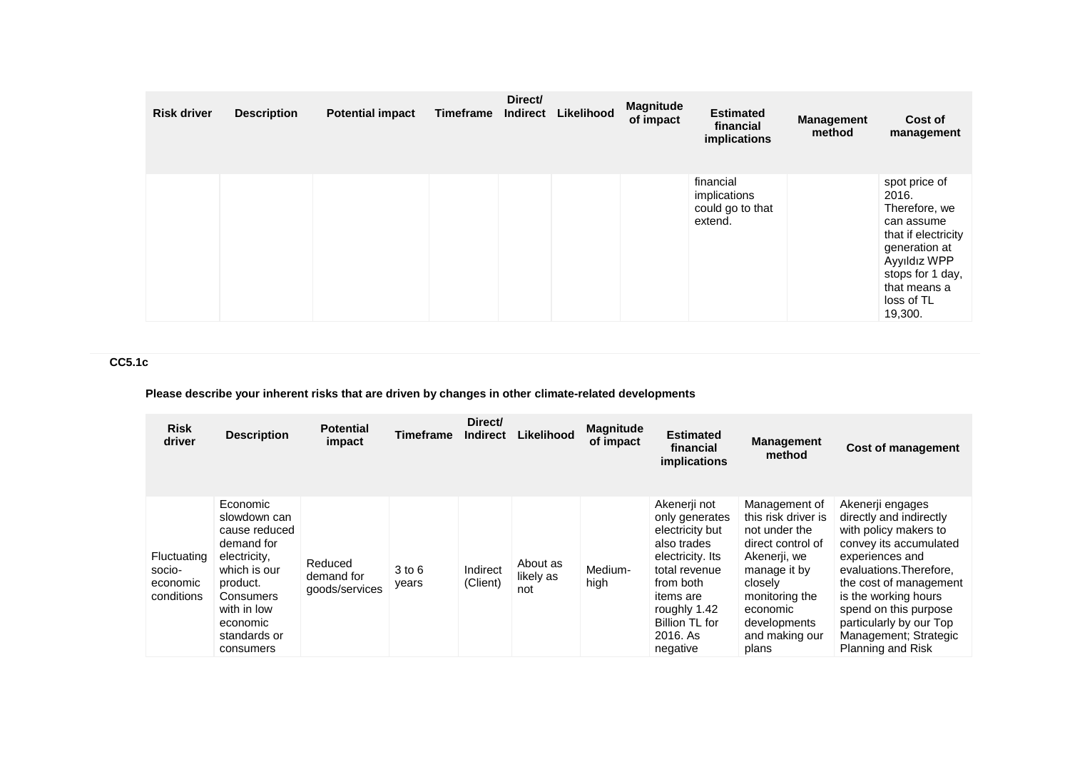| <b>Risk driver</b> | <b>Description</b> | <b>Potential impact</b> | Timeframe | Direct/<br>Indirect | Likelihood | <b>Magnitude</b><br>of impact | <b>Estimated</b><br>financial<br>implications            | <b>Management</b><br>method | Cost of<br>management                                                                                                                                                      |
|--------------------|--------------------|-------------------------|-----------|---------------------|------------|-------------------------------|----------------------------------------------------------|-----------------------------|----------------------------------------------------------------------------------------------------------------------------------------------------------------------------|
|                    |                    |                         |           |                     |            |                               | financial<br>implications<br>could go to that<br>extend. |                             | spot price of<br>2016.<br>Therefore, we<br>can assume<br>that if electricity<br>generation at<br>Ayyıldız WPP<br>stops for 1 day,<br>that means a<br>loss of TL<br>19,300. |

# **CC5.1c**

# **Please describe your inherent risks that are driven by changes in other climate-related developments**

| <b>Risk</b><br>driver                           | <b>Description</b>                                                                                                                                                       | <b>Potential</b><br>impact              | <b>Timeframe</b> | Direct/<br><b>Indirect</b> | Likelihood                   | <b>Magnitude</b><br>of impact | <b>Estimated</b><br>financial<br>implications                                                                                                                                             | <b>Management</b><br>method                                                                                                                                                                    | <b>Cost of management</b>                                                                                                                                                                                                                                                                        |
|-------------------------------------------------|--------------------------------------------------------------------------------------------------------------------------------------------------------------------------|-----------------------------------------|------------------|----------------------------|------------------------------|-------------------------------|-------------------------------------------------------------------------------------------------------------------------------------------------------------------------------------------|------------------------------------------------------------------------------------------------------------------------------------------------------------------------------------------------|--------------------------------------------------------------------------------------------------------------------------------------------------------------------------------------------------------------------------------------------------------------------------------------------------|
| Fluctuating<br>socio-<br>economic<br>conditions | Economic<br>slowdown can<br>cause reduced<br>demand for<br>electricity,<br>which is our<br>product.<br>Consumers<br>with in low<br>economic<br>standards or<br>consumers | Reduced<br>demand for<br>goods/services | 3 to 6<br>years  | Indirect<br>(Client)       | About as<br>likely as<br>not | Medium-<br>high               | Akenerji not<br>only generates<br>electricity but<br>also trades<br>electricity. Its<br>total revenue<br>from both<br>items are<br>roughly 1.42<br>Billion TL for<br>2016. As<br>negative | Management of<br>this risk driver is<br>not under the<br>direct control of<br>Akenerji, we<br>manage it by<br>closelv<br>monitoring the<br>economic<br>developments<br>and making our<br>plans | Akenerji engages<br>directly and indirectly<br>with policy makers to<br>convey its accumulated<br>experiences and<br>evaluations. Therefore,<br>the cost of management<br>is the working hours<br>spend on this purpose<br>particularly by our Top<br>Management; Strategic<br>Planning and Risk |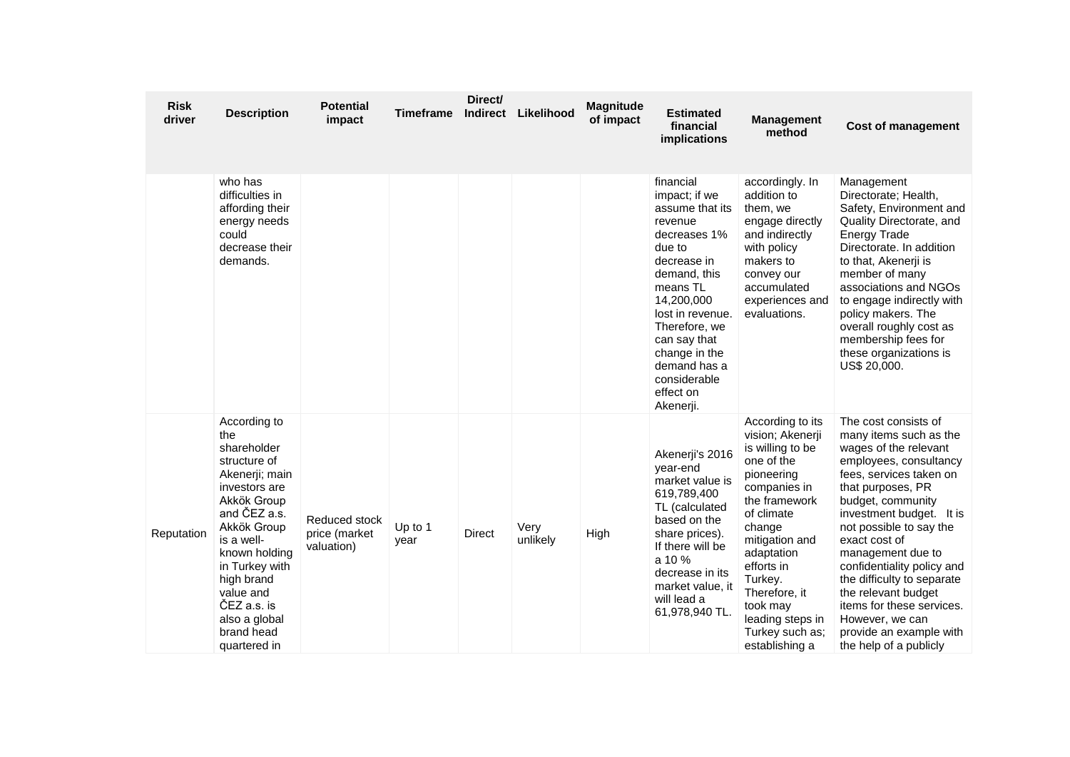| <b>Risk</b><br>driver | <b>Description</b>                                                                                                                                                                                                                                                            | <b>Potential</b><br>impact                   | <b>Timeframe</b> | Direct/<br><b>Indirect</b> | Likelihood       | <b>Magnitude</b><br>of impact | <b>Estimated</b><br>financial<br>implications                                                                                                                                                                                                                               | <b>Management</b><br>method                                                                                                                                                                                                                                                                  | <b>Cost of management</b>                                                                                                                                                                                                                                                                                                                                                                                                                                   |
|-----------------------|-------------------------------------------------------------------------------------------------------------------------------------------------------------------------------------------------------------------------------------------------------------------------------|----------------------------------------------|------------------|----------------------------|------------------|-------------------------------|-----------------------------------------------------------------------------------------------------------------------------------------------------------------------------------------------------------------------------------------------------------------------------|----------------------------------------------------------------------------------------------------------------------------------------------------------------------------------------------------------------------------------------------------------------------------------------------|-------------------------------------------------------------------------------------------------------------------------------------------------------------------------------------------------------------------------------------------------------------------------------------------------------------------------------------------------------------------------------------------------------------------------------------------------------------|
|                       | who has<br>difficulties in<br>affording their<br>energy needs<br>could<br>decrease their<br>demands.                                                                                                                                                                          |                                              |                  |                            |                  |                               | financial<br>impact; if we<br>assume that its<br>revenue<br>decreases 1%<br>due to<br>decrease in<br>demand, this<br>means TL<br>14,200,000<br>lost in revenue.<br>Therefore, we<br>can say that<br>change in the<br>demand has a<br>considerable<br>effect on<br>Akenerji. | accordingly. In<br>addition to<br>them, we<br>engage directly<br>and indirectly<br>with policy<br>makers to<br>convey our<br>accumulated<br>experiences and<br>evaluations.                                                                                                                  | Management<br>Directorate; Health,<br>Safety, Environment and<br>Quality Directorate, and<br><b>Energy Trade</b><br>Directorate. In addition<br>to that, Akenerii is<br>member of many<br>associations and NGOs<br>to engage indirectly with<br>policy makers. The<br>overall roughly cost as<br>membership fees for<br>these organizations is<br>US\$ 20,000.                                                                                              |
| Reputation            | According to<br>the<br>shareholder<br>structure of<br>Akenerji; main<br>investors are<br>Akkök Group<br>and ČEZ a.s.<br>Akkök Group<br>is a well-<br>known holding<br>in Turkey with<br>high brand<br>value and<br>ČEZ a.s. is<br>also a global<br>brand head<br>quartered in | Reduced stock<br>price (market<br>valuation) | Up to 1<br>year  | <b>Direct</b>              | Very<br>unlikely | High                          | Akenerji's 2016<br>year-end<br>market value is<br>619,789,400<br>TL (calculated<br>based on the<br>share prices).<br>If there will be<br>a 10 %<br>decrease in its<br>market value, it<br>will lead a<br>61,978,940 TL.                                                     | According to its<br>vision; Akenerji<br>is willing to be<br>one of the<br>pioneering<br>companies in<br>the framework<br>of climate<br>change<br>mitigation and<br>adaptation<br>efforts in<br>Turkey.<br>Therefore, it<br>took may<br>leading steps in<br>Turkey such as;<br>establishing a | The cost consists of<br>many items such as the<br>wages of the relevant<br>employees, consultancy<br>fees, services taken on<br>that purposes, PR<br>budget, community<br>investment budget. It is<br>not possible to say the<br>exact cost of<br>management due to<br>confidentiality policy and<br>the difficulty to separate<br>the relevant budget<br>items for these services.<br>However, we can<br>provide an example with<br>the help of a publicly |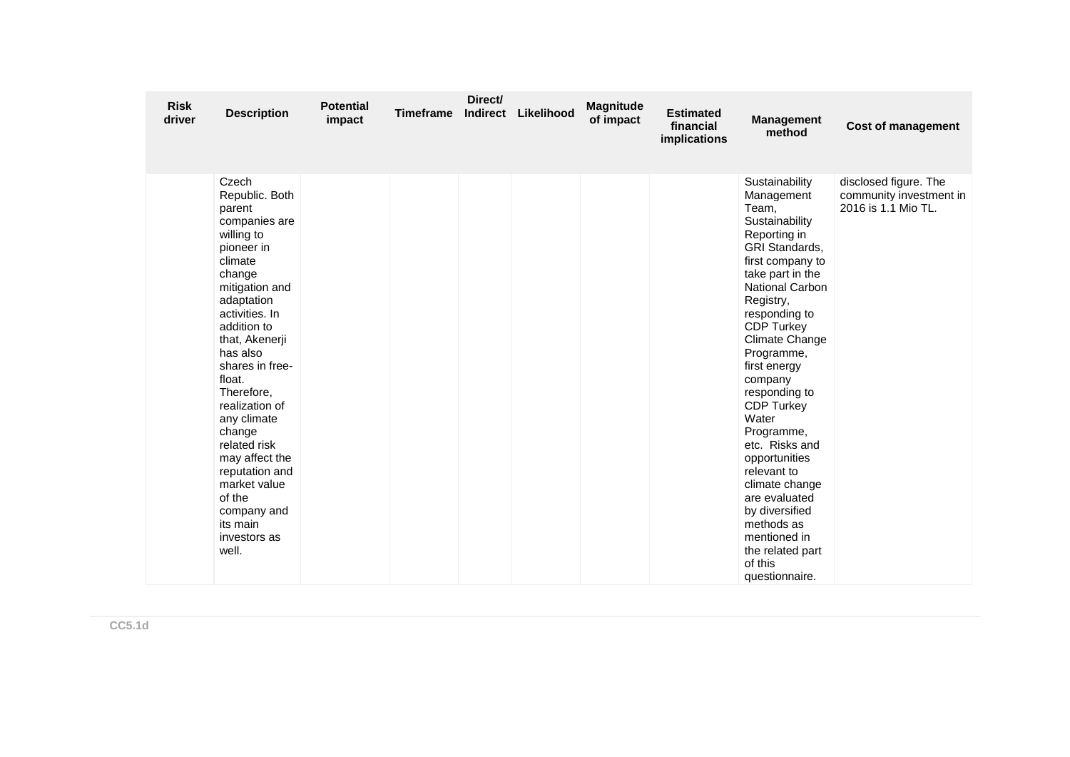| <b>Risk</b><br>driver | <b>Description</b>                                                                                                                                                                                                                                                                                                                                                                                                         | <b>Potential</b><br>impact | <b>Timeframe</b> | Direct/<br>Indirect | Likelihood | <b>Magnitude</b><br>of impact | <b>Estimated</b><br>financial<br>implications | <b>Management</b><br>method                                                                                                                                                                                                                                                                                                                                                                                                                                                                                           | <b>Cost of management</b>                                               |
|-----------------------|----------------------------------------------------------------------------------------------------------------------------------------------------------------------------------------------------------------------------------------------------------------------------------------------------------------------------------------------------------------------------------------------------------------------------|----------------------------|------------------|---------------------|------------|-------------------------------|-----------------------------------------------|-----------------------------------------------------------------------------------------------------------------------------------------------------------------------------------------------------------------------------------------------------------------------------------------------------------------------------------------------------------------------------------------------------------------------------------------------------------------------------------------------------------------------|-------------------------------------------------------------------------|
|                       | Czech<br>Republic. Both<br>parent<br>companies are<br>willing to<br>pioneer in<br>climate<br>change<br>mitigation and<br>adaptation<br>activities. In<br>addition to<br>that, Akenerji<br>has also<br>shares in free-<br>float.<br>Therefore,<br>realization of<br>any climate<br>change<br>related risk<br>may affect the<br>reputation and<br>market value<br>of the<br>company and<br>its main<br>investors as<br>well. |                            |                  |                     |            |                               |                                               | Sustainability<br>Management<br>Team,<br>Sustainability<br>Reporting in<br>GRI Standards,<br>first company to<br>take part in the<br>National Carbon<br>Registry,<br>responding to<br><b>CDP Turkey</b><br>Climate Change<br>Programme,<br>first energy<br>company<br>responding to<br><b>CDP Turkey</b><br>Water<br>Programme,<br>etc. Risks and<br>opportunities<br>relevant to<br>climate change<br>are evaluated<br>by diversified<br>methods as<br>mentioned in<br>the related part<br>of this<br>questionnaire. | disclosed figure. The<br>community investment in<br>2016 is 1.1 Mio TL. |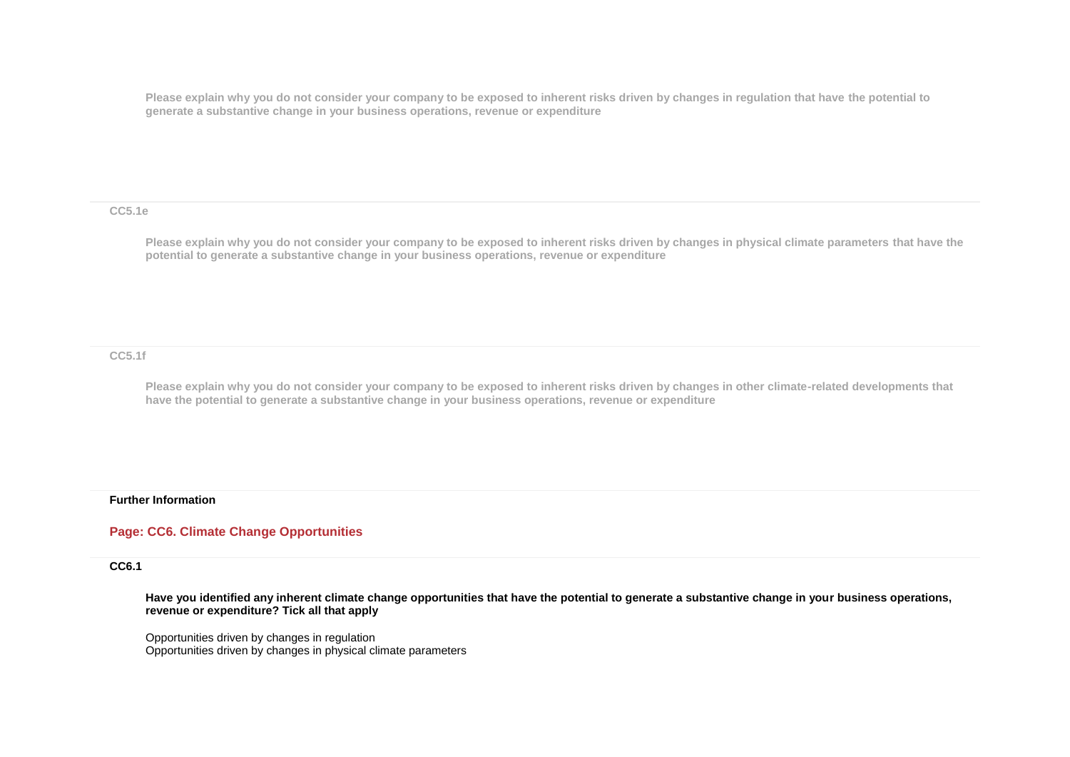**Please explain why you do not consider your company to be exposed to inherent risks driven by changes in regulation that have the potential to generate a substantive change in your business operations, revenue or expenditure** 

**CC5.1e**

**Please explain why you do not consider your company to be exposed to inherent risks driven by changes in physical climate parameters that have the potential to generate a substantive change in your business operations, revenue or expenditure**

**CC5.1f**

**Please explain why you do not consider your company to be exposed to inherent risks driven by changes in other climate-related developments that have the potential to generate a substantive change in your business operations, revenue or expenditure**

#### **Further Information**

## **Page: CC6. Climate Change Opportunities**

**CC6.1**

**Have you identified any inherent climate change opportunities that have the potential to generate a substantive change in your business operations, revenue or expenditure? Tick all that apply**

Opportunities driven by changes in regulation Opportunities driven by changes in physical climate parameters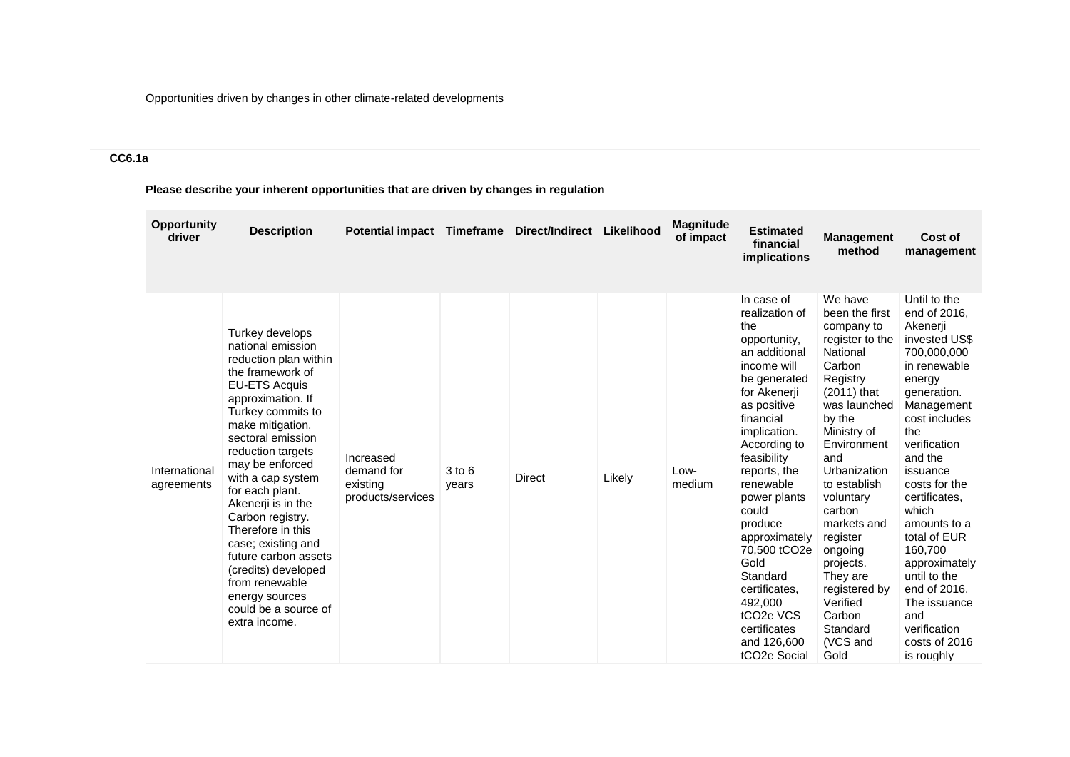Opportunities driven by changes in other climate-related developments

# **CC6.1a**

# **Please describe your inherent opportunities that are driven by changes in regulation**

| <b>Opportunity</b><br>driver | <b>Description</b>                                                                                                                                                                                                                                                                                                                                                                                                                                                                            | Potential impact Timeframe                               |                     | Direct/Indirect | Likelihood | <b>Magnitude</b><br>of impact | <b>Estimated</b><br>financial<br>implications                                                                                                                                                                                                                                                                                                                                                                                                      | <b>Management</b><br>method                                                                                                                                                                                                                                                                                                                                               | Cost of<br>management                                                                                                                                                                                                                                                                                                                                                                                       |
|------------------------------|-----------------------------------------------------------------------------------------------------------------------------------------------------------------------------------------------------------------------------------------------------------------------------------------------------------------------------------------------------------------------------------------------------------------------------------------------------------------------------------------------|----------------------------------------------------------|---------------------|-----------------|------------|-------------------------------|----------------------------------------------------------------------------------------------------------------------------------------------------------------------------------------------------------------------------------------------------------------------------------------------------------------------------------------------------------------------------------------------------------------------------------------------------|---------------------------------------------------------------------------------------------------------------------------------------------------------------------------------------------------------------------------------------------------------------------------------------------------------------------------------------------------------------------------|-------------------------------------------------------------------------------------------------------------------------------------------------------------------------------------------------------------------------------------------------------------------------------------------------------------------------------------------------------------------------------------------------------------|
| International<br>agreements  | Turkey develops<br>national emission<br>reduction plan within<br>the framework of<br><b>EU-ETS Acquis</b><br>approximation. If<br>Turkey commits to<br>make mitigation,<br>sectoral emission<br>reduction targets<br>may be enforced<br>with a cap system<br>for each plant.<br>Akenerji is in the<br>Carbon registry.<br>Therefore in this<br>case; existing and<br>future carbon assets<br>(credits) developed<br>from renewable<br>energy sources<br>could be a source of<br>extra income. | Increased<br>demand for<br>existing<br>products/services | $3$ to $6$<br>years | <b>Direct</b>   | Likely     | Low-<br>medium                | In case of<br>realization of<br>the<br>opportunity,<br>an additional<br>income will<br>be generated<br>for Akenerji<br>as positive<br>financial<br>implication.<br>According to<br>feasibility<br>reports, the<br>renewable<br>power plants<br>could<br>produce<br>approximately<br>70,500 tCO2e<br>Gold<br>Standard<br>certificates,<br>492,000<br>tCO <sub>2</sub> e VC <sub>S</sub><br>certificates<br>and 126,600<br>tCO <sub>2</sub> e Social | We have<br>been the first<br>company to<br>register to the<br>National<br>Carbon<br>Registry<br>$(2011)$ that<br>was launched<br>by the<br>Ministry of<br>Environment<br>and<br>Urbanization<br>to establish<br>voluntary<br>carbon<br>markets and<br>register<br>ongoing<br>projects.<br>They are<br>registered by<br>Verified<br>Carbon<br>Standard<br>(VCS and<br>Gold | Until to the<br>end of 2016,<br>Akenerji<br>invested US\$<br>700,000,000<br>in renewable<br>energy<br>generation.<br>Management<br>cost includes<br>the<br>verification<br>and the<br>issuance<br>costs for the<br>certificates.<br>which<br>amounts to a<br>total of EUR<br>160,700<br>approximately<br>until to the<br>end of 2016.<br>The issuance<br>and<br>verification<br>costs of 2016<br>is roughly |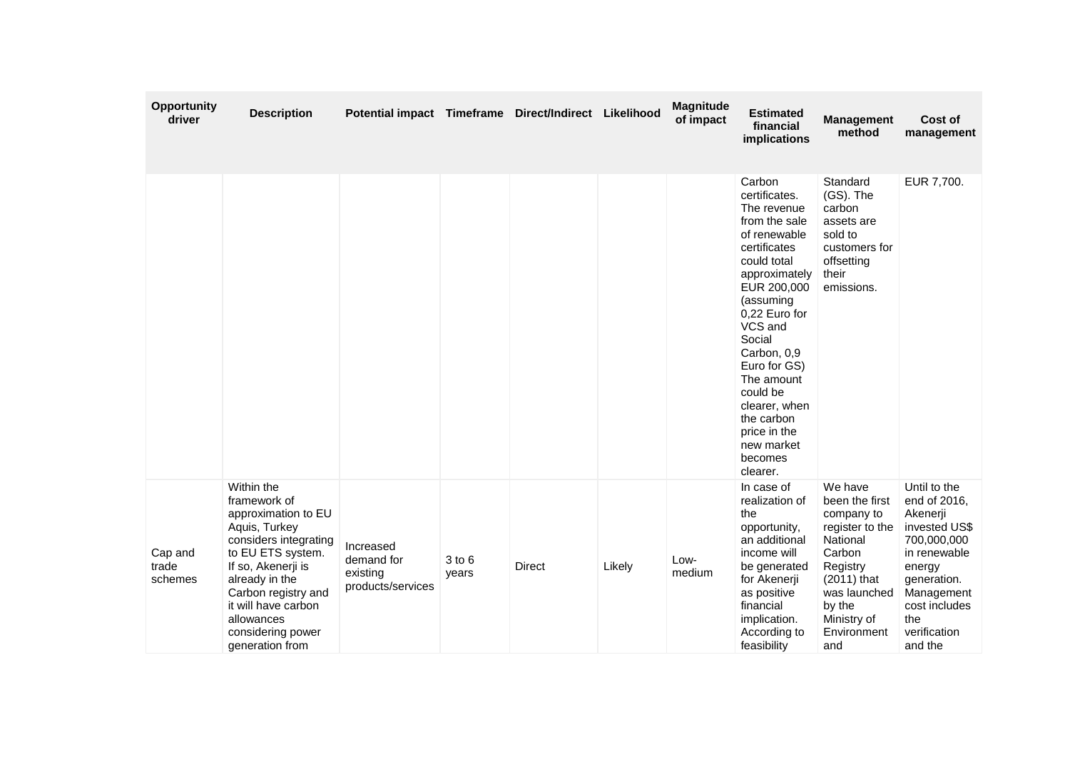| Opportunity<br>driver       | <b>Description</b>                                                                                                                                                                                                                                           | Potential impact Timeframe Direct/Indirect Likelihood    |                     |               |        | <b>Magnitude</b><br>of impact | <b>Estimated</b><br>financial<br>implications                                                                                                                                                                                                                                                                                          | <b>Management</b><br>method                                                                                                                                                  | Cost of<br>management                                                                                                                                                              |
|-----------------------------|--------------------------------------------------------------------------------------------------------------------------------------------------------------------------------------------------------------------------------------------------------------|----------------------------------------------------------|---------------------|---------------|--------|-------------------------------|----------------------------------------------------------------------------------------------------------------------------------------------------------------------------------------------------------------------------------------------------------------------------------------------------------------------------------------|------------------------------------------------------------------------------------------------------------------------------------------------------------------------------|------------------------------------------------------------------------------------------------------------------------------------------------------------------------------------|
|                             |                                                                                                                                                                                                                                                              |                                                          |                     |               |        |                               | Carbon<br>certificates.<br>The revenue<br>from the sale<br>of renewable<br>certificates<br>could total<br>approximately<br>EUR 200,000<br>(assuming<br>0,22 Euro for<br>VCS and<br>Social<br>Carbon, 0,9<br>Euro for GS)<br>The amount<br>could be<br>clearer, when<br>the carbon<br>price in the<br>new market<br>becomes<br>clearer. | Standard<br>(GS). The<br>carbon<br>assets are<br>sold to<br>customers for<br>offsetting<br>their<br>emissions.                                                               | EUR 7,700.                                                                                                                                                                         |
| Cap and<br>trade<br>schemes | Within the<br>framework of<br>approximation to EU<br>Aquis, Turkey<br>considers integrating<br>to EU ETS system.<br>If so, Akenerji is<br>already in the<br>Carbon registry and<br>it will have carbon<br>allowances<br>considering power<br>generation from | Increased<br>demand for<br>existing<br>products/services | $3$ to $6$<br>years | <b>Direct</b> | Likely | Low-<br>medium                | In case of<br>realization of<br>the<br>opportunity,<br>an additional<br>income will<br>be generated<br>for Akenerji<br>as positive<br>financial<br>implication.<br>According to<br>feasibility                                                                                                                                         | We have<br>been the first<br>company to<br>register to the<br>National<br>Carbon<br>Registry<br>$(2011)$ that<br>was launched<br>by the<br>Ministry of<br>Environment<br>and | Until to the<br>end of 2016,<br>Akenerji<br>invested US\$<br>700,000,000<br>in renewable<br>energy<br>generation.<br>Management<br>cost includes<br>the<br>verification<br>and the |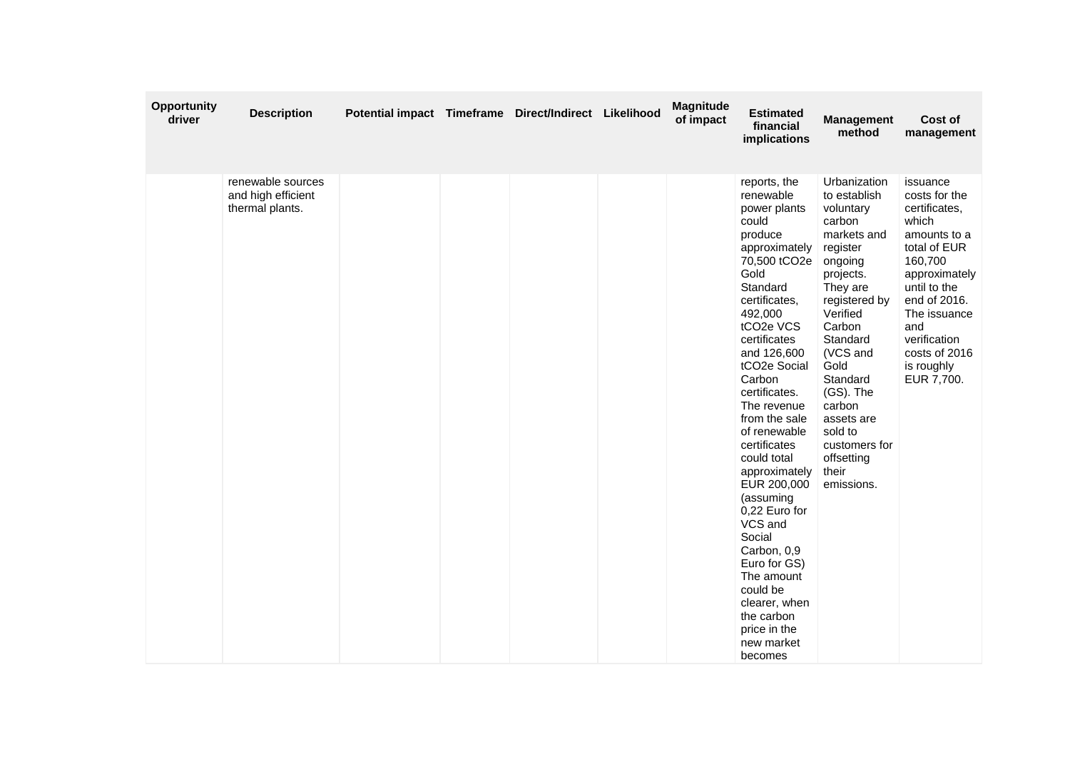| Opportunity<br>driver | <b>Description</b>                                         | Potential impact Timeframe Direct/Indirect Likelihood |  | Magnitude<br>of impact | <b>Estimated</b><br>financial<br>implications                                                                                                                                                                                                                                                                                                                                                                                                                                                                                                         | <b>Management</b><br>method                                                                                                                                                                                                                                                                                 | Cost of<br>management                                                                                                                                                                                                               |
|-----------------------|------------------------------------------------------------|-------------------------------------------------------|--|------------------------|-------------------------------------------------------------------------------------------------------------------------------------------------------------------------------------------------------------------------------------------------------------------------------------------------------------------------------------------------------------------------------------------------------------------------------------------------------------------------------------------------------------------------------------------------------|-------------------------------------------------------------------------------------------------------------------------------------------------------------------------------------------------------------------------------------------------------------------------------------------------------------|-------------------------------------------------------------------------------------------------------------------------------------------------------------------------------------------------------------------------------------|
|                       | renewable sources<br>and high efficient<br>thermal plants. |                                                       |  |                        | reports, the<br>renewable<br>power plants<br>could<br>produce<br>approximately<br>70,500 tCO2e<br>Gold<br>Standard<br>certificates,<br>492,000<br>tCO <sub>2</sub> e VCS<br>certificates<br>and 126,600<br>tCO2e Social<br>Carbon<br>certificates.<br>The revenue<br>from the sale<br>of renewable<br>certificates<br>could total<br>approximately<br>EUR 200,000<br>(assuming<br>0,22 Euro for<br>VCS and<br>Social<br>Carbon, 0,9<br>Euro for GS)<br>The amount<br>could be<br>clearer, when<br>the carbon<br>price in the<br>new market<br>becomes | Urbanization<br>to establish<br>voluntary<br>carbon<br>markets and<br>register<br>ongoing<br>projects.<br>They are<br>registered by<br>Verified<br>Carbon<br>Standard<br>(VCS and<br>Gold<br>Standard<br>(GS). The<br>carbon<br>assets are<br>sold to<br>customers for<br>offsetting<br>their<br>emissions. | issuance<br>costs for the<br>certificates,<br>which<br>amounts to a<br>total of EUR<br>160,700<br>approximately<br>until to the<br>end of 2016.<br>The issuance<br>and<br>verification<br>costs of 2016<br>is roughly<br>EUR 7,700. |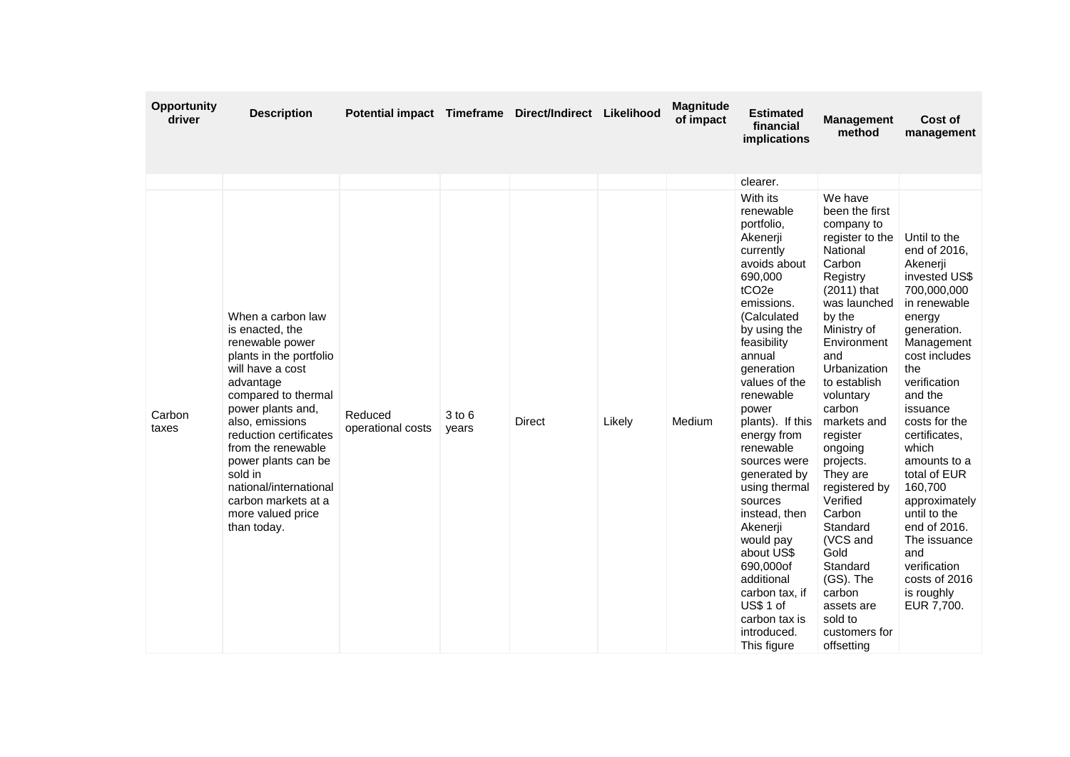| <b>Opportunity</b><br>driver | <b>Description</b>                                                                                                                                                                                                                                                                                                                                        | Potential impact Timeframe Direct/Indirect Likelihood |                 |        |        | <b>Magnitude</b><br>of impact | <b>Estimated</b><br>financial<br>implications                                                                                                                                                                                                                                                                                                                                                                                                                                                                        | <b>Management</b><br>method                                                                                                                                                                                                                                                                                                                                                                                                                                          | Cost of<br>management                                                                                                                                                                                                                                                                                                                                                                                                     |
|------------------------------|-----------------------------------------------------------------------------------------------------------------------------------------------------------------------------------------------------------------------------------------------------------------------------------------------------------------------------------------------------------|-------------------------------------------------------|-----------------|--------|--------|-------------------------------|----------------------------------------------------------------------------------------------------------------------------------------------------------------------------------------------------------------------------------------------------------------------------------------------------------------------------------------------------------------------------------------------------------------------------------------------------------------------------------------------------------------------|----------------------------------------------------------------------------------------------------------------------------------------------------------------------------------------------------------------------------------------------------------------------------------------------------------------------------------------------------------------------------------------------------------------------------------------------------------------------|---------------------------------------------------------------------------------------------------------------------------------------------------------------------------------------------------------------------------------------------------------------------------------------------------------------------------------------------------------------------------------------------------------------------------|
|                              |                                                                                                                                                                                                                                                                                                                                                           |                                                       |                 |        |        |                               | clearer.                                                                                                                                                                                                                                                                                                                                                                                                                                                                                                             |                                                                                                                                                                                                                                                                                                                                                                                                                                                                      |                                                                                                                                                                                                                                                                                                                                                                                                                           |
| Carbon<br>taxes              | When a carbon law<br>is enacted, the<br>renewable power<br>plants in the portfolio<br>will have a cost<br>advantage<br>compared to thermal<br>power plants and,<br>also, emissions<br>reduction certificates<br>from the renewable<br>power plants can be<br>sold in<br>national/international<br>carbon markets at a<br>more valued price<br>than today. | Reduced<br>operational costs                          | 3 to 6<br>years | Direct | Likely | Medium                        | With its<br>renewable<br>portfolio.<br>Akenerji<br>currently<br>avoids about<br>690,000<br>tCO <sub>2e</sub><br>emissions.<br>(Calculated<br>by using the<br>feasibility<br>annual<br>generation<br>values of the<br>renewable<br>power<br>plants). If this<br>energy from<br>renewable<br>sources were<br>generated by<br>using thermal<br>sources<br>instead, then<br>Akenerji<br>would pay<br>about US\$<br>690,000of<br>additional<br>carbon tax, if<br>US\$ 1 of<br>carbon tax is<br>introduced.<br>This figure | We have<br>been the first<br>company to<br>register to the<br>National<br>Carbon<br>Registry<br>$(2011)$ that<br>was launched<br>by the<br>Ministry of<br>Environment<br>and<br>Urbanization<br>to establish<br>voluntary<br>carbon<br>markets and<br>register<br>ongoing<br>projects.<br>They are<br>registered by<br>Verified<br>Carbon<br>Standard<br>(VCS and<br>Gold<br>Standard<br>(GS). The<br>carbon<br>assets are<br>sold to<br>customers for<br>offsetting | Until to the<br>end of 2016,<br>Akenerji<br>invested US\$<br>700,000,000<br>in renewable<br>energy<br>generation.<br>Management<br>cost includes<br>the<br>verification<br>and the<br>issuance<br>costs for the<br>certificates,<br>which<br>amounts to a<br>total of EUR<br>160,700<br>approximately<br>until to the<br>end of 2016.<br>The issuance<br>and<br>verification<br>costs of 2016<br>is roughly<br>EUR 7,700. |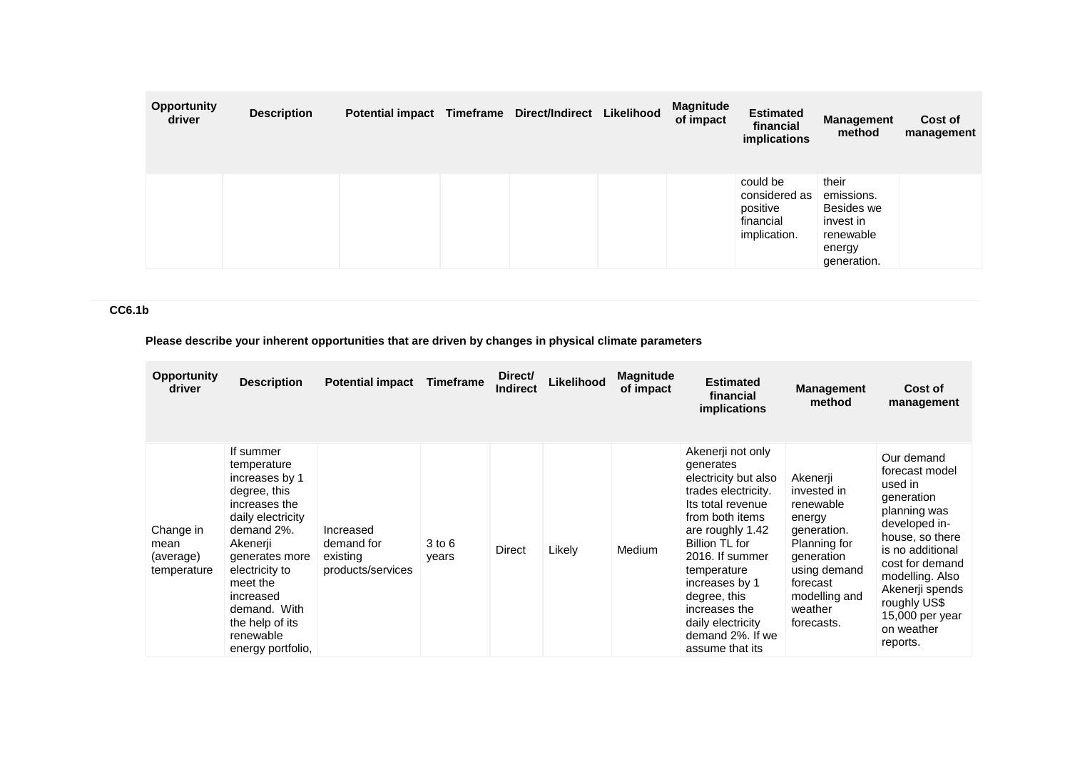| <b>Opportunity</b><br>driver | <b>Description</b> | Potential impact Timeframe Direct/Indirect |  | Likelihood | <b>Magnitude</b><br>of impact | <b>Estimated</b><br>financial<br>implications                      | <b>Management</b><br>method                                                          | Cost of<br>management |
|------------------------------|--------------------|--------------------------------------------|--|------------|-------------------------------|--------------------------------------------------------------------|--------------------------------------------------------------------------------------|-----------------------|
|                              |                    |                                            |  |            |                               | could be<br>considered as<br>positive<br>financial<br>implication. | their<br>emissions.<br>Besides we<br>invest in<br>renewable<br>energy<br>generation. |                       |

## **CC6.1b**

## **Please describe your inherent opportunities that are driven by changes in physical climate parameters**

| <b>Opportunity</b><br>driver                  | <b>Description</b>                                                                                                                                                                                                                                           | <b>Potential impact</b>                                  | Timeframe           | Direct/<br><b>Indirect</b> | Likelihood | <b>Magnitude</b><br>of impact | <b>Estimated</b><br>financial<br><i>implications</i>                                                                                                                                                                                                                                                         | <b>Management</b><br>method                                                                                                                                       | Cost of<br>management                                                                                                                                                                                                                                 |
|-----------------------------------------------|--------------------------------------------------------------------------------------------------------------------------------------------------------------------------------------------------------------------------------------------------------------|----------------------------------------------------------|---------------------|----------------------------|------------|-------------------------------|--------------------------------------------------------------------------------------------------------------------------------------------------------------------------------------------------------------------------------------------------------------------------------------------------------------|-------------------------------------------------------------------------------------------------------------------------------------------------------------------|-------------------------------------------------------------------------------------------------------------------------------------------------------------------------------------------------------------------------------------------------------|
| Change in<br>mean<br>(average)<br>temperature | If summer<br>temperature<br>increases by 1<br>degree, this<br>increases the<br>daily electricity<br>demand 2%.<br>Akenerji<br>generates more<br>electricity to<br>meet the<br>increased<br>demand. With<br>the help of its<br>renewable<br>energy portfolio, | Increased<br>demand for<br>existing<br>products/services | $3$ to $6$<br>years | Direct                     | Likely     | Medium                        | Akenerji not only<br>generates<br>electricity but also<br>trades electricity.<br>Its total revenue<br>from both items<br>are roughly 1.42<br>Billion TL for<br>2016. If summer<br>temperature<br>increases by 1<br>degree, this<br>increases the<br>daily electricity<br>demand 2%. If we<br>assume that its | Akenerji<br>invested in<br>renewable<br>energy<br>generation.<br>Planning for<br>generation<br>using demand<br>forecast<br>modelling and<br>weather<br>forecasts. | Our demand<br>forecast model<br>used in<br>generation<br>planning was<br>developed in-<br>house, so there<br>is no additional<br>cost for demand<br>modelling. Also<br>Akenerji spends<br>roughly US\$<br>$15,000$ per year<br>on weather<br>reports. |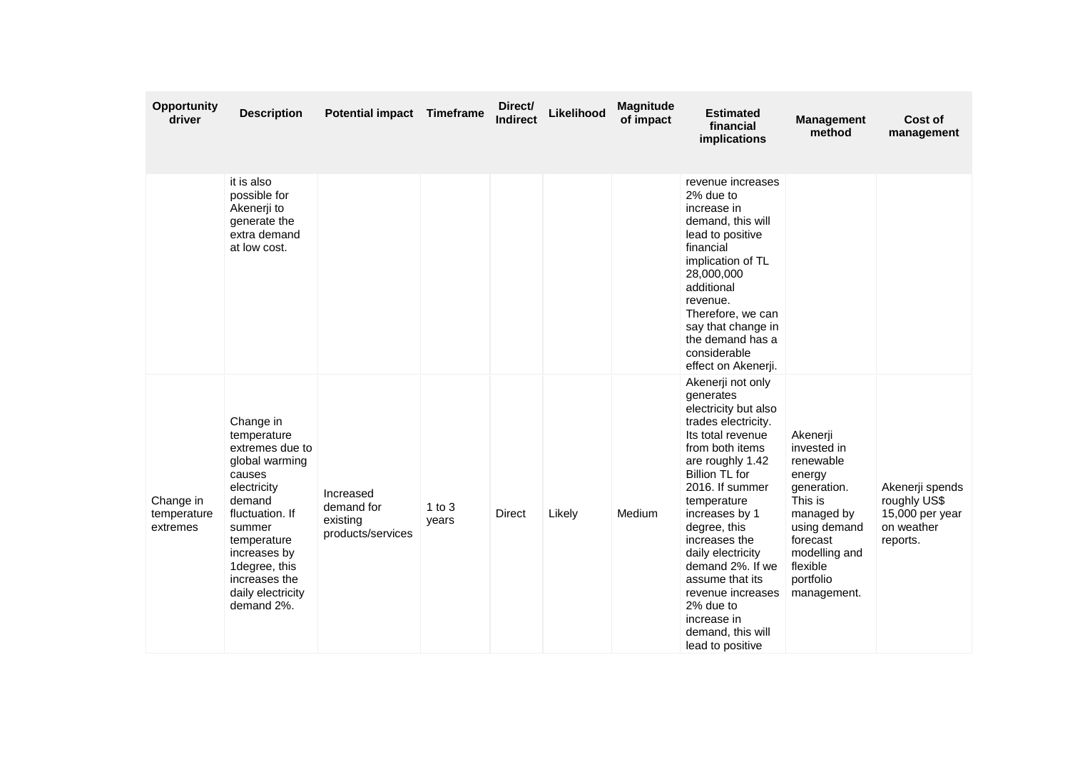| <b>Opportunity</b><br>driver         | <b>Description</b>                                                                                                                                                                                                                | Potential impact Timeframe                               |                   | Direct/<br>Indirect | Likelihood | Magnitude<br>of impact | <b>Estimated</b><br>financial<br>implications                                                                                                                                                                                                                                                                                                                                                          | <b>Management</b><br>method                                                                                                                                                 | Cost of<br>management                                                        |
|--------------------------------------|-----------------------------------------------------------------------------------------------------------------------------------------------------------------------------------------------------------------------------------|----------------------------------------------------------|-------------------|---------------------|------------|------------------------|--------------------------------------------------------------------------------------------------------------------------------------------------------------------------------------------------------------------------------------------------------------------------------------------------------------------------------------------------------------------------------------------------------|-----------------------------------------------------------------------------------------------------------------------------------------------------------------------------|------------------------------------------------------------------------------|
|                                      | it is also<br>possible for<br>Akenerji to<br>generate the<br>extra demand<br>at low cost.                                                                                                                                         |                                                          |                   |                     |            |                        | revenue increases<br>2% due to<br>increase in<br>demand, this will<br>lead to positive<br>financial<br>implication of TL<br>28,000,000<br>additional<br>revenue.<br>Therefore, we can<br>say that change in<br>the demand has a<br>considerable<br>effect on Akenerji.                                                                                                                                 |                                                                                                                                                                             |                                                                              |
| Change in<br>temperature<br>extremes | Change in<br>temperature<br>extremes due to<br>global warming<br>causes<br>electricity<br>demand<br>fluctuation. If<br>summer<br>temperature<br>increases by<br>1degree, this<br>increases the<br>daily electricity<br>demand 2%. | Increased<br>demand for<br>existing<br>products/services | 1 to $3$<br>years | Direct              | Likely     | Medium                 | Akenerji not only<br>generates<br>electricity but also<br>trades electricity.<br>Its total revenue<br>from both items<br>are roughly 1.42<br>Billion TL for<br>2016. If summer<br>temperature<br>increases by 1<br>degree, this<br>increases the<br>daily electricity<br>demand 2%. If we<br>assume that its<br>revenue increases<br>2% due to<br>increase in<br>demand, this will<br>lead to positive | Akenerji<br>invested in<br>renewable<br>energy<br>generation.<br>This is<br>managed by<br>using demand<br>forecast<br>modelling and<br>flexible<br>portfolio<br>management. | Akenerji spends<br>roughly US\$<br>15,000 per year<br>on weather<br>reports. |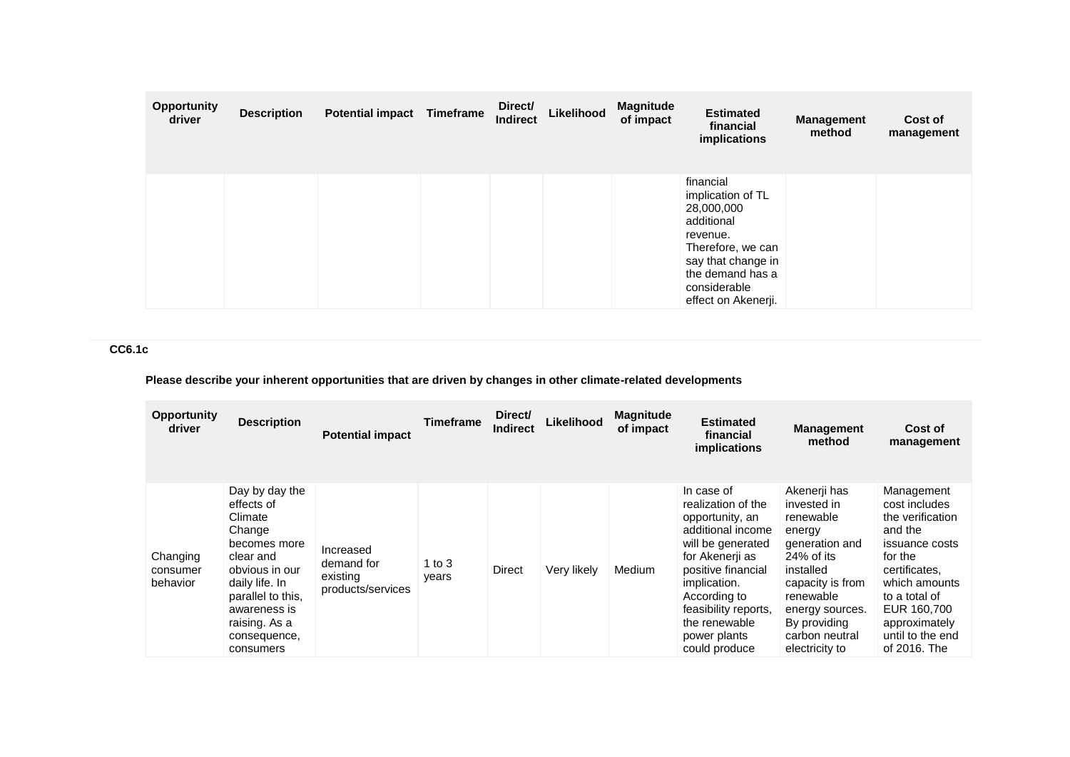| <b>Opportunity</b><br>driver | <b>Description</b> | <b>Potential impact</b> | Timeframe | Direct/<br><b>Indirect</b> | Likelihood | <b>Magnitude</b><br>of impact | <b>Estimated</b><br>financial<br>implications                                                                                                                                | <b>Management</b><br>method | Cost of<br>management |
|------------------------------|--------------------|-------------------------|-----------|----------------------------|------------|-------------------------------|------------------------------------------------------------------------------------------------------------------------------------------------------------------------------|-----------------------------|-----------------------|
|                              |                    |                         |           |                            |            |                               | financial<br>implication of TL<br>28,000,000<br>additional<br>revenue.<br>Therefore, we can<br>say that change in<br>the demand has a<br>considerable<br>effect on Akenerji. |                             |                       |

**CC6.1c**

**Please describe your inherent opportunities that are driven by changes in other climate-related developments**

| <b>Opportunity</b><br>driver     | <b>Description</b>                                                                                                                                                                                    | <b>Potential impact</b>                                  | <b>Timeframe</b>  | Direct/<br><b>Indirect</b> | Likelihood  | <b>Magnitude</b><br>of impact | <b>Estimated</b><br>financial<br>implications                                                                                                                                                                                                    | <b>Management</b><br>method                                                                                                                                                                                | Cost of<br>management                                                                                                                                                                                          |
|----------------------------------|-------------------------------------------------------------------------------------------------------------------------------------------------------------------------------------------------------|----------------------------------------------------------|-------------------|----------------------------|-------------|-------------------------------|--------------------------------------------------------------------------------------------------------------------------------------------------------------------------------------------------------------------------------------------------|------------------------------------------------------------------------------------------------------------------------------------------------------------------------------------------------------------|----------------------------------------------------------------------------------------------------------------------------------------------------------------------------------------------------------------|
| Changing<br>consumer<br>behavior | Day by day the<br>effects of<br>Climate<br>Change<br>becomes more<br>clear and<br>obvious in our<br>daily life. In<br>parallel to this.<br>awareness is<br>raising. As a<br>consequence,<br>consumers | Increased<br>demand for<br>existing<br>products/services | 1 to $3$<br>years | <b>Direct</b>              | Very likely | Medium                        | In case of<br>realization of the<br>opportunity, an<br>additional income<br>will be generated<br>for Akenerii as<br>positive financial<br>implication.<br>According to<br>feasibility reports,<br>the renewable<br>power plants<br>could produce | Akenerji has<br>invested in<br>renewable<br>energy<br>generation and<br>$24\%$ of its<br>installed<br>capacity is from<br>renewable<br>energy sources.<br>By providing<br>carbon neutral<br>electricity to | Management<br>cost includes<br>the verification<br>and the<br>issuance costs<br>for the<br>certificates.<br>which amounts<br>to a total of<br>EUR 160,700<br>approximately<br>until to the end<br>of 2016. The |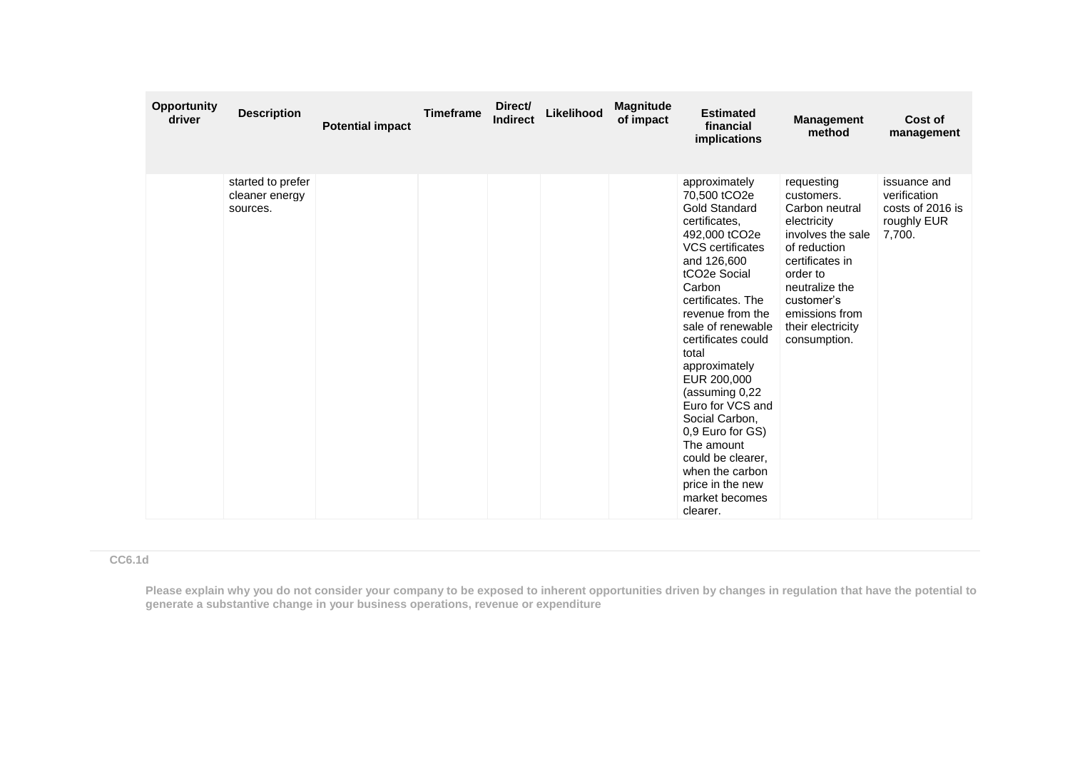| Opportunity<br>driver | <b>Description</b>                              | <b>Potential impact</b> | <b>Timeframe</b> | Direct/<br><b>Indirect</b> | Likelihood | <b>Magnitude</b><br>of impact | <b>Estimated</b><br>financial<br>implications                                                                                                                                                                                                                                                                                                                                                                                                                                       | <b>Management</b><br>method                                                                                                                                                                                          | Cost of<br>management                                                     |
|-----------------------|-------------------------------------------------|-------------------------|------------------|----------------------------|------------|-------------------------------|-------------------------------------------------------------------------------------------------------------------------------------------------------------------------------------------------------------------------------------------------------------------------------------------------------------------------------------------------------------------------------------------------------------------------------------------------------------------------------------|----------------------------------------------------------------------------------------------------------------------------------------------------------------------------------------------------------------------|---------------------------------------------------------------------------|
|                       | started to prefer<br>cleaner energy<br>sources. |                         |                  |                            |            |                               | approximately<br>70,500 tCO2e<br><b>Gold Standard</b><br>certificates.<br>492,000 tCO2e<br>VCS certificates<br>and 126,600<br>tCO <sub>2</sub> e Social<br>Carbon<br>certificates. The<br>revenue from the<br>sale of renewable<br>certificates could<br>total<br>approximately<br>EUR 200,000<br>(assuming 0.22)<br>Euro for VCS and<br>Social Carbon,<br>0,9 Euro for GS)<br>The amount<br>could be clearer,<br>when the carbon<br>price in the new<br>market becomes<br>clearer. | requesting<br>customers.<br>Carbon neutral<br>electricity<br>involves the sale<br>of reduction<br>certificates in<br>order to<br>neutralize the<br>customer's<br>emissions from<br>their electricity<br>consumption. | issuance and<br>verification<br>costs of 2016 is<br>roughly EUR<br>7,700. |

### **CC6.1d**

**Please explain why you do not consider your company to be exposed to inherent opportunities driven by changes in regulation that have the potential to generate a substantive change in your business operations, revenue or expenditure**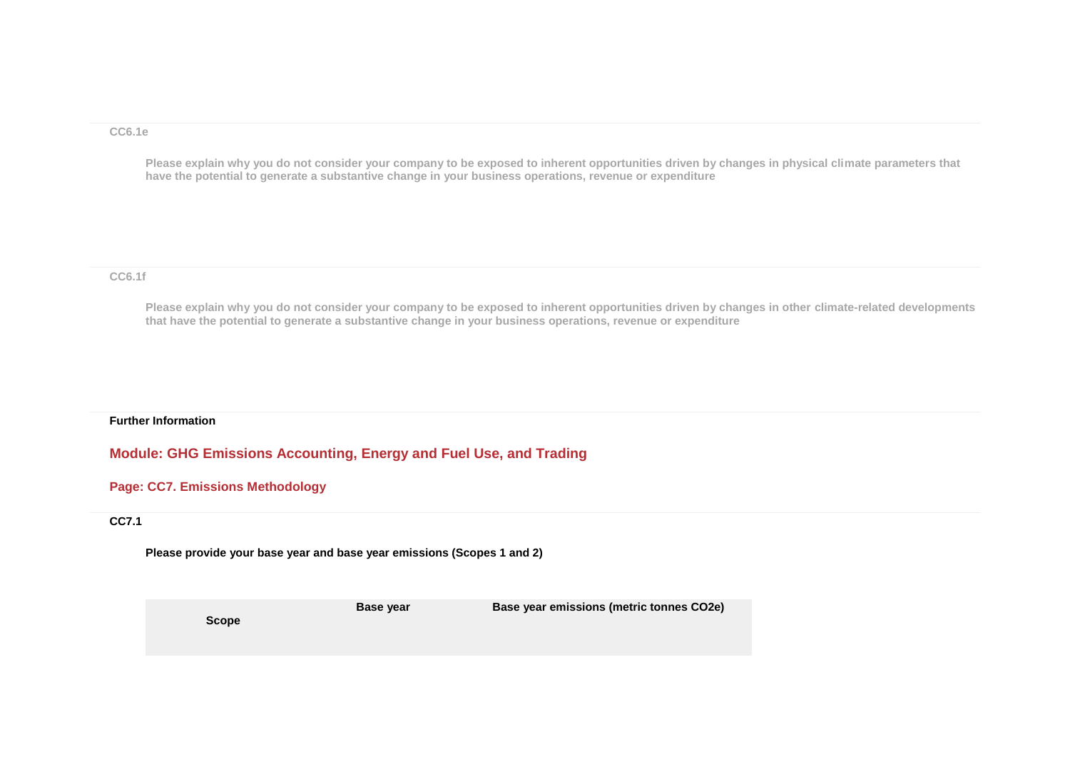#### **CC6.1e**

**Please explain why you do not consider your company to be exposed to inherent opportunities driven by changes in physical climate parameters that have the potential to generate a substantive change in your business operations, revenue or expenditure**

#### **CC6.1f**

**Please explain why you do not consider your company to be exposed to inherent opportunities driven by changes in other climate-related developments that have the potential to generate a substantive change in your business operations, revenue or expenditure**

#### **Further Information**

### **Module: GHG Emissions Accounting, Energy and Fuel Use, and Trading**

### **Page: CC7. Emissions Methodology**

#### **CC7.1**

**Please provide your base year and base year emissions (Scopes 1 and 2)**

**Base year Base year emissions (metric tonnes CO2e)**

**Scope**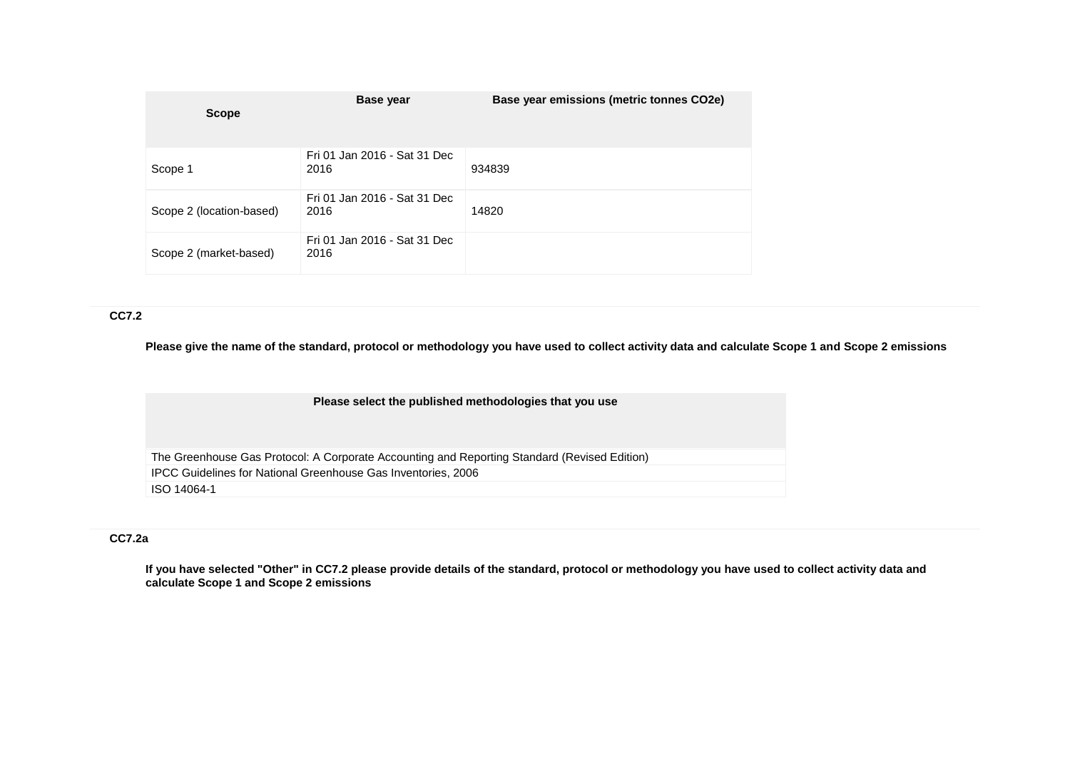| <b>Scope</b>             | Base year                            | Base year emissions (metric tonnes CO2e) |
|--------------------------|--------------------------------------|------------------------------------------|
| Scope 1                  | Fri 01 Jan 2016 - Sat 31 Dec<br>2016 | 934839                                   |
| Scope 2 (location-based) | Fri 01 Jan 2016 - Sat 31 Dec<br>2016 | 14820                                    |
| Scope 2 (market-based)   | Fri 01 Jan 2016 - Sat 31 Dec<br>2016 |                                          |

#### **CC7.2**

**Please give the name of the standard, protocol or methodology you have used to collect activity data and calculate Scope 1 and Scope 2 emissions** 

| Please select the published methodologies that you use |  |  |  |
|--------------------------------------------------------|--|--|--|
|--------------------------------------------------------|--|--|--|

The Greenhouse Gas Protocol: A Corporate Accounting and Reporting Standard (Revised Edition) IPCC Guidelines for National Greenhouse Gas Inventories, 2006 ISO 14064-1

### **CC7.2a**

**If you have selected "Other" in CC7.2 please provide details of the standard, protocol or methodology you have used to collect activity data and calculate Scope 1 and Scope 2 emissions**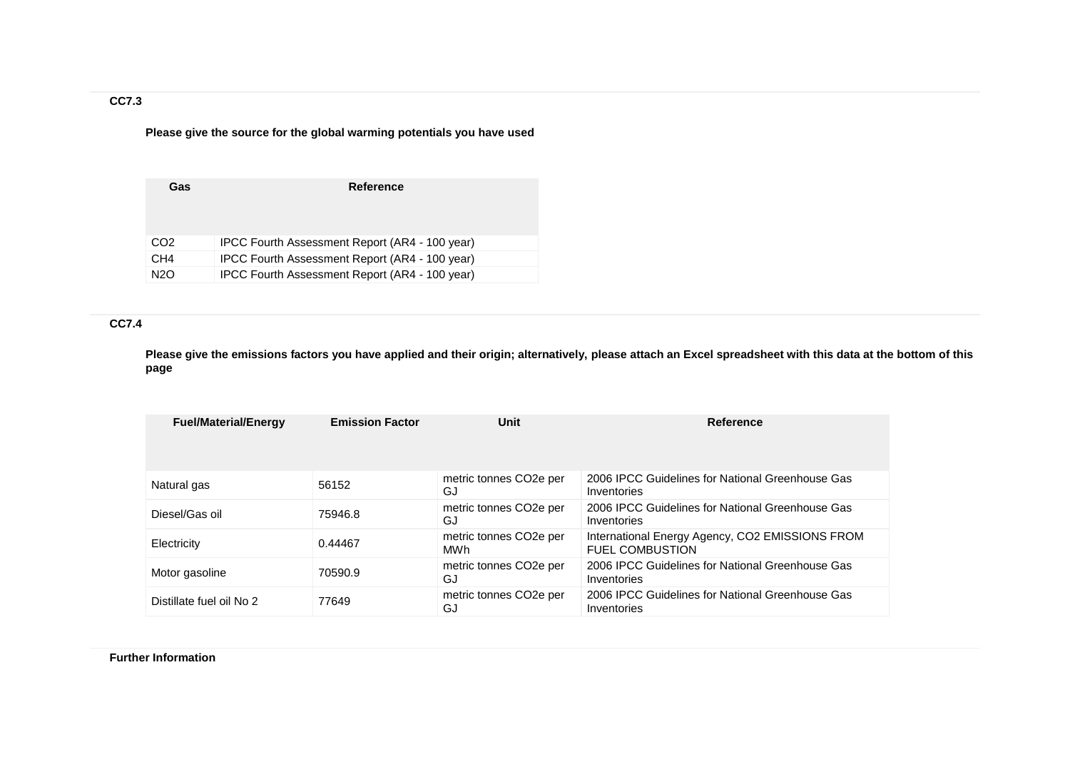## **CC7.3**

**Please give the source for the global warming potentials you have used**

| Gas             | <b>Reference</b>                               |
|-----------------|------------------------------------------------|
| CO <sub>2</sub> | IPCC Fourth Assessment Report (AR4 - 100 year) |
| CH <sub>4</sub> | IPCC Fourth Assessment Report (AR4 - 100 year) |
| <b>N2O</b>      | IPCC Fourth Assessment Report (AR4 - 100 year) |

## **CC7.4**

**Please give the emissions factors you have applied and their origin; alternatively, please attach an Excel spreadsheet with this data at the bottom of this page**

| <b>Fuel/Material/Energy</b> | <b>Emission Factor</b> | Unit                                       | Reference                                                                 |
|-----------------------------|------------------------|--------------------------------------------|---------------------------------------------------------------------------|
| Natural gas                 | 56152                  | metric tonnes CO <sub>2</sub> e per<br>GJ  | 2006 IPCC Guidelines for National Greenhouse Gas<br>Inventories           |
| Diesel/Gas oil              | 75946.8                | metric tonnes CO <sub>2</sub> e per<br>GJ  | 2006 IPCC Guidelines for National Greenhouse Gas<br>Inventories           |
| Electricity                 | 0.44467                | metric tonnes CO <sub>2</sub> e per<br>MWh | International Energy Agency, CO2 EMISSIONS FROM<br><b>FUEL COMBUSTION</b> |
| Motor gasoline              | 70590.9                | metric tonnes CO <sub>2</sub> e per<br>GJ  | 2006 IPCC Guidelines for National Greenhouse Gas<br>Inventories           |
| Distillate fuel oil No 2    | 77649                  | metric tonnes CO <sub>2</sub> e per<br>GJ  | 2006 IPCC Guidelines for National Greenhouse Gas<br>Inventories           |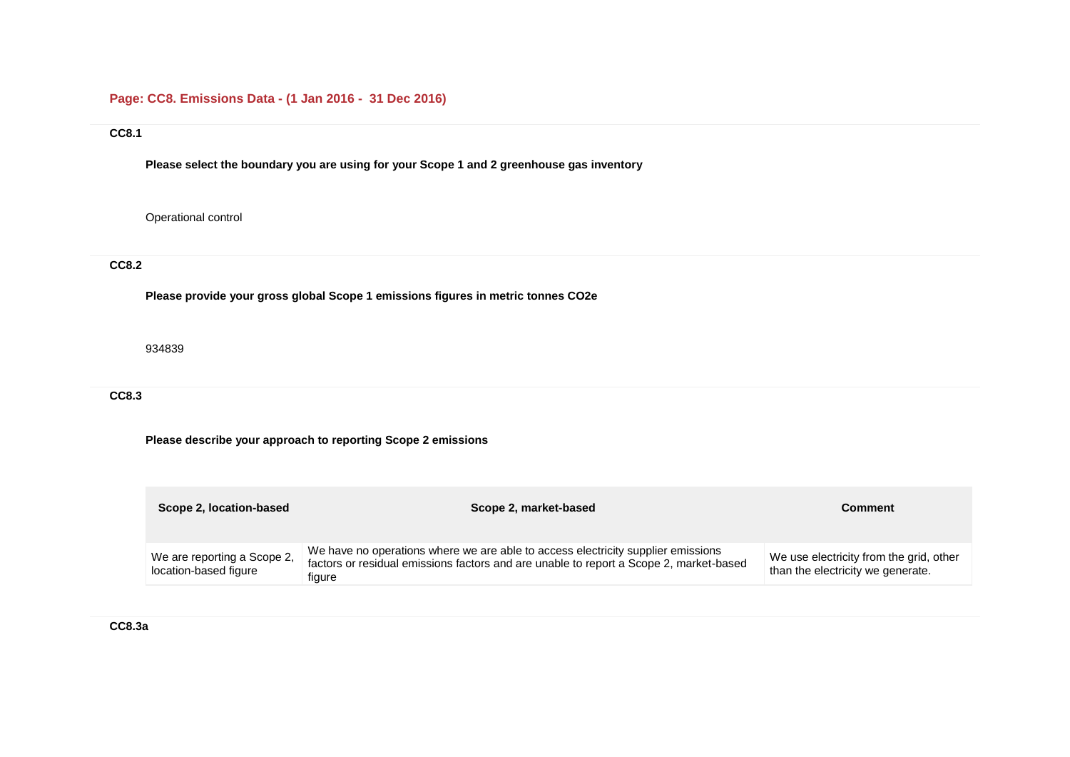# **Page: CC8. Emissions Data - (1 Jan 2016 - 31 Dec 2016)**

### **CC8.1**

**Please select the boundary you are using for your Scope 1 and 2 greenhouse gas inventory**

Operational control

# **CC8.2**

**Please provide your gross global Scope 1 emissions figures in metric tonnes CO2e**

934839

## **CC8.3**

## **Please describe your approach to reporting Scope 2 emissions**

| Scope 2, location-based                              | Scope 2, market-based                                                                                                                                                                | Comment                                                                      |
|------------------------------------------------------|--------------------------------------------------------------------------------------------------------------------------------------------------------------------------------------|------------------------------------------------------------------------------|
| We are reporting a Scope 2,<br>location-based figure | We have no operations where we are able to access electricity supplier emissions<br>factors or residual emissions factors and are unable to report a Scope 2, market-based<br>figure | We use electricity from the grid, other<br>than the electricity we generate. |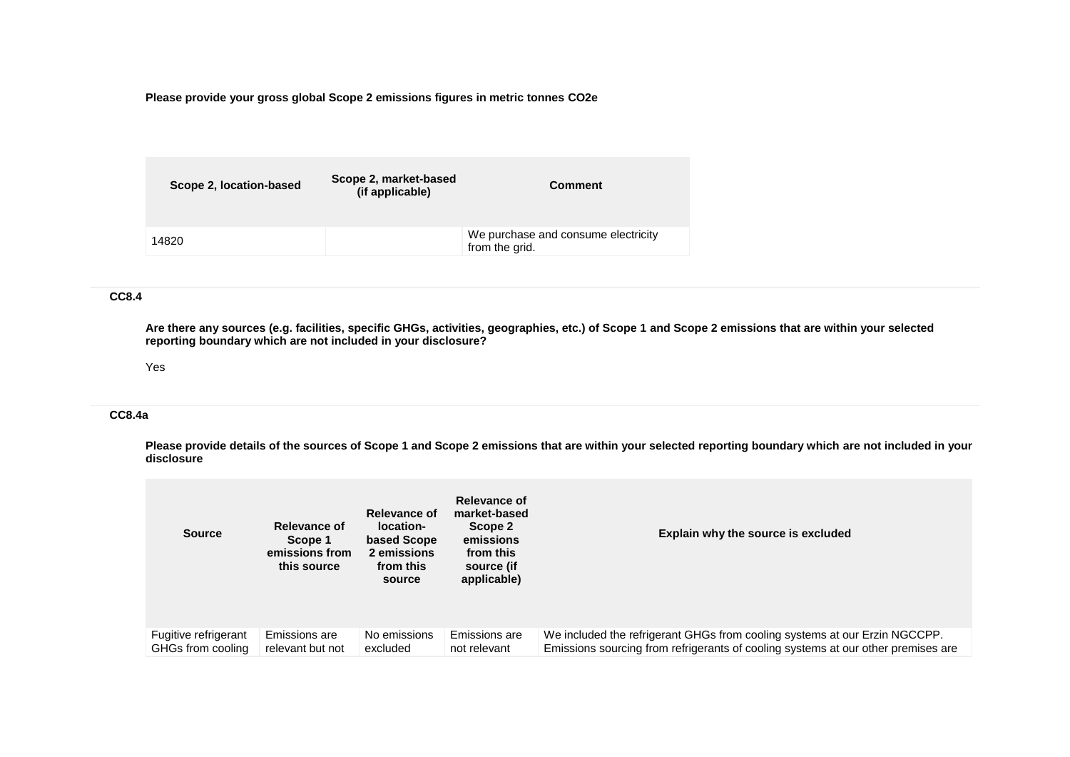**Please provide your gross global Scope 2 emissions figures in metric tonnes CO2e**

| Scope 2, location-based | Scope 2, market-based<br>(if applicable) | <b>Comment</b>                                        |
|-------------------------|------------------------------------------|-------------------------------------------------------|
| 14820                   |                                          | We purchase and consume electricity<br>from the grid. |

### **CC8.4**

**Are there any sources (e.g. facilities, specific GHGs, activities, geographies, etc.) of Scope 1 and Scope 2 emissions that are within your selected reporting boundary which are not included in your disclosure?**

#### Yes

#### **CC8.4a**

**Please provide details of the sources of Scope 1 and Scope 2 emissions that are within your selected reporting boundary which are not included in your disclosure**

| <b>Source</b>        | Relevance of<br>Scope 1<br>emissions from<br>this source | <b>Relevance of</b><br>location-<br>based Scope<br>2 emissions<br>from this<br>source | Relevance of<br>market-based<br>Scope 2<br>emissions<br>from this<br>source (if<br>applicable) | Explain why the source is excluded                                                |
|----------------------|----------------------------------------------------------|---------------------------------------------------------------------------------------|------------------------------------------------------------------------------------------------|-----------------------------------------------------------------------------------|
| Fugitive refrigerant | Emissions are                                            | No emissions                                                                          | Emissions are                                                                                  | We included the refrigerant GHGs from cooling systems at our Erzin NGCCPP.        |
| GHGs from cooling    | relevant but not                                         | excluded                                                                              | not relevant                                                                                   | Emissions sourcing from refrigerants of cooling systems at our other premises are |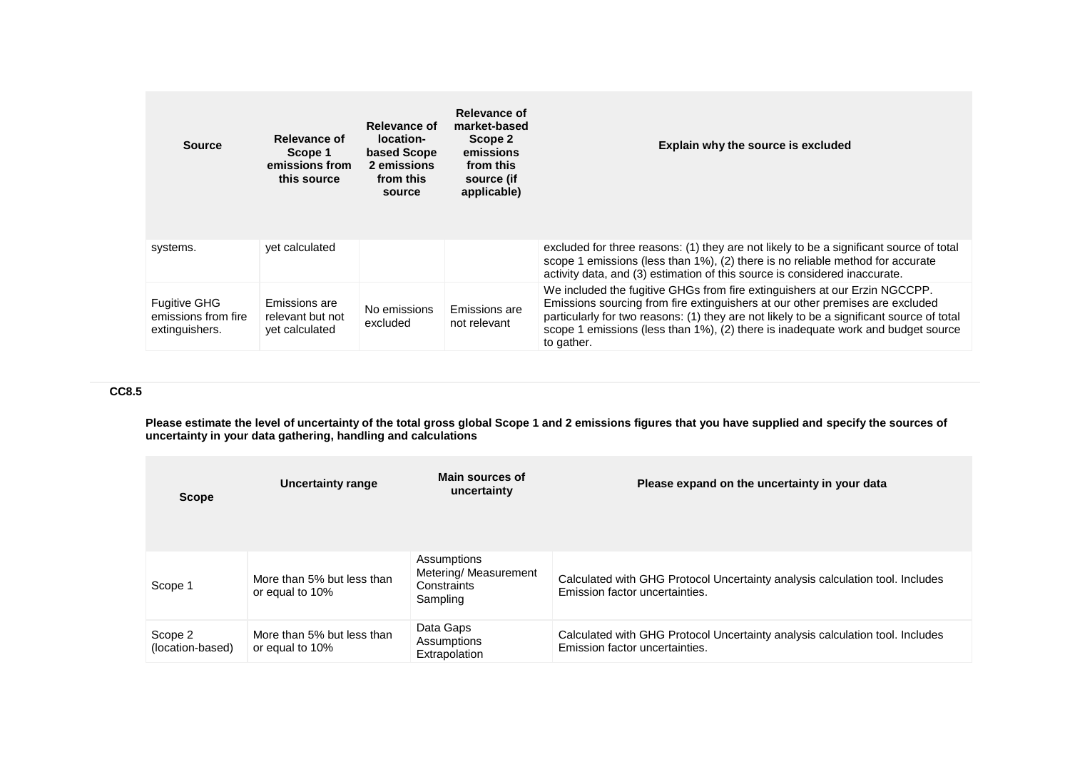| <b>Source</b>                                                | Relevance of<br>Scope 1<br>emissions from<br>this source | Relevance of<br>location-<br>based Scope<br>2 emissions<br>from this<br>source | Relevance of<br>market-based<br>Scope 2<br>emissions<br>from this<br>source (if<br>applicable) | Explain why the source is excluded                                                                                                                                                                                                                                                                                                                         |
|--------------------------------------------------------------|----------------------------------------------------------|--------------------------------------------------------------------------------|------------------------------------------------------------------------------------------------|------------------------------------------------------------------------------------------------------------------------------------------------------------------------------------------------------------------------------------------------------------------------------------------------------------------------------------------------------------|
| systems.                                                     | vet calculated                                           |                                                                                |                                                                                                | excluded for three reasons: (1) they are not likely to be a significant source of total<br>scope 1 emissions (less than 1%), (2) there is no reliable method for accurate<br>activity data, and (3) estimation of this source is considered inaccurate.                                                                                                    |
| <b>Fugitive GHG</b><br>emissions from fire<br>extinguishers. | Emissions are<br>relevant but not<br>yet calculated      | No emissions<br>excluded                                                       | Emissions are<br>not relevant                                                                  | We included the fugitive GHGs from fire extinguishers at our Erzin NGCCPP.<br>Emissions sourcing from fire extinguishers at our other premises are excluded<br>particularly for two reasons: (1) they are not likely to be a significant source of total<br>scope 1 emissions (less than 1%), (2) there is inadequate work and budget source<br>to gather. |

## **CC8.5**

**Please estimate the level of uncertainty of the total gross global Scope 1 and 2 emissions figures that you have supplied and specify the sources of uncertainty in your data gathering, handling and calculations**

| <b>Scope</b>                | <b>Uncertainty range</b>                      | Main sources of<br>uncertainty                                  | Please expand on the uncertainty in your data                                                                  |
|-----------------------------|-----------------------------------------------|-----------------------------------------------------------------|----------------------------------------------------------------------------------------------------------------|
| Scope 1                     | More than 5% but less than<br>or equal to 10% | Assumptions<br>Metering/ Measurement<br>Constraints<br>Sampling | Calculated with GHG Protocol Uncertainty analysis calculation tool. Includes<br>Emission factor uncertainties. |
| Scope 2<br>(location-based) | More than 5% but less than<br>or equal to 10% | Data Gaps<br>Assumptions<br>Extrapolation                       | Calculated with GHG Protocol Uncertainty analysis calculation tool. Includes<br>Emission factor uncertainties. |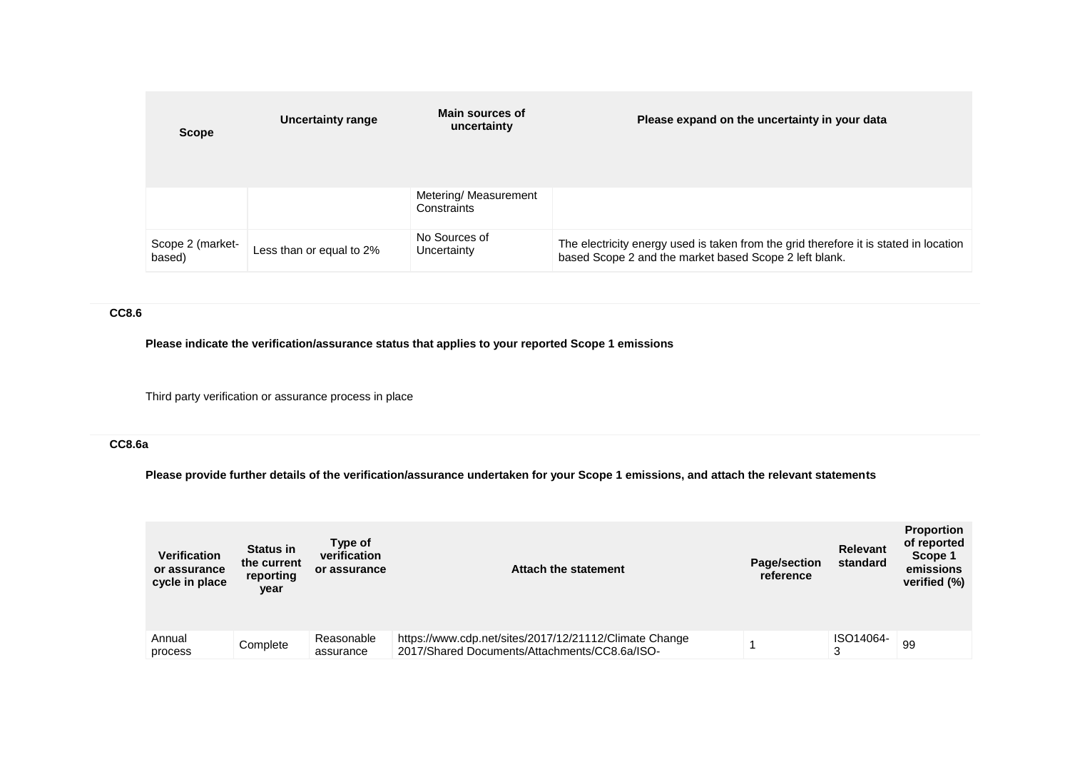| <b>Scope</b>               | Uncertainty range        | Main sources of<br>uncertainty       | Please expand on the uncertainty in your data                                                                                                   |
|----------------------------|--------------------------|--------------------------------------|-------------------------------------------------------------------------------------------------------------------------------------------------|
|                            |                          | Metering/ Measurement<br>Constraints |                                                                                                                                                 |
| Scope 2 (market-<br>based) | Less than or equal to 2% | No Sources of<br>Uncertainty         | The electricity energy used is taken from the grid therefore it is stated in location<br>based Scope 2 and the market based Scope 2 left blank. |

## **CC8.6**

**Please indicate the verification/assurance status that applies to your reported Scope 1 emissions**

Third party verification or assurance process in place

## **CC8.6a**

**Please provide further details of the verification/assurance undertaken for your Scope 1 emissions, and attach the relevant statements**

| <b>Verification</b><br>or assurance<br>cycle in place | <b>Status in</b><br>the current<br>reporting<br>year | Type of<br>verification<br>or assurance | Attach the statement                                                                                    | Page/section<br>reference | Relevant<br>standard | <b>Proportion</b><br>of reported<br>Scope 1<br>emissions<br>verified (%) |
|-------------------------------------------------------|------------------------------------------------------|-----------------------------------------|---------------------------------------------------------------------------------------------------------|---------------------------|----------------------|--------------------------------------------------------------------------|
| Annual<br>process                                     | Complete                                             | Reasonable<br>assurance                 | https://www.cdp.net/sites/2017/12/21112/Climate Change<br>2017/Shared Documents/Attachments/CC8.6a/ISO- |                           | ISO14064-<br>3       | 99                                                                       |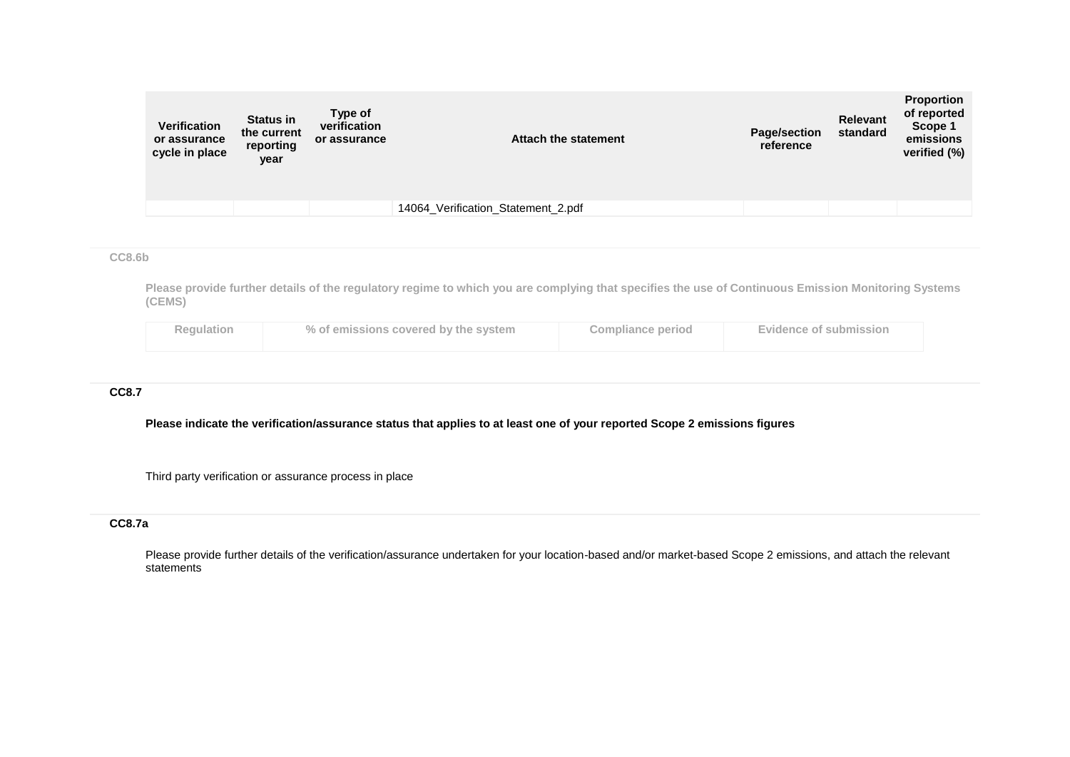| Verification<br>or assurance<br>cycle in place | <b>Status in</b><br>the current<br>reporting<br>year | Type of<br>verification<br>or assurance | Attach the statement               | <b>Page/section</b><br>reference | <b>Relevant</b><br>standard | <b>Proportion</b><br>of reported<br>Scope 1<br>emissions<br>verified (%) |
|------------------------------------------------|------------------------------------------------------|-----------------------------------------|------------------------------------|----------------------------------|-----------------------------|--------------------------------------------------------------------------|
|                                                |                                                      |                                         | 14064_Verification_Statement_2.pdf |                                  |                             |                                                                          |

### **CC8.6b**

**Please provide further details of the regulatory regime to which you are complying that specifies the use of Continuous Emission Monitoring Systems (CEMS)**

| <b>Regulation</b> | % of emissions covered by the system | <b>Compliance period</b> | <b>Evidence of submission</b> |
|-------------------|--------------------------------------|--------------------------|-------------------------------|
|                   |                                      |                          |                               |

## **CC8.7**

**Please indicate the verification/assurance status that applies to at least one of your reported Scope 2 emissions figures**

Third party verification or assurance process in place

## **CC8.7a**

Please provide further details of the verification/assurance undertaken for your location-based and/or market-based Scope 2 emissions, and attach the relevant statements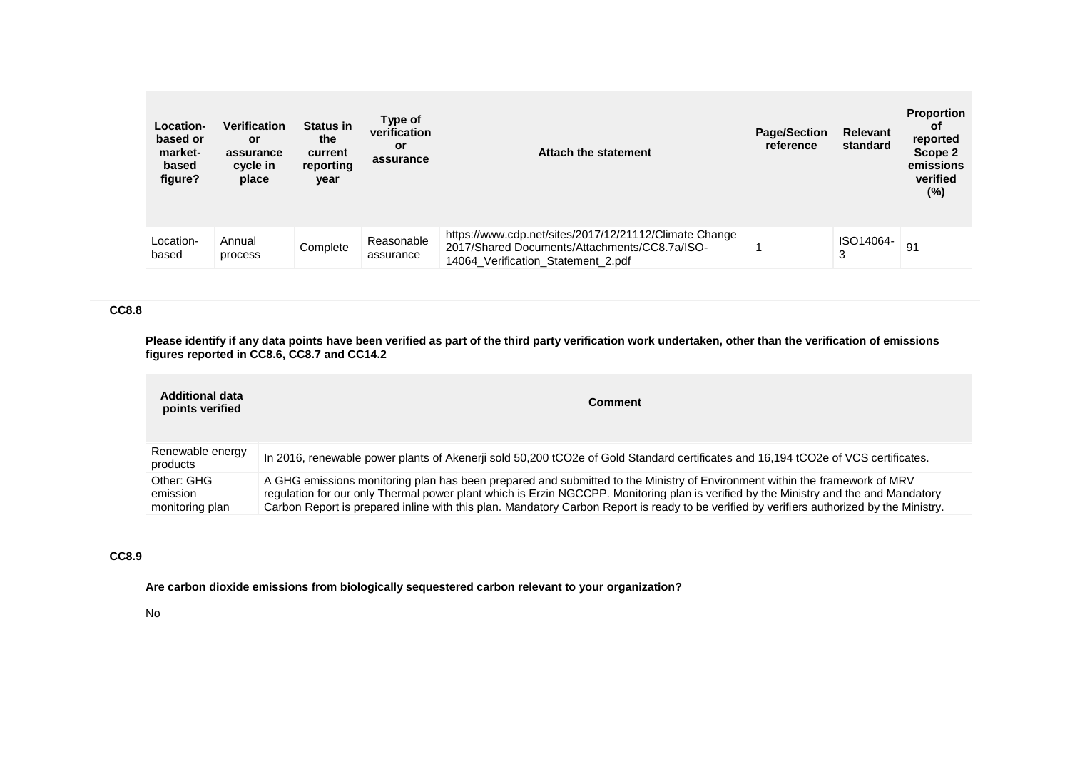| Location-<br>based or<br>market-<br>based<br>figure? | <b>Verification</b><br><b>or</b><br>assurance<br>cycle in<br>place | <b>Status in</b><br>the<br>current<br>reporting<br>year | Type of<br>verification<br>or<br>assurance | Attach the statement                                                                                                                          | <b>Page/Section</b><br>reference | <b>Relevant</b><br>standard | <b>Proportion</b><br>0f<br>reported<br>Scope 2<br>emissions<br>verified<br>(%) |
|------------------------------------------------------|--------------------------------------------------------------------|---------------------------------------------------------|--------------------------------------------|-----------------------------------------------------------------------------------------------------------------------------------------------|----------------------------------|-----------------------------|--------------------------------------------------------------------------------|
| Location-<br>based                                   | Annual<br>process                                                  | Complete                                                | Reasonable<br>assurance                    | https://www.cdp.net/sites/2017/12/21112/Climate Change<br>2017/Shared Documents/Attachments/CC8.7a/ISO-<br>14064 Verification Statement 2.pdf |                                  | ISO14064-<br>3              | 91                                                                             |

### **CC8.8**

**Please identify if any data points have been verified as part of the third party verification work undertaken, other than the verification of emissions figures reported in CC8.6, CC8.7 and CC14.2**

| <b>Additional data</b><br>points verified | <b>Comment</b>                                                                                                                                                                                                                                                                                                                                                                                                  |
|-------------------------------------------|-----------------------------------------------------------------------------------------------------------------------------------------------------------------------------------------------------------------------------------------------------------------------------------------------------------------------------------------------------------------------------------------------------------------|
| Renewable energy<br>products              | In 2016, renewable power plants of Akenerji sold 50,200 tCO2e of Gold Standard certificates and 16,194 tCO2e of VCS certificates.                                                                                                                                                                                                                                                                               |
| Other: GHG<br>emission<br>monitoring plan | A GHG emissions monitoring plan has been prepared and submitted to the Ministry of Environment within the framework of MRV<br>regulation for our only Thermal power plant which is Erzin NGCCPP. Monitoring plan is verified by the Ministry and the and Mandatory<br>Carbon Report is prepared inline with this plan. Mandatory Carbon Report is ready to be verified by verifiers authorized by the Ministry. |

#### **CC8.9**

**Are carbon dioxide emissions from biologically sequestered carbon relevant to your organization?**

No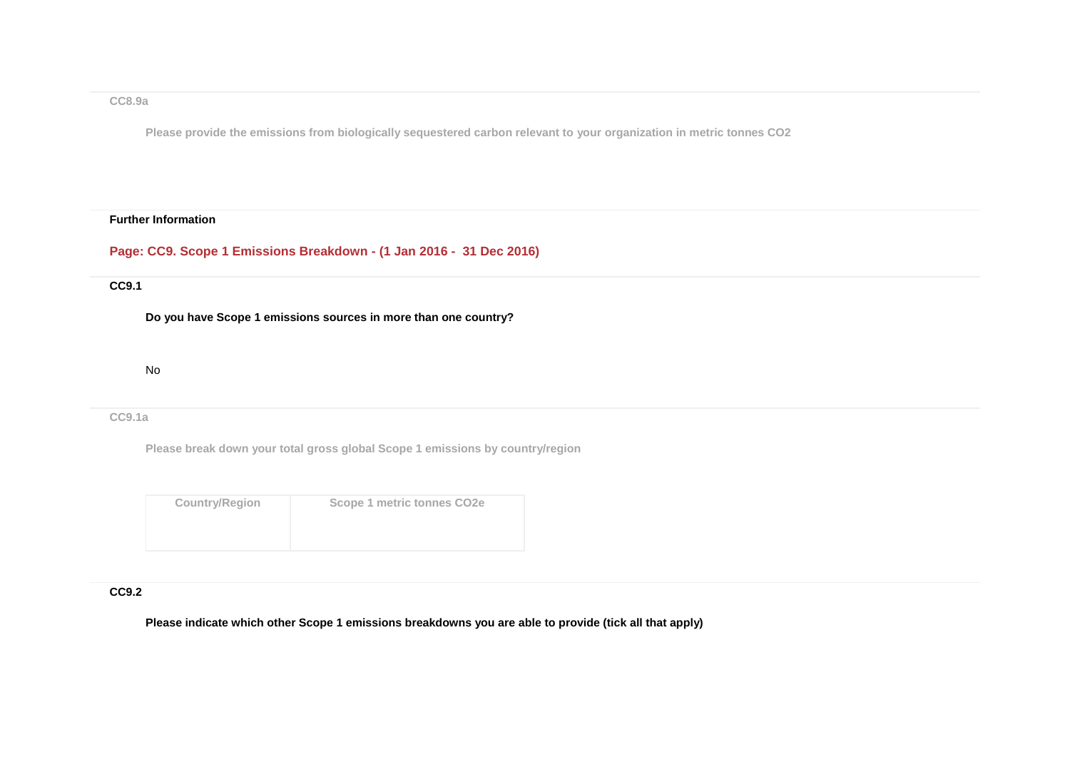#### **CC8.9a**

**Please provide the emissions from biologically sequestered carbon relevant to your organization in metric tonnes CO2**

#### **Further Information**

**Page: CC9. Scope 1 Emissions Breakdown - (1 Jan 2016 - 31 Dec 2016)**

### **CC9.1**

**Do you have Scope 1 emissions sources in more than one country?**

No

#### **CC9.1a**

**Please break down your total gross global Scope 1 emissions by country/region**

| <b>Country/Region</b> | Scope 1 metric tonnes CO2e |
|-----------------------|----------------------------|
|                       |                            |
|                       |                            |

### **CC9.2**

**Please indicate which other Scope 1 emissions breakdowns you are able to provide (tick all that apply)**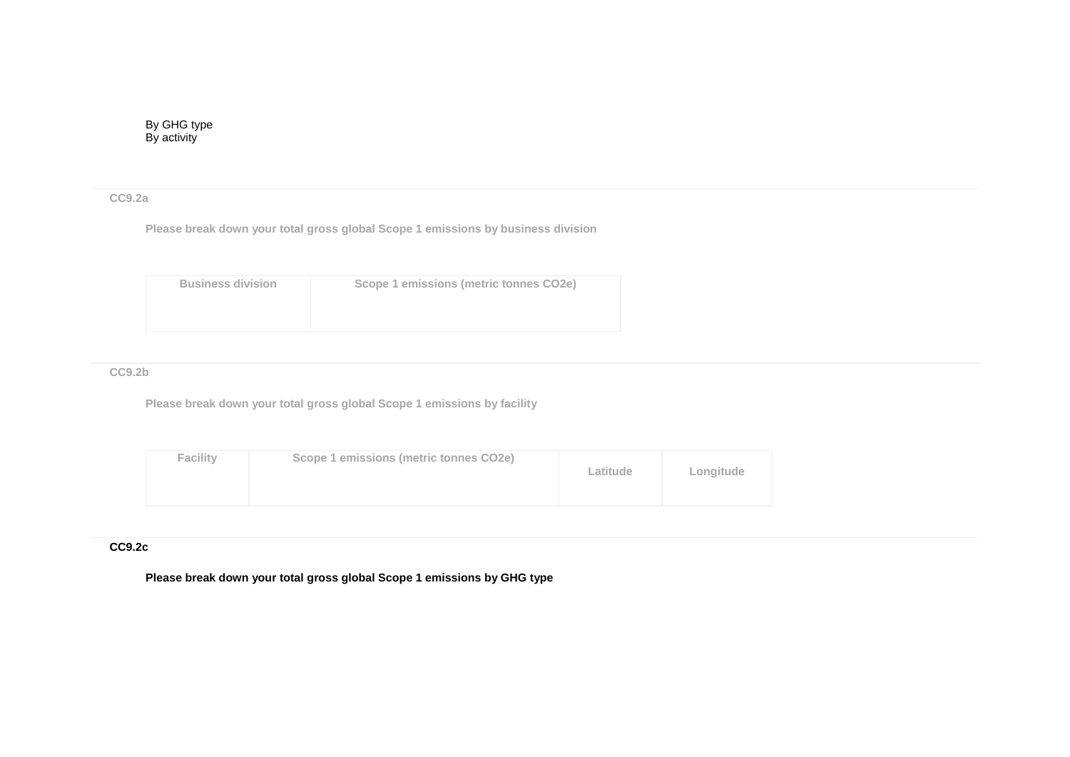## **CC9.2a**

**Please break down your total gross global Scope 1 emissions by business division**

| <b>Business division</b> | Scope 1 emissions (metric tonnes CO2e) |
|--------------------------|----------------------------------------|
|                          |                                        |

### **CC9.2b**

**Please break down your total gross global Scope 1 emissions by facility**

| <b>Facility</b> | Scope 1 emissions (metric tonnes CO2e) | Latitude | Longitude |
|-----------------|----------------------------------------|----------|-----------|
|-----------------|----------------------------------------|----------|-----------|

### **CC9.2c**

**Please break down your total gross global Scope 1 emissions by GHG type**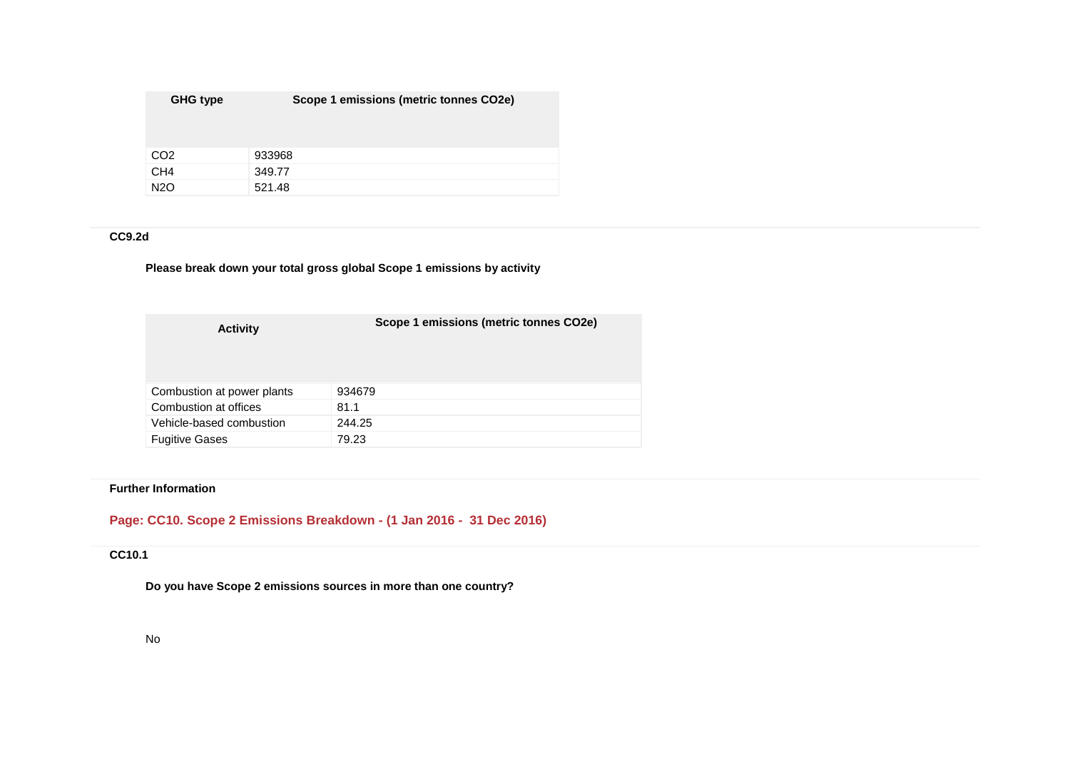| GHG type        | Scope 1 emissions (metric tonnes CO2e) |
|-----------------|----------------------------------------|
|                 |                                        |
| CO <sub>2</sub> | 933968                                 |
| CH <sub>4</sub> | 349.77                                 |
| <b>N2O</b>      | 521.48                                 |

## **CC9.2d**

## **Please break down your total gross global Scope 1 emissions by activity**

| <b>Activity</b>            | Scope 1 emissions (metric tonnes CO2e) |
|----------------------------|----------------------------------------|
| Combustion at power plants | 934679                                 |
| Combustion at offices      | 81.1                                   |
| Vehicle-based combustion   | 244.25                                 |
| <b>Fugitive Gases</b>      | 79.23                                  |

## **Further Information**

# **Page: CC10. Scope 2 Emissions Breakdown - (1 Jan 2016 - 31 Dec 2016)**

## **CC10.1**

**Do you have Scope 2 emissions sources in more than one country?**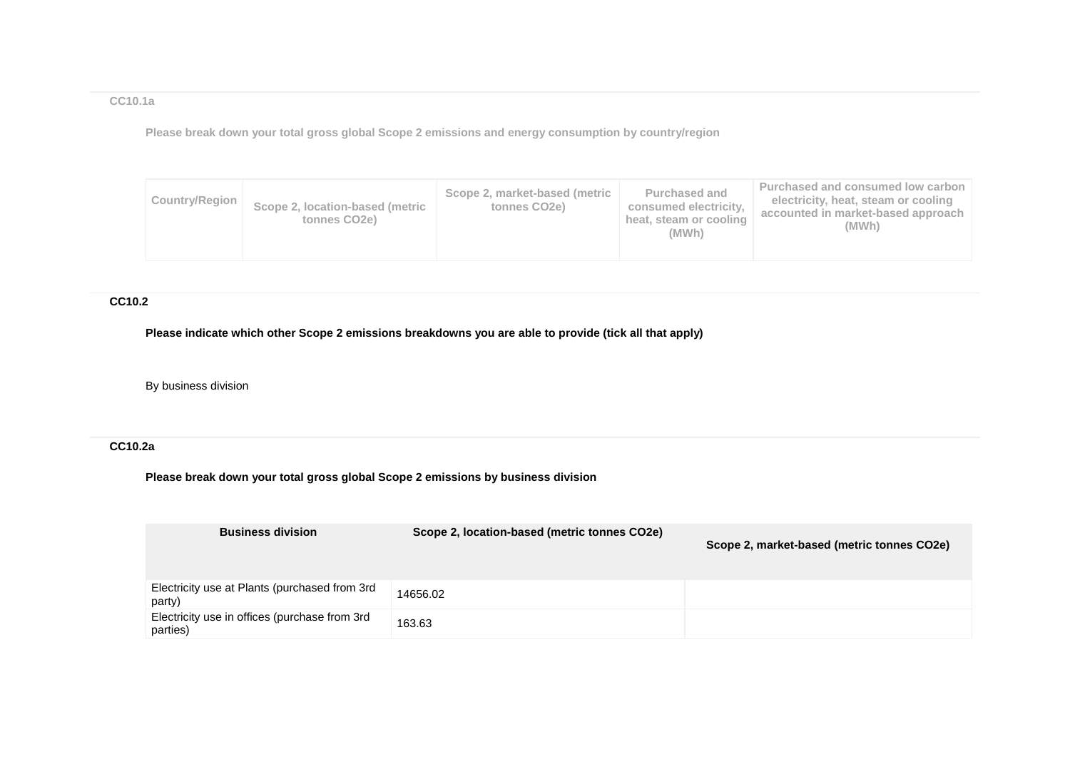## **CC10.1a**

**Please break down your total gross global Scope 2 emissions and energy consumption by country/region**

| Country/Region | Scope 2, location-based (metric<br>tonnes CO <sub>2</sub> e) | Scope 2, market-based (metric<br>tonnes CO <sub>2e</sub> ) | <b>Purchased and</b><br>consumed electricity.<br>heat, steam or cooling<br>(MWh) | Purchased and consumed low carbon<br>electricity, heat, steam or cooling<br>accounted in market-based approach<br>(MWh) |
|----------------|--------------------------------------------------------------|------------------------------------------------------------|----------------------------------------------------------------------------------|-------------------------------------------------------------------------------------------------------------------------|
|----------------|--------------------------------------------------------------|------------------------------------------------------------|----------------------------------------------------------------------------------|-------------------------------------------------------------------------------------------------------------------------|

## **CC10.2**

**Please indicate which other Scope 2 emissions breakdowns you are able to provide (tick all that apply)**

## By business division

## **CC10.2a**

**Please break down your total gross global Scope 2 emissions by business division**

| <b>Business division</b>                                  | Scope 2, location-based (metric tonnes CO2e) | Scope 2, market-based (metric tonnes CO2e) |
|-----------------------------------------------------------|----------------------------------------------|--------------------------------------------|
| Electricity use at Plants (purchased from 3rd<br>party)   | 14656.02                                     |                                            |
| Electricity use in offices (purchase from 3rd<br>parties) | 163.63                                       |                                            |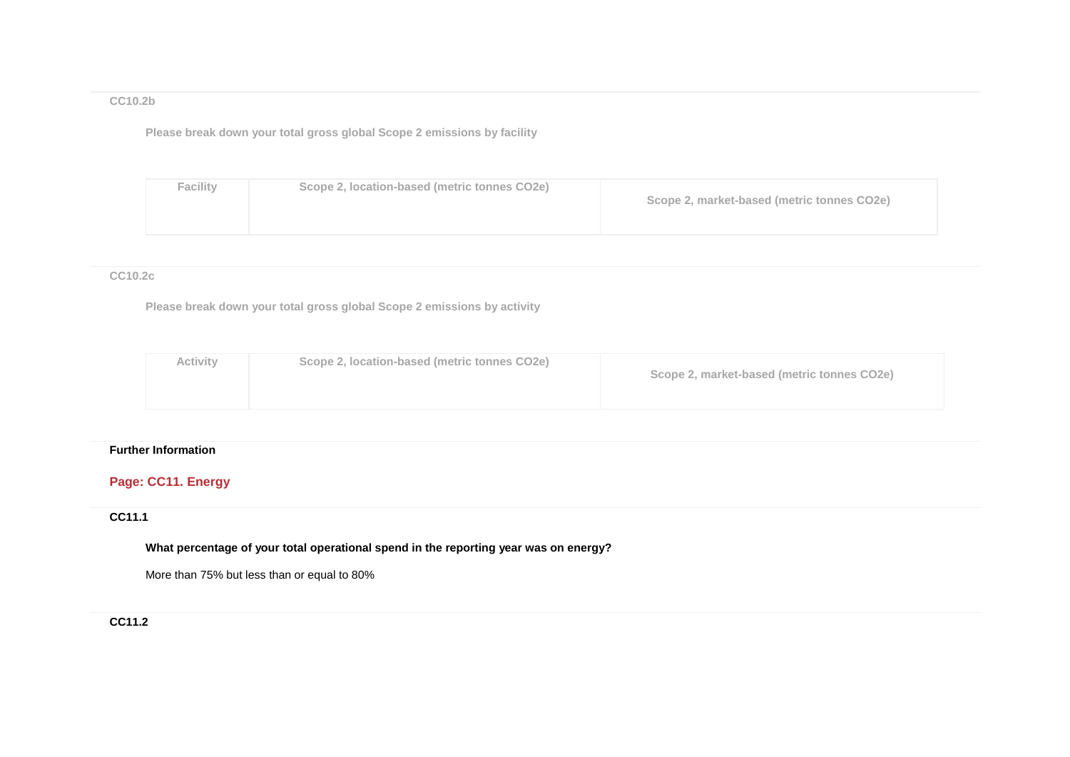## **CC10.2b**

**Please break down your total gross global Scope 2 emissions by facility**

| <b>Facility</b> | Scope 2, location-based (metric tonnes CO2e) | Scope 2, market-based (metric tonnes CO2e) |
|-----------------|----------------------------------------------|--------------------------------------------|
|-----------------|----------------------------------------------|--------------------------------------------|

### **CC10.2c**

**Please break down your total gross global Scope 2 emissions by activity**

| Activity<br>Scope 2, location-based (metric tonnes CO2e)<br>Scope 2, market-based (metric tonnes CO2e) |  |
|--------------------------------------------------------------------------------------------------------|--|
|--------------------------------------------------------------------------------------------------------|--|

### **Further Information**

# **Page: CC11. Energy**

# **CC11.1**

**What percentage of your total operational spend in the reporting year was on energy?**

More than 75% but less than or equal to 80%

## **CC11.2**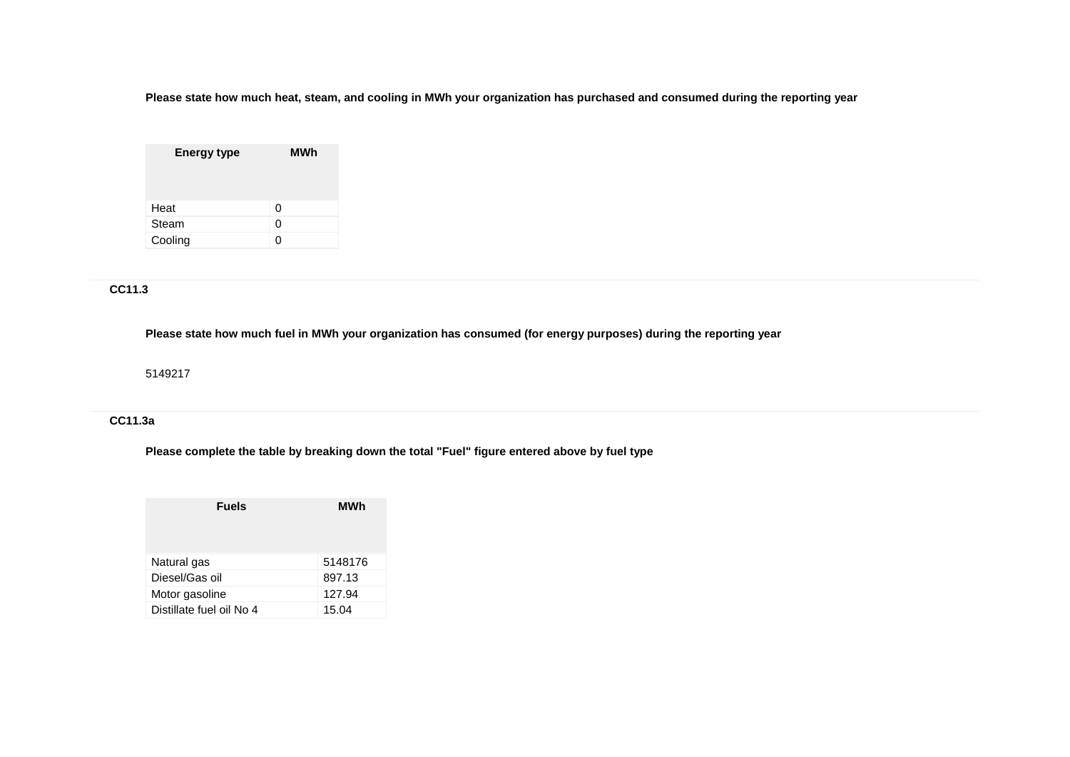**Please state how much heat, steam, and cooling in MWh your organization has purchased and consumed during the reporting year**

| <b>Energy type</b> | MWh |
|--------------------|-----|
| Heat               | 0   |
| Steam              | 0   |
| Cooling            |     |

# **CC11.3**

**Please state how much fuel in MWh your organization has consumed (for energy purposes) during the reporting year**

5149217

## **CC11.3a**

**Please complete the table by breaking down the total "Fuel" figure entered above by fuel type**

| <b>Fuels</b>             | MWh     |
|--------------------------|---------|
| Natural gas              | 5148176 |
| Diesel/Gas oil           | 897.13  |
| Motor gasoline           | 127.94  |
| Distillate fuel oil No 4 | 15.04   |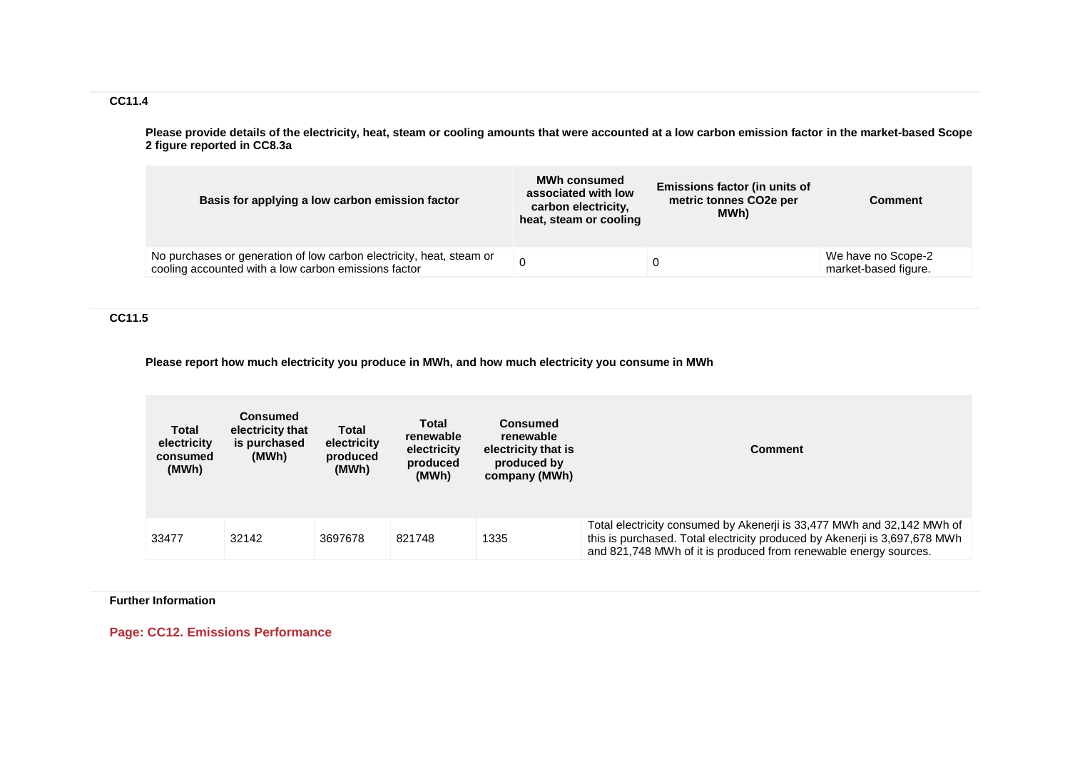**CC11.4**

**Please provide details of the electricity, heat, steam or cooling amounts that were accounted at a low carbon emission factor in the market-based Scope 2 figure reported in CC8.3a**

| Basis for applying a low carbon emission factor                                                                              | <b>MWh consumed</b><br>associated with low<br>carbon electricity,<br>heat, steam or cooling | Emissions factor (in units of<br>metric tonnes CO <sub>2</sub> e per<br>MWh) | <b>Comment</b>                             |
|------------------------------------------------------------------------------------------------------------------------------|---------------------------------------------------------------------------------------------|------------------------------------------------------------------------------|--------------------------------------------|
| No purchases or generation of low carbon electricity, heat, steam or<br>cooling accounted with a low carbon emissions factor |                                                                                             | 0                                                                            | We have no Scope-2<br>market-based figure. |

**CC11.5**

**Please report how much electricity you produce in MWh, and how much electricity you consume in MWh**

| Total<br>electricity<br>consumed<br>(MWh) | <b>Consumed</b><br>electricity that<br>is purchased<br>(MWh) | Total<br>electricity<br>produced<br>(MWh) | Total<br>renewable<br>electricity<br>produced<br>(MWh) | <b>Consumed</b><br>renewable<br>electricity that is<br>produced by<br>company (MWh) | Comment                                                                                                                                                                                                                  |
|-------------------------------------------|--------------------------------------------------------------|-------------------------------------------|--------------------------------------------------------|-------------------------------------------------------------------------------------|--------------------------------------------------------------------------------------------------------------------------------------------------------------------------------------------------------------------------|
| 33477                                     | 32142                                                        | 3697678                                   | 821748                                                 | 1335                                                                                | Total electricity consumed by Akenerji is 33,477 MWh and 32,142 MWh of<br>this is purchased. Total electricity produced by Akenerji is 3,697,678 MWh<br>and 821,748 MWh of it is produced from renewable energy sources. |

**Further Information**

**Page: CC12. Emissions Performance**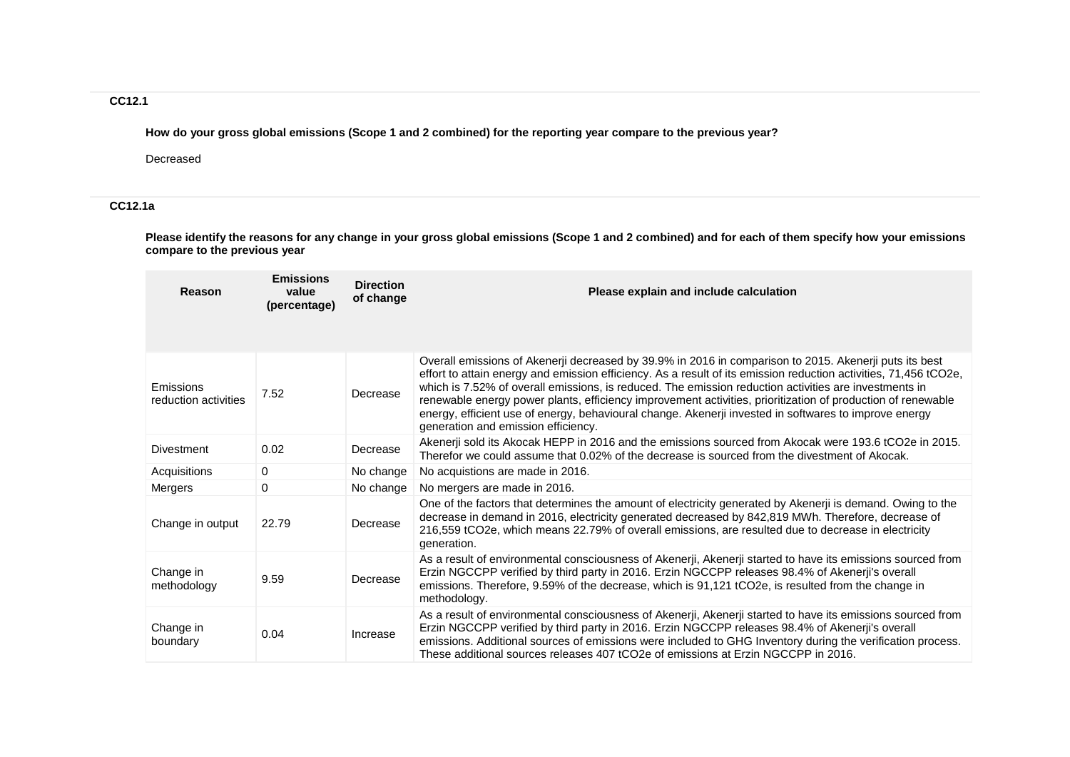## **CC12.1**

**How do your gross global emissions (Scope 1 and 2 combined) for the reporting year compare to the previous year?**

Decreased

## **CC12.1a**

**Please identify the reasons for any change in your gross global emissions (Scope 1 and 2 combined) and for each of them specify how your emissions compare to the previous year**

| Reason                            | <b>Emissions</b><br>value<br>(percentage) | <b>Direction</b><br>of change | Please explain and include calculation                                                                                                                                                                                                                                                                                                                                                                                                                                                                                                                                                             |
|-----------------------------------|-------------------------------------------|-------------------------------|----------------------------------------------------------------------------------------------------------------------------------------------------------------------------------------------------------------------------------------------------------------------------------------------------------------------------------------------------------------------------------------------------------------------------------------------------------------------------------------------------------------------------------------------------------------------------------------------------|
| Emissions<br>reduction activities | 7.52                                      | Decrease                      | Overall emissions of Akenerji decreased by 39.9% in 2016 in comparison to 2015. Akenerji puts its best<br>effort to attain energy and emission efficiency. As a result of its emission reduction activities, 71,456 tCO2e,<br>which is 7.52% of overall emissions, is reduced. The emission reduction activities are investments in<br>renewable energy power plants, efficiency improvement activities, prioritization of production of renewable<br>energy, efficient use of energy, behavioural change. Akenerji invested in softwares to improve energy<br>generation and emission efficiency. |
| <b>Divestment</b>                 | 0.02                                      | Decrease                      | Akenerji sold its Akocak HEPP in 2016 and the emissions sourced from Akocak were 193.6 tCO2e in 2015.<br>Therefor we could assume that 0.02% of the decrease is sourced from the divestment of Akocak.                                                                                                                                                                                                                                                                                                                                                                                             |
| Acquisitions                      | $\Omega$                                  | No change                     | No acquistions are made in 2016.                                                                                                                                                                                                                                                                                                                                                                                                                                                                                                                                                                   |
| Mergers                           | 0                                         | No change                     | No mergers are made in 2016.                                                                                                                                                                                                                                                                                                                                                                                                                                                                                                                                                                       |
| Change in output                  | 22.79                                     | Decrease                      | One of the factors that determines the amount of electricity generated by Akenerji is demand. Owing to the<br>decrease in demand in 2016, electricity generated decreased by 842,819 MWh. Therefore, decrease of<br>216,559 tCO2e, which means 22.79% of overall emissions, are resulted due to decrease in electricity<br>generation.                                                                                                                                                                                                                                                             |
| Change in<br>methodology          | 9.59                                      | Decrease                      | As a result of environmental consciousness of Akenerji, Akenerji started to have its emissions sourced from<br>Erzin NGCCPP verified by third party in 2016. Erzin NGCCPP releases 98.4% of Akenerji's overall<br>emissions. Therefore, 9.59% of the decrease, which is 91,121 tCO2e, is resulted from the change in<br>methodology.                                                                                                                                                                                                                                                               |
| Change in<br>boundary             | 0.04                                      | Increase                      | As a result of environmental consciousness of Akenerji, Akenerji started to have its emissions sourced from<br>Erzin NGCCPP verified by third party in 2016. Erzin NGCCPP releases 98.4% of Akenerji's overall<br>emissions. Additional sources of emissions were included to GHG Inventory during the verification process.<br>These additional sources releases 407 tCO2e of emissions at Erzin NGCCPP in 2016.                                                                                                                                                                                  |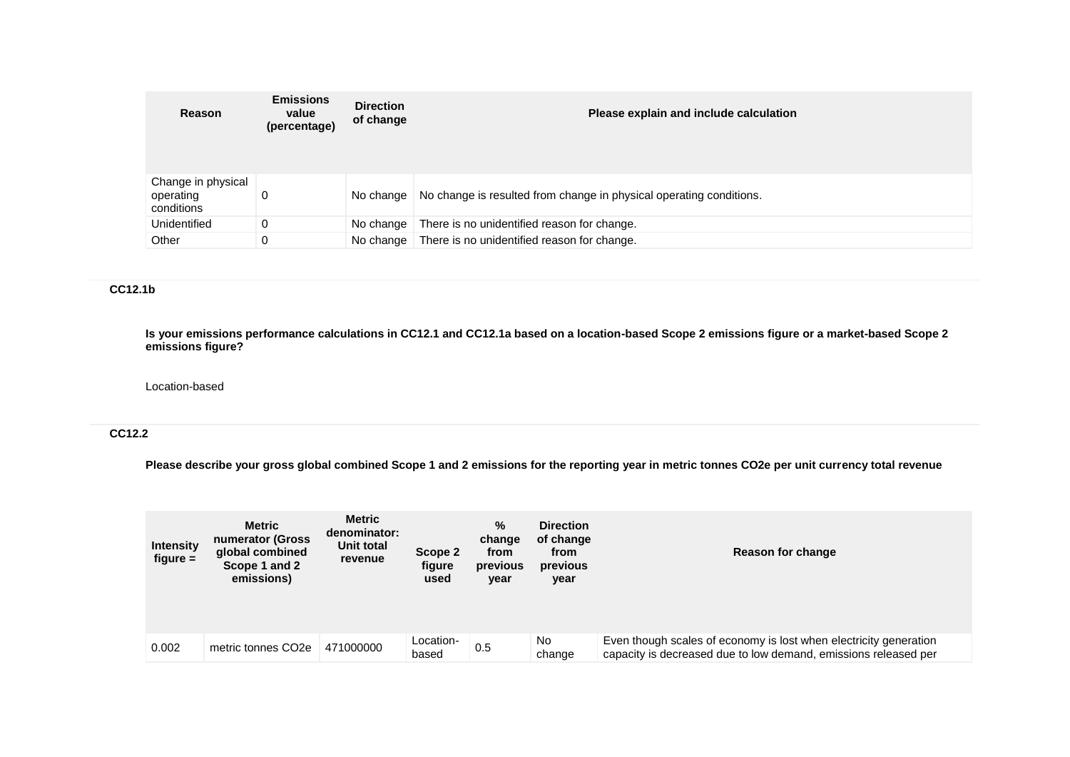| Reason                                        | <b>Emissions</b><br>value<br>(percentage) | <b>Direction</b><br>of change | Please explain and include calculation                              |
|-----------------------------------------------|-------------------------------------------|-------------------------------|---------------------------------------------------------------------|
| Change in physical<br>operating<br>conditions | 0                                         | No change                     | No change is resulted from change in physical operating conditions. |
| Unidentified                                  | 0                                         | No change                     | There is no unidentified reason for change.                         |
| Other                                         | 0                                         | No change                     | There is no unidentified reason for change.                         |

## **CC12.1b**

**Is your emissions performance calculations in CC12.1 and CC12.1a based on a location-based Scope 2 emissions figure or a market-based Scope 2 emissions figure?**

#### Location-based

## **CC12.2**

**Please describe your gross global combined Scope 1 and 2 emissions for the reporting year in metric tonnes CO2e per unit currency total revenue**

| <b>Intensity</b><br>$figure =$ | <b>Metric</b><br>numerator (Gross<br>global combined<br>Scope 1 and 2<br>emissions) | Metric<br>denominator:<br>Unit total<br>revenue | Scope 2<br>figure<br>used | %<br>change<br>from<br>previous<br>year | <b>Direction</b><br>of change<br>from<br>previous<br>year | Reason for change                                                                                                                    |
|--------------------------------|-------------------------------------------------------------------------------------|-------------------------------------------------|---------------------------|-----------------------------------------|-----------------------------------------------------------|--------------------------------------------------------------------------------------------------------------------------------------|
| 0.002                          | metric tonnes CO <sub>2e</sub>                                                      | 471000000                                       | Location-<br>based        | 0.5                                     | No.<br>change                                             | Even though scales of economy is lost when electricity generation<br>capacity is decreased due to low demand, emissions released per |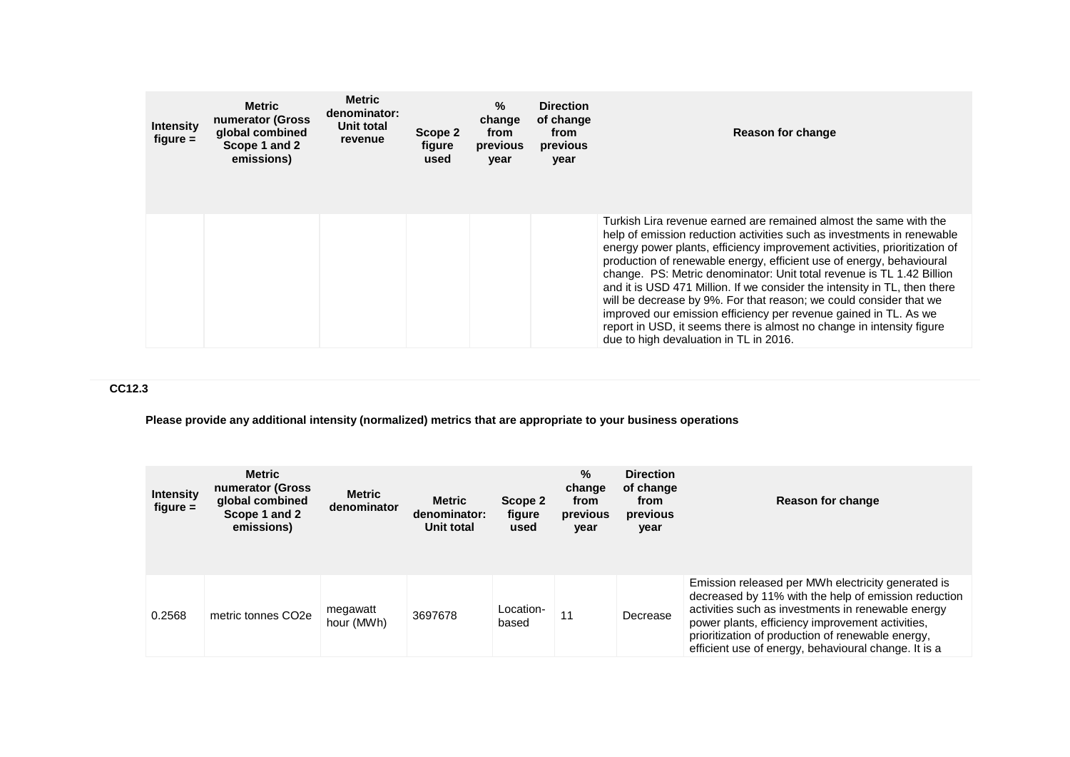| <b>Intensity</b><br>figure $=$ | Metric<br>numerator (Gross<br>global combined<br>Scope 1 and 2<br>emissions) | <b>Metric</b><br>denominator:<br>Unit total<br>revenue | Scope 2<br>figure<br>used | %<br>change<br>from<br>previous<br>year | <b>Direction</b><br>of change<br>from<br>previous<br>year | <b>Reason for change</b>                                                                                                                                                                                                                                                                                                                                                                                                                                                                                                                                                                                                                                                                                            |
|--------------------------------|------------------------------------------------------------------------------|--------------------------------------------------------|---------------------------|-----------------------------------------|-----------------------------------------------------------|---------------------------------------------------------------------------------------------------------------------------------------------------------------------------------------------------------------------------------------------------------------------------------------------------------------------------------------------------------------------------------------------------------------------------------------------------------------------------------------------------------------------------------------------------------------------------------------------------------------------------------------------------------------------------------------------------------------------|
|                                |                                                                              |                                                        |                           |                                         |                                                           | Turkish Lira revenue earned are remained almost the same with the<br>help of emission reduction activities such as investments in renewable<br>energy power plants, efficiency improvement activities, prioritization of<br>production of renewable energy, efficient use of energy, behavioural<br>change. PS: Metric denominator: Unit total revenue is TL 1.42 Billion<br>and it is USD 471 Million. If we consider the intensity in TL, then there<br>will be decrease by 9%. For that reason; we could consider that we<br>improved our emission efficiency per revenue gained in TL. As we<br>report in USD, it seems there is almost no change in intensity figure<br>due to high devaluation in TL in 2016. |

# **CC12.3**

## **Please provide any additional intensity (normalized) metrics that are appropriate to your business operations**

| <b>Intensity</b><br>$figure =$ | <b>Metric</b><br>numerator (Gross<br>global combined<br>Scope 1 and 2<br>emissions) | <b>Metric</b><br>denominator | Metric<br>denominator:<br><b>Unit total</b> | Scope 2<br>figure<br>used | $\%$<br>change<br>from<br>previous<br>year | <b>Direction</b><br>of change<br>from<br>previous<br>year | Reason for change                                                                                                                                                                                                                                                                                                                 |
|--------------------------------|-------------------------------------------------------------------------------------|------------------------------|---------------------------------------------|---------------------------|--------------------------------------------|-----------------------------------------------------------|-----------------------------------------------------------------------------------------------------------------------------------------------------------------------------------------------------------------------------------------------------------------------------------------------------------------------------------|
| 0.2568                         | metric tonnes CO <sub>2e</sub>                                                      | megawatt<br>hour (MWh)       | 3697678                                     | Location-<br>based        | . .                                        | Decrease                                                  | Emission released per MWh electricity generated is<br>decreased by 11% with the help of emission reduction<br>activities such as investments in renewable energy<br>power plants, efficiency improvement activities,<br>prioritization of production of renewable energy,<br>efficient use of energy, behavioural change. It is a |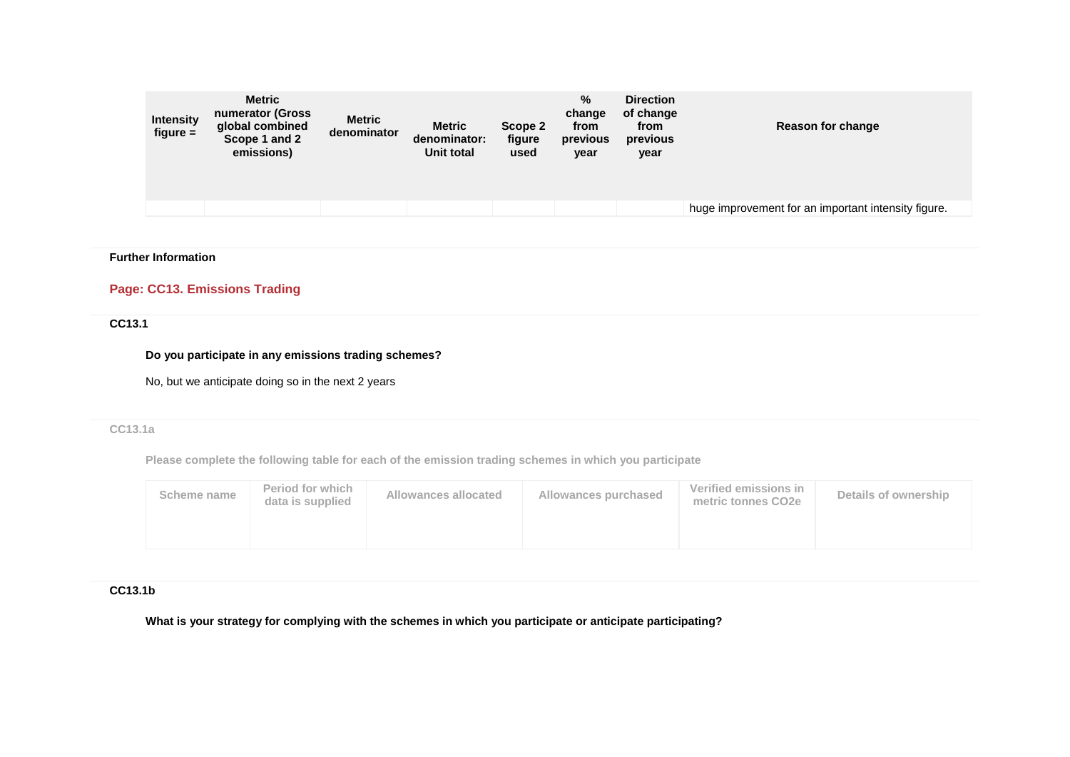| <b>Metric</b><br>numerator (Gross<br><b>Intensity</b><br>global combined<br>$figure =$<br>Scope 1 and 2<br>emissions) | <b>Metric</b><br>denominator | <b>Metric</b><br>denominator:<br><b>Unit total</b> | Scope 2<br>figure<br>used | $\%$<br>change<br>from<br>previous<br>year | <b>Direction</b><br>of change<br>from<br>previous<br>year | Reason for change                                   |
|-----------------------------------------------------------------------------------------------------------------------|------------------------------|----------------------------------------------------|---------------------------|--------------------------------------------|-----------------------------------------------------------|-----------------------------------------------------|
|                                                                                                                       |                              |                                                    |                           |                                            |                                                           | huge improvement for an important intensity figure. |

### **Further Information**

## **Page: CC13. Emissions Trading**

## **CC13.1**

#### **Do you participate in any emissions trading schemes?**

No, but we anticipate doing so in the next 2 years

## **CC13.1a**

**Please complete the following table for each of the emission trading schemes in which you participate**

| data is supplied | metric tonnes CO2e |  |
|------------------|--------------------|--|
|                  |                    |  |

### **CC13.1b**

**What is your strategy for complying with the schemes in which you participate or anticipate participating?**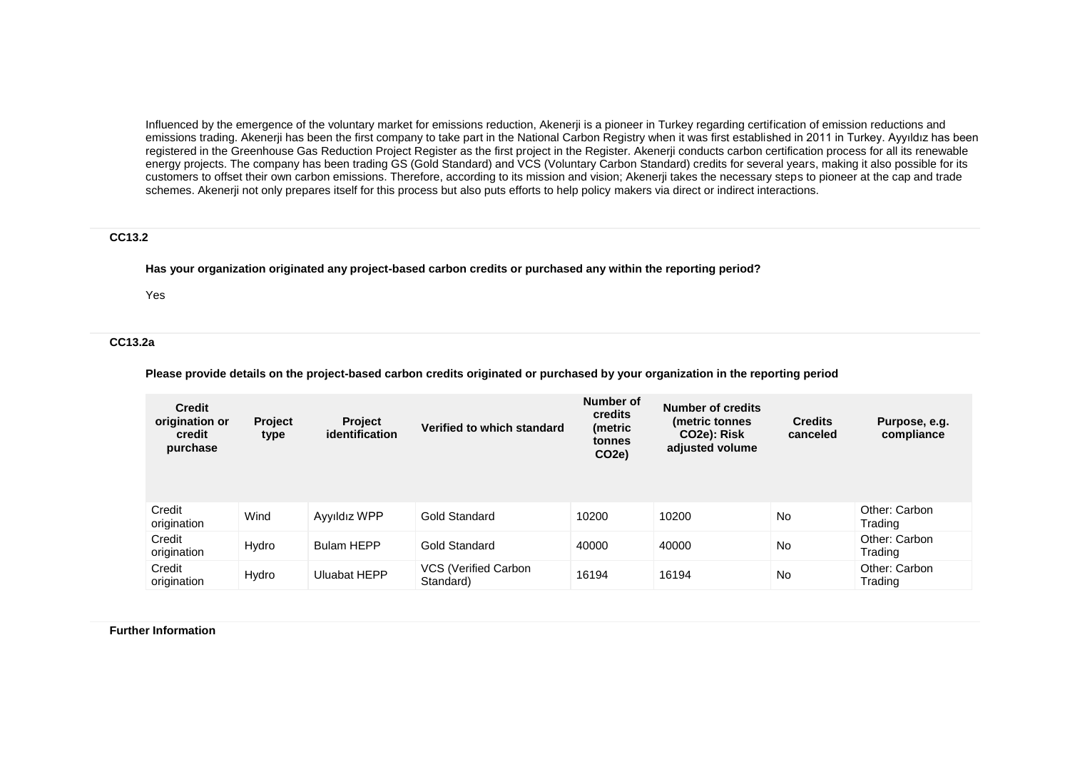Influenced by the emergence of the voluntary market for emissions reduction, Akenerji is a pioneer in Turkey regarding certification of emission reductions and emissions trading. Akenerji has been the first company to take part in the National Carbon Registry when it was first established in 2011 in Turkey. Ayyıldız has been registered in the Greenhouse Gas Reduction Project Register as the first project in the Register. Akenerji conducts carbon certification process for all its renewable energy projects. The company has been trading GS (Gold Standard) and VCS (Voluntary Carbon Standard) credits for several years, making it also possible for its customers to offset their own carbon emissions. Therefore, according to its mission and vision; Akenerji takes the necessary steps to pioneer at the cap and trade schemes. Akenerji not only prepares itself for this process but also puts efforts to help policy makers via direct or indirect interactions.

#### **CC13.2**

**Has your organization originated any project-based carbon credits or purchased any within the reporting period?**

Yes

#### **CC13.2a**

**Please provide details on the project-based carbon credits originated or purchased by your organization in the reporting period**

| <b>Credit</b><br>origination or<br>credit<br>purchase | <b>Project</b><br>type | <b>Project</b><br>identification | Verified to which standard        | Number of<br>credits<br>(metric<br>tonnes<br>CO2e) | <b>Number of credits</b><br>(metric tonnes<br>CO <sub>2</sub> e): Risk<br>adjusted volume | <b>Credits</b><br>canceled | Purpose, e.g.<br>compliance |
|-------------------------------------------------------|------------------------|----------------------------------|-----------------------------------|----------------------------------------------------|-------------------------------------------------------------------------------------------|----------------------------|-----------------------------|
| Credit<br>origination                                 | Wind                   | Ayyıldız WPP                     | <b>Gold Standard</b>              | 10200                                              | 10200                                                                                     | No                         | Other: Carbon<br>Trading    |
| Credit<br>origination                                 | Hydro                  | <b>Bulam HEPP</b>                | <b>Gold Standard</b>              | 40000                                              | 40000                                                                                     | No                         | Other: Carbon<br>Trading    |
| Credit<br>origination                                 | Hydro                  | <b>Uluabat HEPP</b>              | VCS (Verified Carbon<br>Standard) | 16194                                              | 16194                                                                                     | No                         | Other: Carbon<br>Trading    |

**Further Information**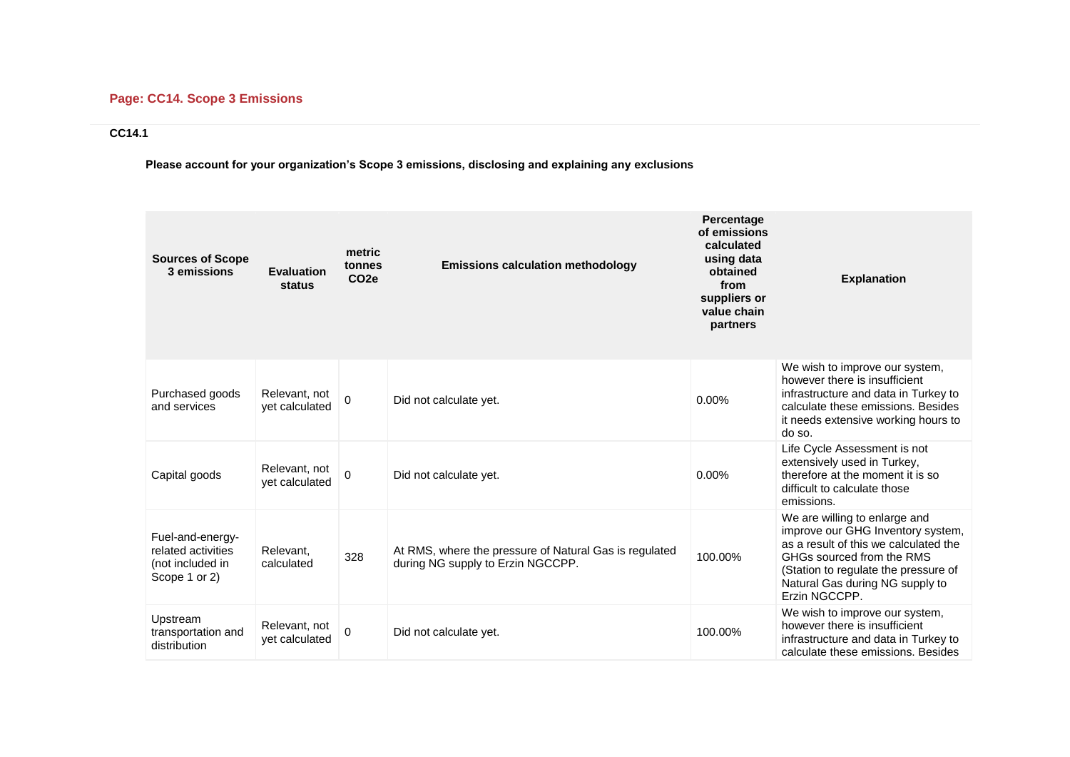# **Page: CC14. Scope 3 Emissions**

## **CC14.1**

**Please account for your organization's Scope 3 emissions, disclosing and explaining any exclusions**

| <b>Sources of Scope</b><br>3 emissions                                      | <b>Evaluation</b><br>status     | metric<br>tonnes<br>CO <sub>2e</sub> | <b>Emissions calculation methodology</b>                                                    | Percentage<br>of emissions<br>calculated<br>using data<br>obtained<br>from<br>suppliers or<br>value chain<br>partners | <b>Explanation</b>                                                                                                                                                                                                                   |
|-----------------------------------------------------------------------------|---------------------------------|--------------------------------------|---------------------------------------------------------------------------------------------|-----------------------------------------------------------------------------------------------------------------------|--------------------------------------------------------------------------------------------------------------------------------------------------------------------------------------------------------------------------------------|
| Purchased goods<br>and services                                             | Relevant, not<br>vet calculated | $\mathbf 0$                          | Did not calculate yet.                                                                      | $0.00\%$                                                                                                              | We wish to improve our system,<br>however there is insufficient<br>infrastructure and data in Turkey to<br>calculate these emissions. Besides<br>it needs extensive working hours to<br>do so.                                       |
| Capital goods                                                               | Relevant, not<br>yet calculated | 0                                    | Did not calculate yet.                                                                      | 0.00%                                                                                                                 | Life Cycle Assessment is not<br>extensively used in Turkey,<br>therefore at the moment it is so<br>difficult to calculate those<br>emissions.                                                                                        |
| Fuel-and-energy-<br>related activities<br>(not included in<br>Scope 1 or 2) | Relevant.<br>calculated         | 328                                  | At RMS, where the pressure of Natural Gas is regulated<br>during NG supply to Erzin NGCCPP. | 100.00%                                                                                                               | We are willing to enlarge and<br>improve our GHG Inventory system,<br>as a result of this we calculated the<br>GHGs sourced from the RMS<br>(Station to regulate the pressure of<br>Natural Gas during NG supply to<br>Erzin NGCCPP. |
| Upstream<br>transportation and<br>distribution                              | Relevant, not<br>yet calculated | $\Omega$                             | Did not calculate yet.                                                                      | 100.00%                                                                                                               | We wish to improve our system,<br>however there is insufficient<br>infrastructure and data in Turkey to<br>calculate these emissions. Besides                                                                                        |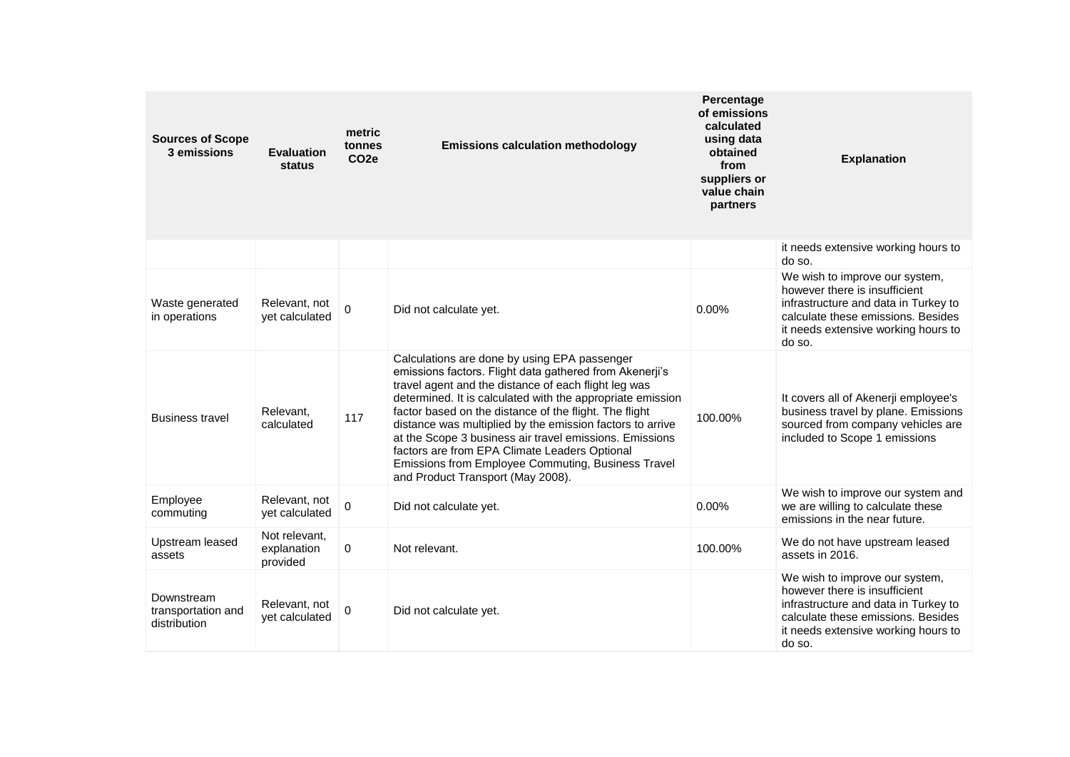| <b>Sources of Scope</b><br>3 emissions           | <b>Evaluation</b><br>status              | metric<br>tonnes<br>CO <sub>2e</sub> | <b>Emissions calculation methodology</b>                                                                                                                                                                                                                                                                                                                                                                                                                                                                                                                    | Percentage<br>of emissions<br>calculated<br>using data<br>obtained<br>from<br>suppliers or<br>value chain<br>partners | <b>Explanation</b>                                                                                                                                                                             |
|--------------------------------------------------|------------------------------------------|--------------------------------------|-------------------------------------------------------------------------------------------------------------------------------------------------------------------------------------------------------------------------------------------------------------------------------------------------------------------------------------------------------------------------------------------------------------------------------------------------------------------------------------------------------------------------------------------------------------|-----------------------------------------------------------------------------------------------------------------------|------------------------------------------------------------------------------------------------------------------------------------------------------------------------------------------------|
|                                                  |                                          |                                      |                                                                                                                                                                                                                                                                                                                                                                                                                                                                                                                                                             |                                                                                                                       | it needs extensive working hours to<br>do so.                                                                                                                                                  |
| Waste generated<br>in operations                 | Relevant, not<br>vet calculated          | 0                                    | Did not calculate yet.                                                                                                                                                                                                                                                                                                                                                                                                                                                                                                                                      | 0.00%                                                                                                                 | We wish to improve our system,<br>however there is insufficient<br>infrastructure and data in Turkey to<br>calculate these emissions. Besides<br>it needs extensive working hours to<br>do so. |
| <b>Business travel</b>                           | Relevant.<br>calculated                  | 117                                  | Calculations are done by using EPA passenger<br>emissions factors. Flight data gathered from Akenerji's<br>travel agent and the distance of each flight leg was<br>determined. It is calculated with the appropriate emission<br>factor based on the distance of the flight. The flight<br>distance was multiplied by the emission factors to arrive<br>at the Scope 3 business air travel emissions. Emissions<br>factors are from EPA Climate Leaders Optional<br>Emissions from Employee Commuting, Business Travel<br>and Product Transport (May 2008). | 100.00%                                                                                                               | It covers all of Akenerji employee's<br>business travel by plane. Emissions<br>sourced from company vehicles are<br>included to Scope 1 emissions                                              |
| Employee<br>commuting                            | Relevant, not<br>yet calculated          | 0                                    | Did not calculate yet.                                                                                                                                                                                                                                                                                                                                                                                                                                                                                                                                      | 0.00%                                                                                                                 | We wish to improve our system and<br>we are willing to calculate these<br>emissions in the near future.                                                                                        |
| Upstream leased<br>assets                        | Not relevant,<br>explanation<br>provided | $\mathbf 0$                          | Not relevant.                                                                                                                                                                                                                                                                                                                                                                                                                                                                                                                                               | 100.00%                                                                                                               | We do not have upstream leased<br>assets in 2016.                                                                                                                                              |
| Downstream<br>transportation and<br>distribution | Relevant, not<br>yet calculated          | $\Omega$                             | Did not calculate yet.                                                                                                                                                                                                                                                                                                                                                                                                                                                                                                                                      |                                                                                                                       | We wish to improve our system,<br>however there is insufficient<br>infrastructure and data in Turkey to<br>calculate these emissions. Besides<br>it needs extensive working hours to<br>do so. |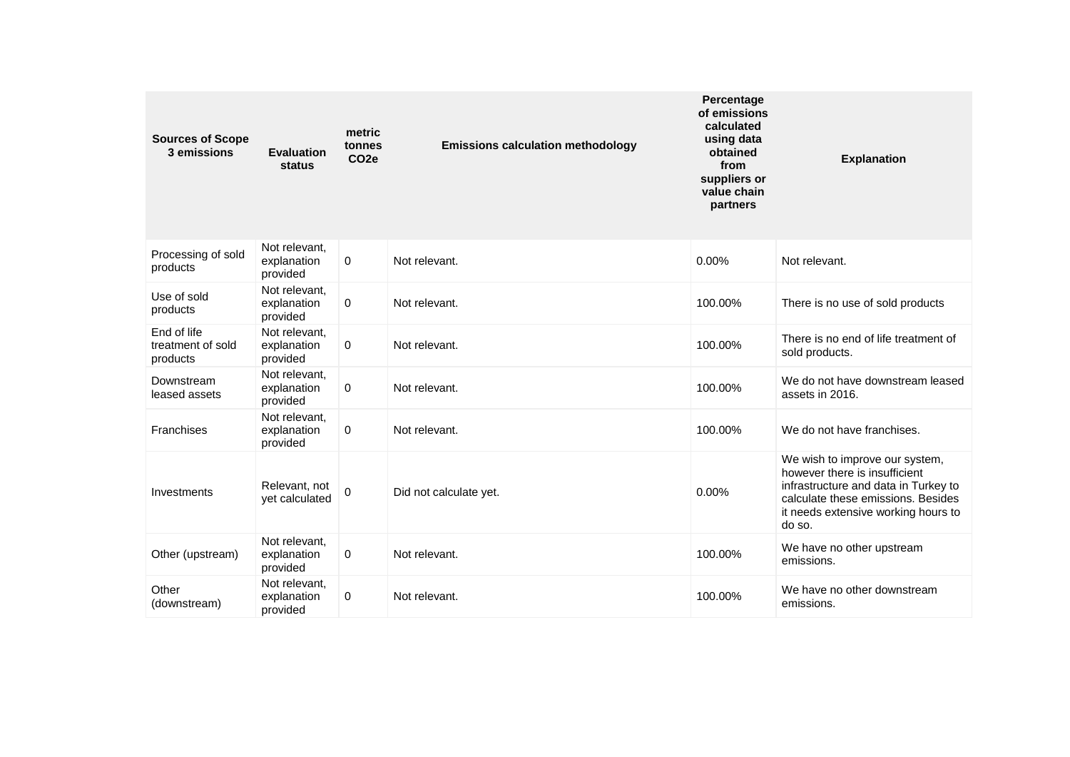| <b>Sources of Scope</b><br>3 emissions       | <b>Evaluation</b><br>status              | metric<br>tonnes<br>CO <sub>2e</sub> | <b>Emissions calculation methodology</b> | Percentage<br>of emissions<br>calculated<br>using data<br>obtained<br>from<br>suppliers or<br>value chain<br>partners | <b>Explanation</b>                                                                                                                                                                             |
|----------------------------------------------|------------------------------------------|--------------------------------------|------------------------------------------|-----------------------------------------------------------------------------------------------------------------------|------------------------------------------------------------------------------------------------------------------------------------------------------------------------------------------------|
| Processing of sold<br>products               | Not relevant,<br>explanation<br>provided | $\mathbf 0$                          | Not relevant.                            | 0.00%                                                                                                                 | Not relevant.                                                                                                                                                                                  |
| Use of sold<br>products                      | Not relevant,<br>explanation<br>provided | 0                                    | Not relevant.                            | 100.00%                                                                                                               | There is no use of sold products                                                                                                                                                               |
| End of life<br>treatment of sold<br>products | Not relevant.<br>explanation<br>provided | 0                                    | Not relevant.                            | 100.00%                                                                                                               | There is no end of life treatment of<br>sold products.                                                                                                                                         |
| Downstream<br>leased assets                  | Not relevant.<br>explanation<br>provided | 0                                    | Not relevant.                            | 100.00%                                                                                                               | We do not have downstream leased<br>assets in 2016.                                                                                                                                            |
| Franchises                                   | Not relevant.<br>explanation<br>provided | 0                                    | Not relevant.                            | 100.00%                                                                                                               | We do not have franchises.                                                                                                                                                                     |
| Investments                                  | Relevant, not<br>vet calculated          | $\overline{0}$                       | Did not calculate yet.                   | 0.00%                                                                                                                 | We wish to improve our system,<br>however there is insufficient<br>infrastructure and data in Turkey to<br>calculate these emissions. Besides<br>it needs extensive working hours to<br>do so. |
| Other (upstream)                             | Not relevant,<br>explanation<br>provided | 0                                    | Not relevant.                            | 100.00%                                                                                                               | We have no other upstream<br>emissions.                                                                                                                                                        |
| Other<br>(downstream)                        | Not relevant.<br>explanation<br>provided | 0                                    | Not relevant.                            | 100.00%                                                                                                               | We have no other downstream<br>emissions.                                                                                                                                                      |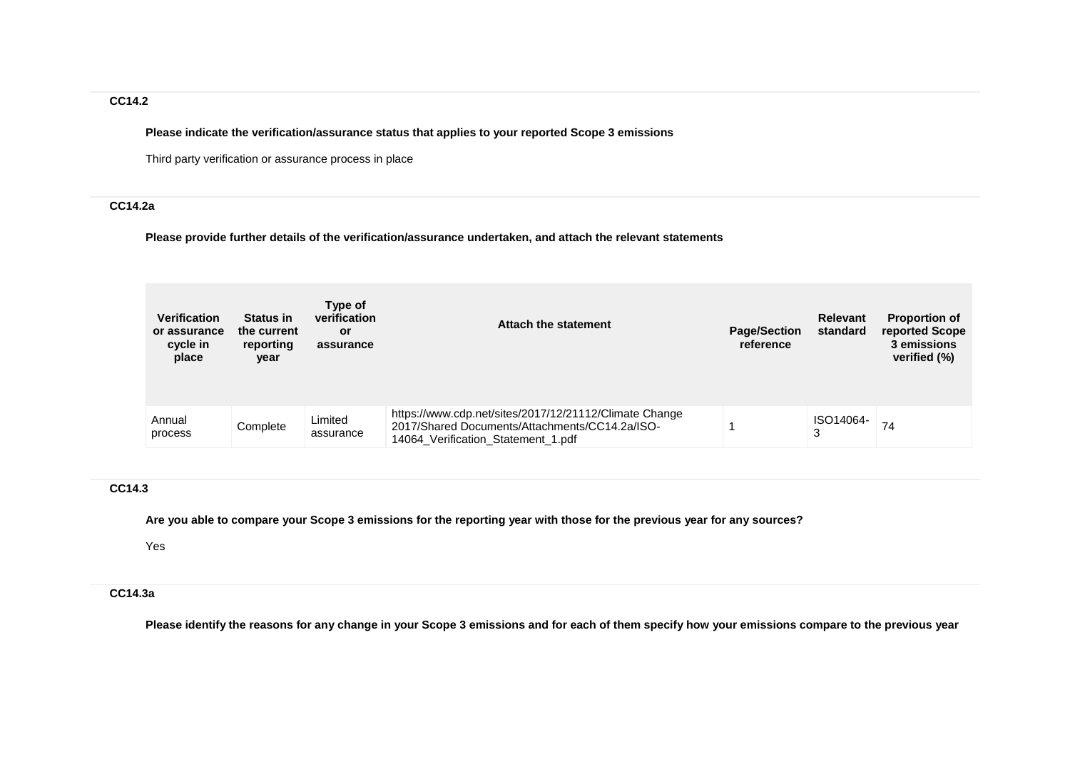## **CC14.2**

**Please indicate the verification/assurance status that applies to your reported Scope 3 emissions**

Third party verification or assurance process in place

## **CC14.2a**

**Please provide further details of the verification/assurance undertaken, and attach the relevant statements**

| <b>Verification</b><br>or assurance<br>cycle in<br>place | <b>Status in</b><br>the current<br>reporting<br>year | Type of<br>verification<br>or<br>assurance | Attach the statement                                                                                                                           | <b>Page/Section</b><br>reference | <b>Relevant</b><br>standard | <b>Proportion of</b><br>reported Scope<br>3 emissions<br>verified (%) |
|----------------------------------------------------------|------------------------------------------------------|--------------------------------------------|------------------------------------------------------------------------------------------------------------------------------------------------|----------------------------------|-----------------------------|-----------------------------------------------------------------------|
| Annual<br>process                                        | Complete                                             | Limited<br>assurance                       | https://www.cdp.net/sites/2017/12/21112/Climate Change<br>2017/Shared Documents/Attachments/CC14.2a/ISO-<br>14064 Verification Statement 1.pdf |                                  | ISO14064-<br>3              | 74                                                                    |

## **CC14.3**

**Are you able to compare your Scope 3 emissions for the reporting year with those for the previous year for any sources?**

Yes

## **CC14.3a**

**Please identify the reasons for any change in your Scope 3 emissions and for each of them specify how your emissions compare to the previous year**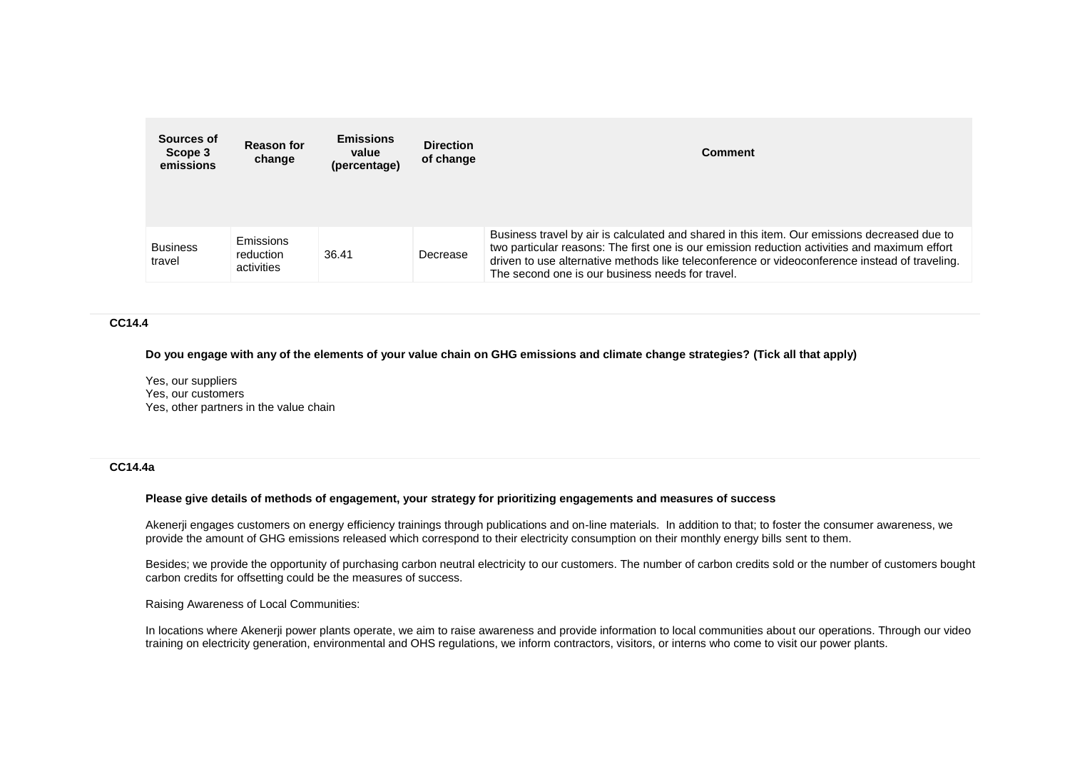| Sources of<br>Scope 3<br>emissions | <b>Reason for</b><br>change          | <b>Emissions</b><br>value<br>(percentage) | <b>Direction</b><br>of change | <b>Comment</b>                                                                                                                                                                                                                                                                                                                                      |
|------------------------------------|--------------------------------------|-------------------------------------------|-------------------------------|-----------------------------------------------------------------------------------------------------------------------------------------------------------------------------------------------------------------------------------------------------------------------------------------------------------------------------------------------------|
| <b>Business</b><br>travel          | Emissions<br>reduction<br>activities | 36.41                                     | Decrease                      | Business travel by air is calculated and shared in this item. Our emissions decreased due to<br>two particular reasons: The first one is our emission reduction activities and maximum effort<br>driven to use alternative methods like teleconference or videoconference instead of traveling.<br>The second one is our business needs for travel. |

#### **CC14.4**

**Do you engage with any of the elements of your value chain on GHG emissions and climate change strategies? (Tick all that apply)**

Yes, our suppliers Yes, our customers Yes, other partners in the value chain

#### **CC14.4a**

#### **Please give details of methods of engagement, your strategy for prioritizing engagements and measures of success**

Akenerji engages customers on energy efficiency trainings through publications and on-line materials. In addition to that; to foster the consumer awareness, we provide the amount of GHG emissions released which correspond to their electricity consumption on their monthly energy bills sent to them.

Besides; we provide the opportunity of purchasing carbon neutral electricity to our customers. The number of carbon credits sold or the number of customers bought carbon credits for offsetting could be the measures of success.

Raising Awareness of Local Communities:

In locations where Akenerji power plants operate, we aim to raise awareness and provide information to local communities about our operations. Through our video training on electricity generation, environmental and OHS regulations, we inform contractors, visitors, or interns who come to visit our power plants.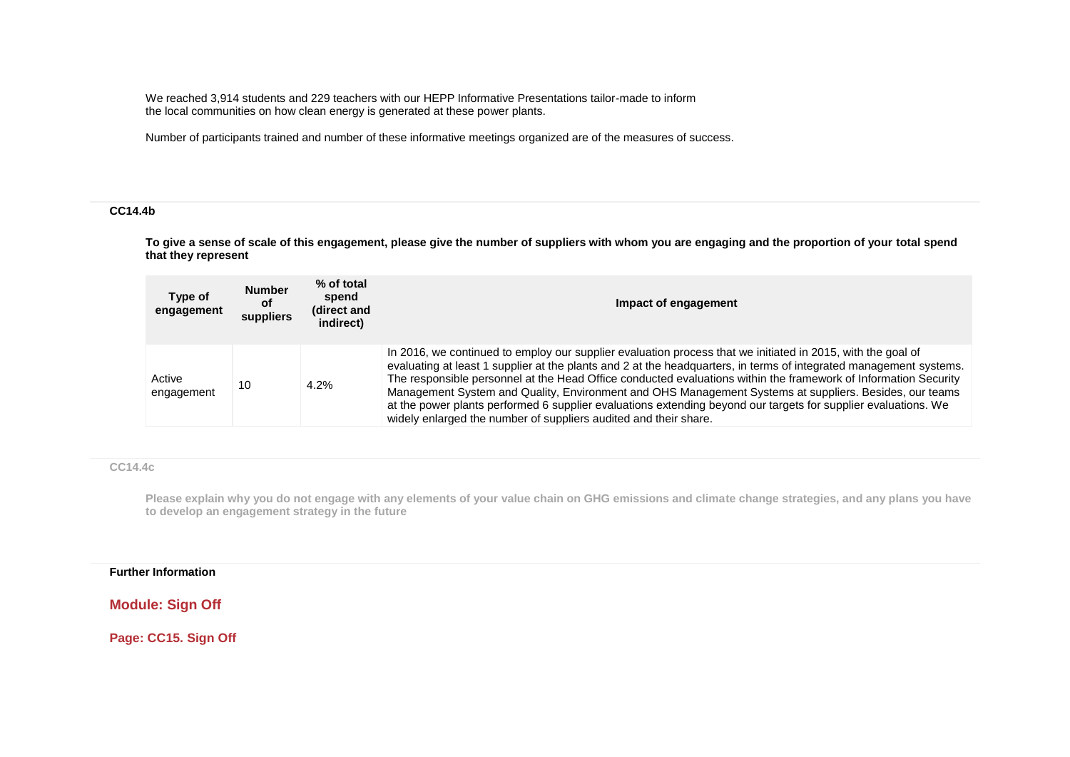We reached 3,914 students and 229 teachers with our HEPP Informative Presentations tailor-made to inform the local communities on how clean energy is generated at these power plants.

Number of participants trained and number of these informative meetings organized are of the measures of success.

#### **CC14.4b**

**To give a sense of scale of this engagement, please give the number of suppliers with whom you are engaging and the proportion of your total spend that they represent**

| Type of<br>engagement | <b>Number</b><br><b>of</b><br>suppliers | % of total<br>spend<br>(direct and<br>indirect) | Impact of engagement                                                                                                                                                                                                                                                                                                                                                                                                                                                                                                                                                                                                                                 |
|-----------------------|-----------------------------------------|-------------------------------------------------|------------------------------------------------------------------------------------------------------------------------------------------------------------------------------------------------------------------------------------------------------------------------------------------------------------------------------------------------------------------------------------------------------------------------------------------------------------------------------------------------------------------------------------------------------------------------------------------------------------------------------------------------------|
| Active<br>engagement  | 10                                      | 4.2%                                            | In 2016, we continued to employ our supplier evaluation process that we initiated in 2015, with the goal of<br>evaluating at least 1 supplier at the plants and 2 at the headquarters, in terms of integrated management systems.<br>The responsible personnel at the Head Office conducted evaluations within the framework of Information Security<br>Management System and Quality, Environment and OHS Management Systems at suppliers. Besides, our teams<br>at the power plants performed 6 supplier evaluations extending beyond our targets for supplier evaluations. We<br>widely enlarged the number of suppliers audited and their share. |

#### **CC14.4c**

**Please explain why you do not engage with any elements of your value chain on GHG emissions and climate change strategies, and any plans you have to develop an engagement strategy in the future**

### **Further Information**

**Module: Sign Off**

**Page: CC15. Sign Off**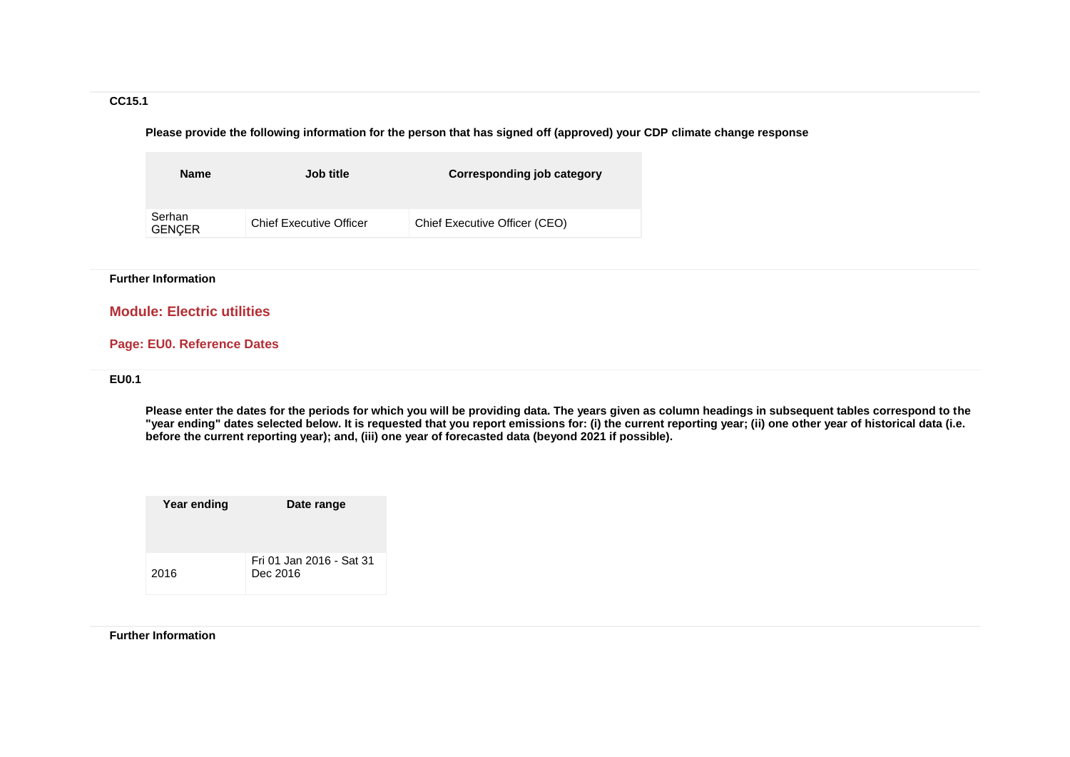### **CC15.1**

**Please provide the following information for the person that has signed off (approved) your CDP climate change response**

| <b>Name</b>             | Job title                      | Corresponding job category    |
|-------------------------|--------------------------------|-------------------------------|
| Serhan<br><b>GENCER</b> | <b>Chief Executive Officer</b> | Chief Executive Officer (CEO) |

#### **Further Information**

## **Module: Electric utilities**

## **Page: EU0. Reference Dates**

### **EU0.1**

**Please enter the dates for the periods for which you will be providing data. The years given as column headings in subsequent tables correspond to the "year ending" dates selected below. It is requested that you report emissions for: (i) the current reporting year; (ii) one other year of historical data (i.e. before the current reporting year); and, (iii) one year of forecasted data (beyond 2021 if possible).**

| Year ending | Date range                           |
|-------------|--------------------------------------|
| 2016        | Fri 01 Jan 2016 - Sat 31<br>Dec 2016 |

#### **Further Information**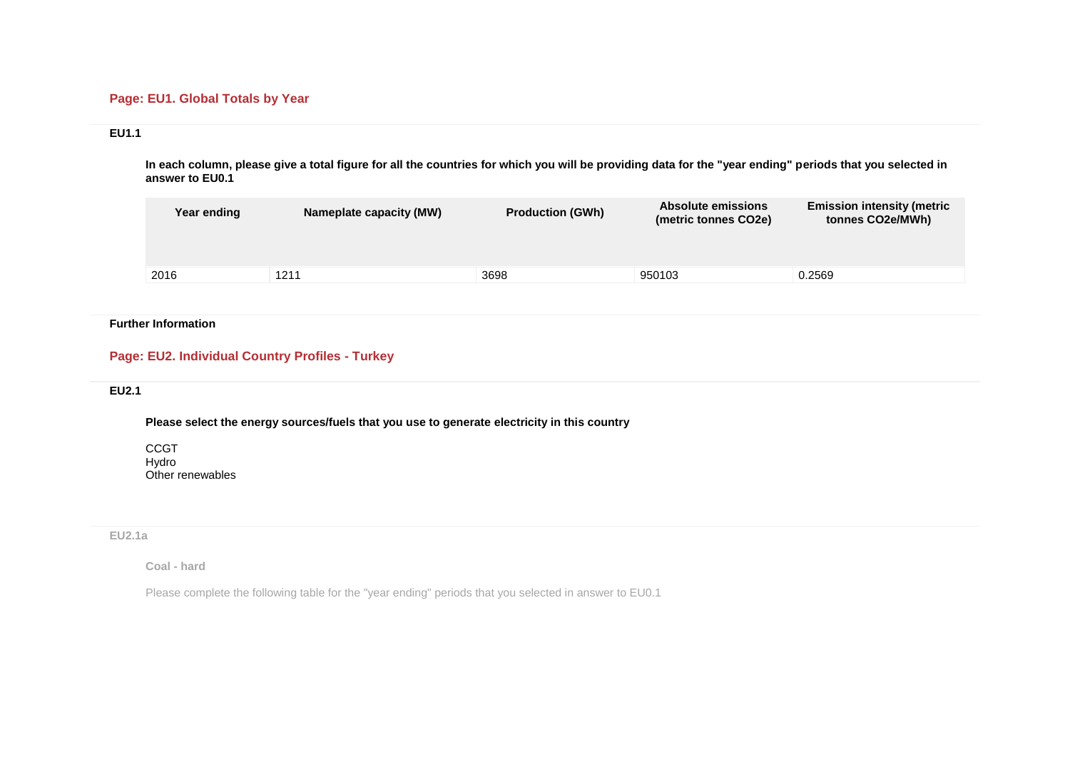## **Page: EU1. Global Totals by Year**

## **EU1.1**

**In each column, please give a total figure for all the countries for which you will be providing data for the "year ending" periods that you selected in answer to EU0.1**

| Year ending | Nameplate capacity (MW) | <b>Production (GWh)</b> | Absolute emissions<br>(metric tonnes CO2e) | <b>Emission intensity (metric</b><br>tonnes CO2e/MWh) |
|-------------|-------------------------|-------------------------|--------------------------------------------|-------------------------------------------------------|
|             |                         |                         |                                            |                                                       |
| 2016        | 1211                    | 3698                    | 950103                                     | 0.2569                                                |

### **Further Information**

## **Page: EU2. Individual Country Profiles - Turkey**

### **EU2.1**

**Please select the energy sources/fuels that you use to generate electricity in this country**

CCGT Hydro Other renewables

**EU2.1a**

**Coal - hard**

Please complete the following table for the "year ending" periods that you selected in answer to EU0.1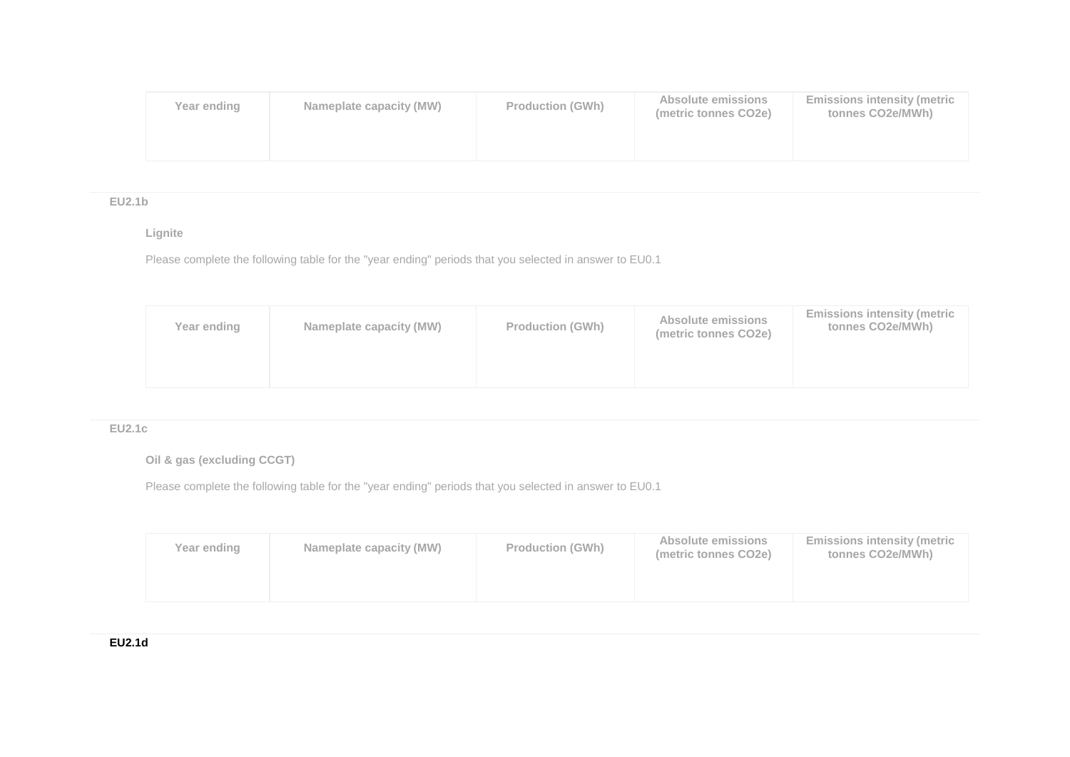| Year ending | Nameplate capacity (MW) | <b>Production (GWh)</b> | Absolute emissions<br>(metric tonnes CO2e) | <b>Emissions intensity (metric</b><br>tonnes CO2e/MWh) |
|-------------|-------------------------|-------------------------|--------------------------------------------|--------------------------------------------------------|
|             |                         |                         |                                            |                                                        |

# **EU2.1b**

## **Lignite**

Please complete the following table for the "year ending" periods that you selected in answer to EU0.1

| Year ending | Nameplate capacity (MW) | <b>Production (GWh)</b> | Absolute emissions<br>(metric tonnes CO2e) | <b>Emissions intensity (metric</b><br>tonnes CO2e/MWh) |
|-------------|-------------------------|-------------------------|--------------------------------------------|--------------------------------------------------------|
|             |                         |                         |                                            |                                                        |

# **EU2.1c**

**Oil & gas (excluding CCGT)**

Please complete the following table for the "year ending" periods that you selected in answer to EU0.1

| Year ending | Nameplate capacity (MW) | <b>Production (GWh)</b> | Absolute emissions<br>(metric tonnes CO2e) | <b>Emissions intensity (metric</b><br>tonnes CO2e/MWh) |
|-------------|-------------------------|-------------------------|--------------------------------------------|--------------------------------------------------------|
|             |                         |                         |                                            |                                                        |

# **EU2.1d**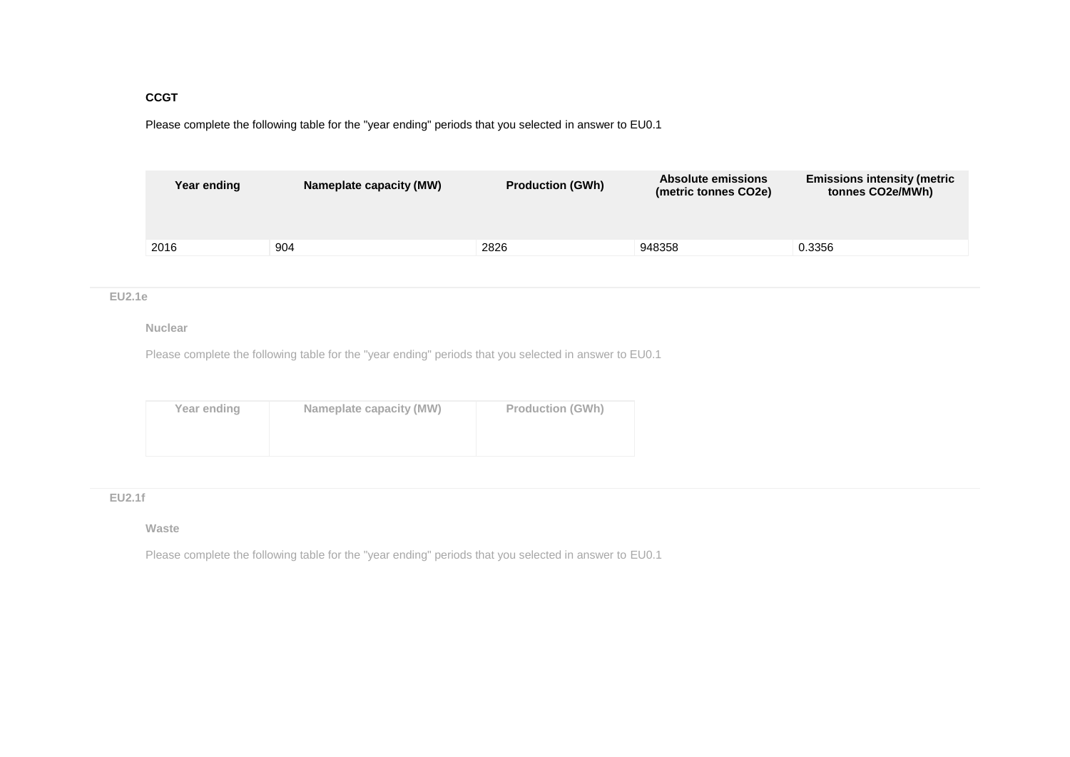### **CCGT**

Please complete the following table for the "year ending" periods that you selected in answer to EU0.1

| Year ending | Nameplate capacity (MW) | Absolute emissions<br><b>Production (GWh)</b><br>(metric tonnes CO2e) |        | <b>Emissions intensity (metric</b><br>tonnes CO2e/MWh) |
|-------------|-------------------------|-----------------------------------------------------------------------|--------|--------------------------------------------------------|
|             |                         |                                                                       |        |                                                        |
| 2016        | 904                     | 2826                                                                  | 948358 | 0.3356                                                 |

#### **EU2.1e**

#### **Nuclear**

Please complete the following table for the "year ending" periods that you selected in answer to EU0.1

| Year ending | Nameplate capacity (MW) | <b>Production (GWh)</b> |
|-------------|-------------------------|-------------------------|
|             |                         |                         |
|             |                         |                         |

#### **EU2.1f**

#### **Waste**

Please complete the following table for the "year ending" periods that you selected in answer to EU0.1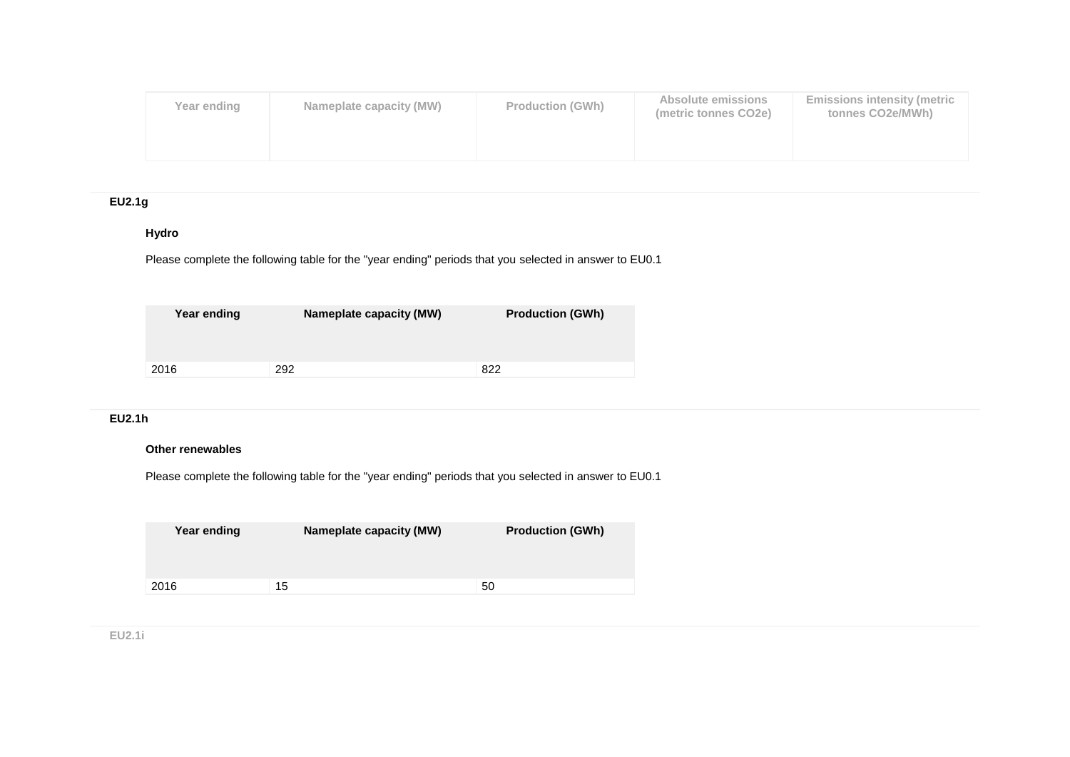| Year ending | Nameplate capacity (MW) | <b>Production (GWh)</b> | Absolute emissions<br>(metric tonnes CO2e) | <b>Emissions intensity (metric</b><br>tonnes CO2e/MWh) |
|-------------|-------------------------|-------------------------|--------------------------------------------|--------------------------------------------------------|
|             |                         |                         |                                            |                                                        |

# **EU2.1g**

# **Hydro**

Please complete the following table for the "year ending" periods that you selected in answer to EU0.1

| Year ending | <b>Nameplate capacity (MW)</b> | <b>Production (GWh)</b> |
|-------------|--------------------------------|-------------------------|
| 2016        | 292                            | 822                     |

# **EU2.1h**

## **Other renewables**

Please complete the following table for the "year ending" periods that you selected in answer to EU0.1

| Year ending | <b>Nameplate capacity (MW)</b> | <b>Production (GWh)</b> |
|-------------|--------------------------------|-------------------------|
| 2016        | 15                             | 50                      |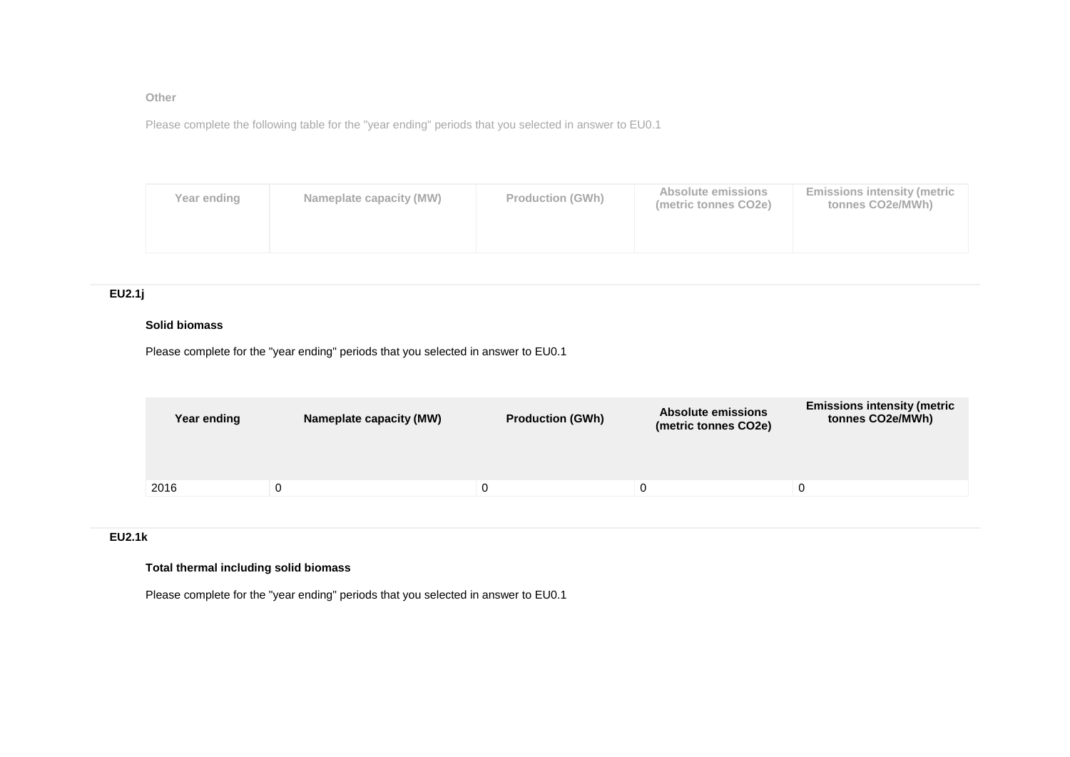**Other** 

Please complete the following table for the "year ending" periods that you selected in answer to EU0.1

| Year ending | Nameplate capacity (MW) | <b>Production (GWh)</b> | Absolute emissions<br>(metric tonnes CO2e) | <b>Emissions intensity (metric</b><br>tonnes CO2e/MWh) |
|-------------|-------------------------|-------------------------|--------------------------------------------|--------------------------------------------------------|
|             |                         |                         |                                            |                                                        |

### **EU2.1j**

### **Solid biomass**

Please complete for the "year ending" periods that you selected in answer to EU0.1

| Year ending | Nameplate capacity (MW) | <b>Production (GWh)</b> | <b>Absolute emissions</b><br>(metric tonnes CO2e) | <b>Emissions intensity (metric</b><br>tonnes CO2e/MWh) |
|-------------|-------------------------|-------------------------|---------------------------------------------------|--------------------------------------------------------|
|             |                         |                         |                                                   |                                                        |
| 2016        |                         |                         |                                                   | 0                                                      |
|             |                         |                         |                                                   |                                                        |

#### **EU2.1k**

### **Total thermal including solid biomass**

Please complete for the "year ending" periods that you selected in answer to EU0.1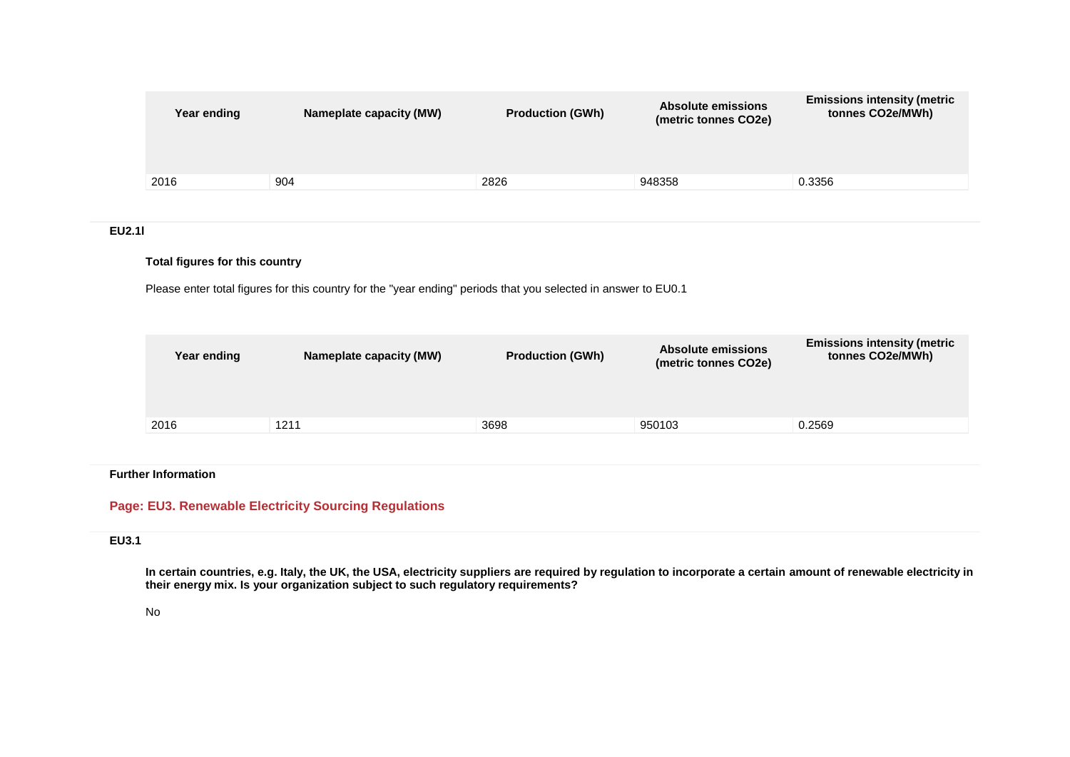| Year ending | Nameplate capacity (MW) | <b>Production (GWh)</b> | <b>Absolute emissions</b><br>(metric tonnes CO2e) | <b>Emissions intensity (metric</b><br>tonnes CO2e/MWh) |
|-------------|-------------------------|-------------------------|---------------------------------------------------|--------------------------------------------------------|
| 2016        | 904                     | 2826                    | 948358                                            | 0.3356                                                 |
|             |                         |                         |                                                   |                                                        |

# **EU2.1l**

#### **Total figures for this country**

Please enter total figures for this country for the "year ending" periods that you selected in answer to EU0.1

| Year ending | Nameplate capacity (MW) | <b>Production (GWh)</b> | <b>Absolute emissions</b><br>(metric tonnes CO2e) | <b>Emissions intensity (metric</b><br>tonnes CO2e/MWh) |
|-------------|-------------------------|-------------------------|---------------------------------------------------|--------------------------------------------------------|
|             |                         |                         |                                                   |                                                        |
| 2016        | 1211                    | 3698                    | 950103                                            | 0.2569                                                 |
|             |                         |                         |                                                   |                                                        |

#### **Further Information**

# **Page: EU3. Renewable Electricity Sourcing Regulations**

# **EU3.1**

**In certain countries, e.g. Italy, the UK, the USA, electricity suppliers are required by regulation to incorporate a certain amount of renewable electricity in their energy mix. Is your organization subject to such regulatory requirements?**

#### No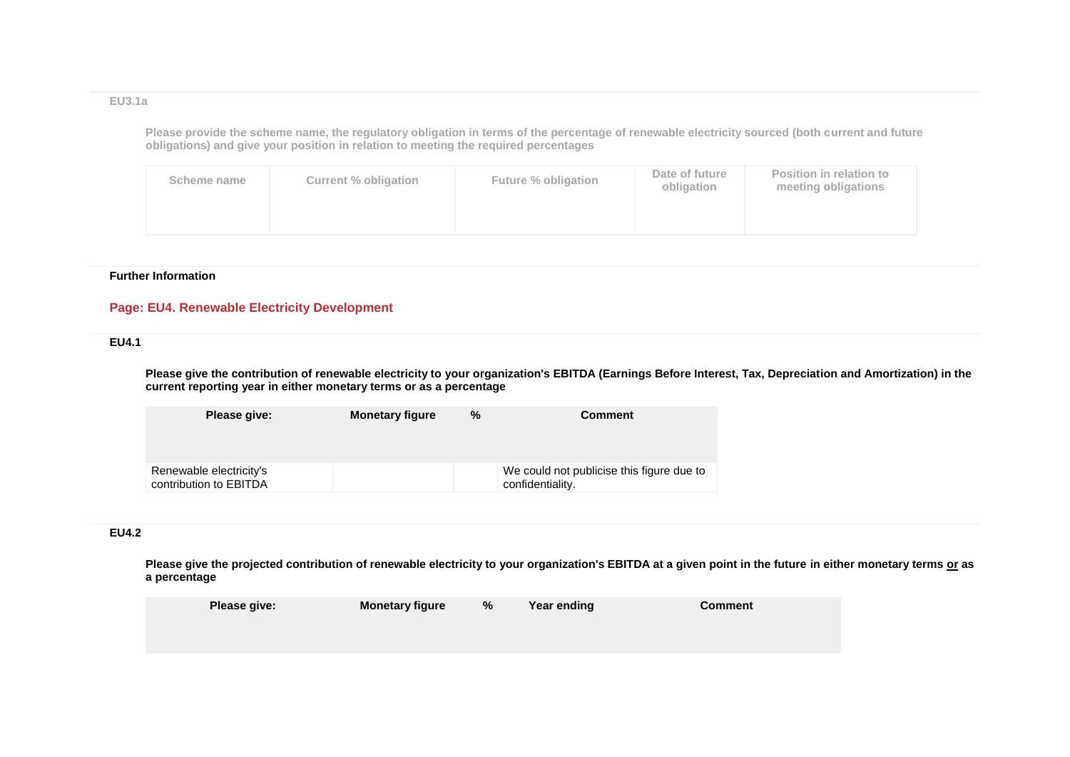#### **EU3.1a**

**Please provide the scheme name, the regulatory obligation in terms of the percentage of renewable electricity sourced (both current and future obligations) and give your position in relation to meeting the required percentages**

| Scheme name | Current % obligation | Future % obligation | Date of future<br>obligation | Position in relation to<br>meeting obligations |
|-------------|----------------------|---------------------|------------------------------|------------------------------------------------|
|             |                      |                     |                              |                                                |

#### **Further Information**

# **Page: EU4. Renewable Electricity Development**

#### **EU4.1**

**Please give the contribution of renewable electricity to your organization's EBITDA (Earnings Before Interest, Tax, Depreciation and Amortization) in the current reporting year in either monetary terms or as a percentage**

| Please give:                                      | <b>Monetary figure</b> | % | <b>Comment</b>                                                |
|---------------------------------------------------|------------------------|---|---------------------------------------------------------------|
| Renewable electricity's<br>contribution to EBITDA |                        |   | We could not publicise this figure due to<br>confidentiality. |

### **EU4.2**

**Please give the projected contribution of renewable electricity to your organization's EBITDA at a given point in the future in either monetary terms or as a percentage**

| Please give: | <b>Monetary figure</b> | % | Year ending | <b>Comment</b> |  |
|--------------|------------------------|---|-------------|----------------|--|
|              |                        |   |             |                |  |
|              |                        |   |             |                |  |